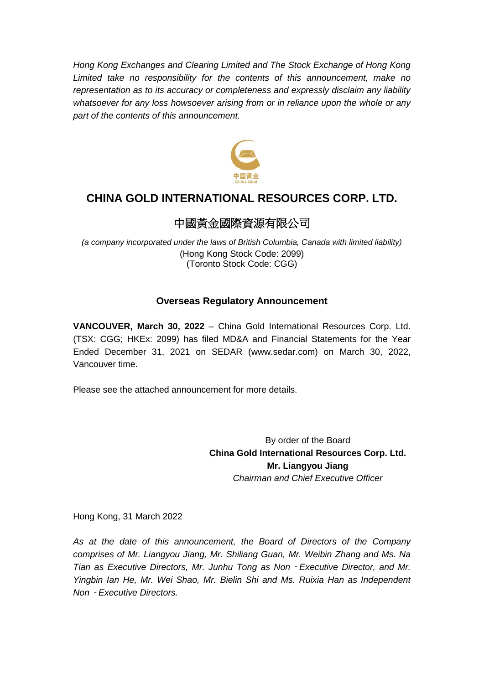*Hong Kong Exchanges and Clearing Limited and The Stock Exchange of Hong Kong Limited take no responsibility for the contents of this announcement, make no representation as to its accuracy or completeness and expressly disclaim any liability whatsoever for any loss howsoever arising from or in reliance upon the whole or any part of the contents of this announcement.*



# **CHINA GOLD INTERNATIONAL RESOURCES CORP. LTD.**

# 中國黃金國際資源有限公司

*(a company incorporated under the laws of British Columbia, Canada with limited liability)* (Hong Kong Stock Code: 2099) (Toronto Stock Code: CGG)

# **Overseas Regulatory Announcement**

**VANCOUVER, March 30, 2022** – China Gold International Resources Corp. Ltd. (TSX: CGG; HKEx: 2099) has filed MD&A and Financial Statements for the Year Ended December 31, 2021 on SEDAR (www.sedar.com) on March 30, 2022, Vancouver time.

Please see the attached announcement for more details.

By order of the Board **China Gold International Resources Corp. Ltd. Mr. Liangyou Jiang** *Chairman and Chief Executive Officer*

Hong Kong, 31 March 2022

*As at the date of this announcement, the Board of Directors of the Company comprises of Mr. Liangyou Jiang, Mr. Shiliang Guan, Mr. Weibin Zhang and Ms. Na Tian as Executive Directors, Mr. Junhu Tong as Non*‐*Executive Director, and Mr. Yingbin Ian He, Mr. Wei Shao, Mr. Bielin Shi and Ms. Ruixia Han as Independent Non*‐*Executive Directors.*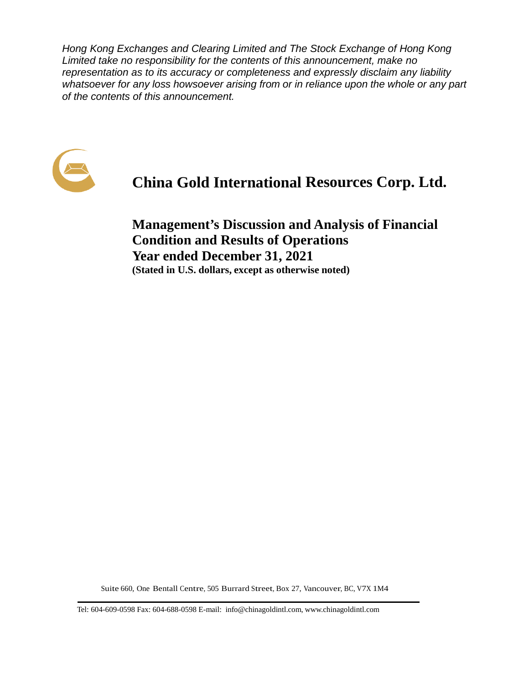*Hong Kong Exchanges and Clearing Limited and The Stock Exchange of Hong Kong Limited take no responsibility for the contents of this announcement, make no representation as to its accuracy or completeness and expressly disclaim any liability whatsoever for any loss howsoever arising from or in reliance upon the whole or any part of the contents of this announcement.*



# **China Gold International Resources Corp. Ltd.**

**Management's Discussion and Analysis of Financial Condition and Results of Operations Year ended December 31, 2021 (Stated in U.S. dollars, except as otherwise noted)**

Suite 660, One Bentall Centre, 505 Burrard Street, Box 27, Vancouver, BC, V7X 1M4

Tel: 604-609-0598 Fax: 604-688-0598 E-mail: info@chinagoldintl.com, [www.chinagoldintl.com](http://www.chinagoldintl.com/)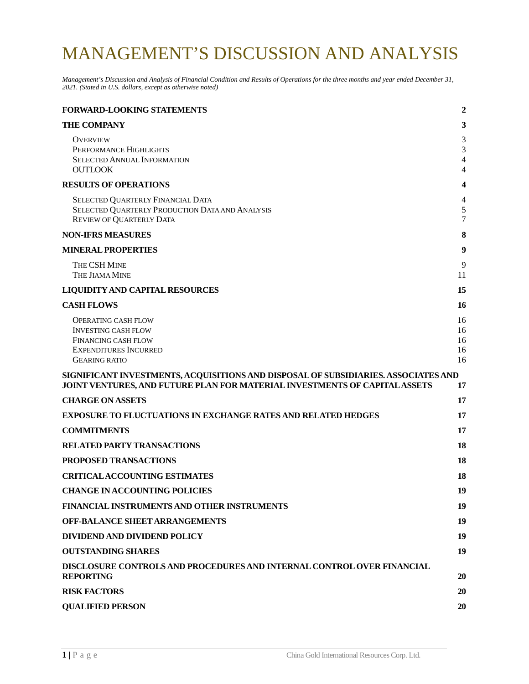# MANAGEMENT'S DISCUSSION AND ANALYSIS

*Management's Discussion and Analysis of Financial Condition and Results of Operations for the three months and year ended December 31, 2021. (Stated in U.S. dollars, except as otherwise noted)*

| <b>FORWARD-LOOKING STATEMENTS</b>                                                                                                                                | $\boldsymbol{2}$           |
|------------------------------------------------------------------------------------------------------------------------------------------------------------------|----------------------------|
| <b>THE COMPANY</b>                                                                                                                                               | 3                          |
| <b>OVERVIEW</b><br>PERFORMANCE HIGHLIGHTS<br>SELECTED ANNUAL INFORMATION<br><b>OUTLOOK</b>                                                                       | 3<br>3<br>4<br>4           |
| <b>RESULTS OF OPERATIONS</b>                                                                                                                                     | 4                          |
| SELECTED QUARTERLY FINANCIAL DATA<br>SELECTED QUARTERLY PRODUCTION DATA AND ANALYSIS<br>REVIEW OF QUARTERLY DATA                                                 | 4<br>5<br>$\overline{7}$   |
| <b>NON-IFRS MEASURES</b>                                                                                                                                         | 8                          |
| <b>MINERAL PROPERTIES</b>                                                                                                                                        | $\boldsymbol{9}$           |
| THE CSH MINE<br>THE JIAMA MINE                                                                                                                                   | 9<br>11                    |
| <b>LIQUIDITY AND CAPITAL RESOURCES</b>                                                                                                                           | 15                         |
| <b>CASH FLOWS</b>                                                                                                                                                | 16                         |
| <b>OPERATING CASH FLOW</b><br><b>INVESTING CASH FLOW</b><br><b>FINANCING CASH FLOW</b><br><b>EXPENDITURES INCURRED</b><br><b>GEARING RATIO</b>                   | 16<br>16<br>16<br>16<br>16 |
| SIGNIFICANT INVESTMENTS, ACQUISITIONS AND DISPOSAL OF SUBSIDIARIES. ASSOCIATES AND<br>JOINT VENTURES, AND FUTURE PLAN FOR MATERIAL INVESTMENTS OF CAPITAL ASSETS | 17                         |
| <b>CHARGE ON ASSETS</b>                                                                                                                                          | 17                         |
| <b>EXPOSURE TO FLUCTUATIONS IN EXCHANGE RATES AND RELATED HEDGES</b>                                                                                             | 17                         |
| <b>COMMITMENTS</b>                                                                                                                                               | 17                         |
| <b>RELATED PARTY TRANSACTIONS</b>                                                                                                                                | 18                         |
| PROPOSED TRANSACTIONS                                                                                                                                            | 18                         |
| <b>CRITICALACCOUNTING ESTIMATES</b>                                                                                                                              | 18                         |
| <b>CHANGE IN ACCOUNTING POLICIES</b>                                                                                                                             | 19                         |
| FINANCIAL INSTRUMENTS AND OTHER INSTRUMENTS                                                                                                                      | 19                         |
| <b>OFF-BALANCE SHEET ARRANGEMENTS</b>                                                                                                                            | 19                         |
| DIVIDEND AND DIVIDEND POLICY                                                                                                                                     | 19                         |
| <b>OUTSTANDING SHARES</b>                                                                                                                                        | 19                         |
| DISCLOSURE CONTROLS AND PROCEDURES AND INTERNAL CONTROL OVER FINANCIAL<br><b>REPORTING</b>                                                                       | 20                         |
| <b>RISK FACTORS</b>                                                                                                                                              | 20                         |
| <b>QUALIFIED PERSON</b>                                                                                                                                          | 20                         |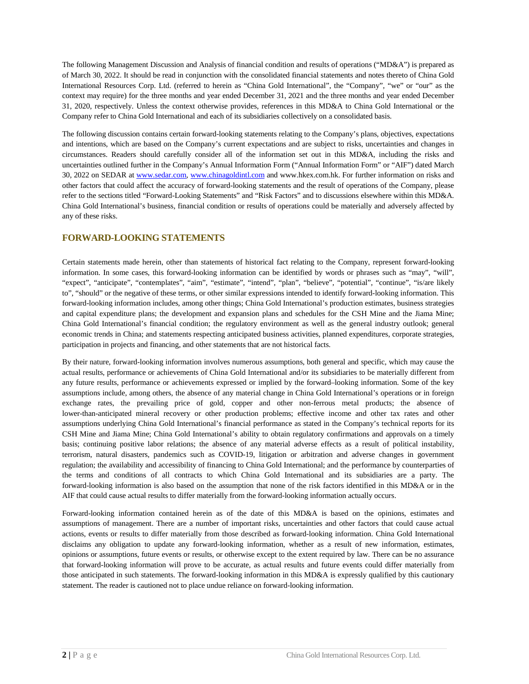The following Management Discussion and Analysis of financial condition and results of operations ("MD&A") is prepared as of March 30, 2022. It should be read in conjunction with the consolidated financial statements and notes thereto of China Gold International Resources Corp. Ltd. (referred to herein as "China Gold International", the "Company", "we" or "our" as the context may require) for the three months and year ended December 31, 2021 and the three months and year ended December 31, 2020, respectively. Unless the context otherwise provides, references in this MD&A to China Gold International or the Company refer to China Gold International and each of its subsidiaries collectively on a consolidated basis.

The following discussion contains certain forward-looking statements relating to the Company's plans, objectives, expectations and intentions, which are based on the Company's current expectations and are subject to risks, uncertainties and changes in circumstances. Readers should carefully consider all of the information set out in this MD&A, including the risks and uncertainties outlined further in the Company's Annual Information Form ("Annual Information Form" or "AIF") dated March 30, 2022 on SEDAR at [www.sedar.com,](http://www.sedar.com/) [www.chinagoldintl.com](http://www.chinagoldintl.com/) and www.hkex.com.hk. For further information on risks and other factors that could affect the accuracy of forward-looking statements and the result of operations of the Company, please refer to the sections titled "Forward-Looking Statements" and "Risk Factors" and to discussions elsewhere within this MD&A. China Gold International's business, financial condition or results of operations could be materially and adversely affected by any of these risks.

## **FORWARD-LOOKING STATEMENTS**

Certain statements made herein, other than statements of historical fact relating to the Company, represent forward-looking information. In some cases, this forward-looking information can be identified by words or phrases such as "may", "will", "expect", "anticipate", "contemplates", "aim", "estimate", "intend", "plan", "believe", "potential", "continue", "is/are likely to", "should" or the negative of these terms, or other similar expressions intended to identify forward-looking information. This forward-looking information includes, among other things; China Gold International's production estimates, business strategies and capital expenditure plans; the development and expansion plans and schedules for the CSH Mine and the Jiama Mine; China Gold International's financial condition; the regulatory environment as well as the general industry outlook; general economic trends in China; and statements respecting anticipated business activities, planned expenditures, corporate strategies, participation in projects and financing, and other statements that are not historical facts.

By their nature, forward-looking information involves numerous assumptions, both general and specific, which may cause the actual results, performance or achievements of China Gold International and/or its subsidiaries to be materially different from any future results, performance or achievements expressed or implied by the forward–looking information. Some of the key assumptions include, among others, the absence of any material change in China Gold International's operations or in foreign exchange rates, the prevailing price of gold, copper and other non-ferrous metal products; the absence of lower-than-anticipated mineral recovery or other production problems; effective income and other tax rates and other assumptions underlying China Gold International's financial performance as stated in the Company's technical reports for its CSH Mine and Jiama Mine; China Gold International's ability to obtain regulatory confirmations and approvals on a timely basis; continuing positive labor relations; the absence of any material adverse effects as a result of political instability, terrorism, natural disasters, pandemics such as COVID-19, litigation or arbitration and adverse changes in government regulation; the availability and accessibility of financing to China Gold International; and the performance by counterparties of the terms and conditions of all contracts to which China Gold International and its subsidiaries are a party. The forward-looking information is also based on the assumption that none of the risk factors identified in this MD&A or in the AIF that could cause actual results to differ materially from the forward-looking information actually occurs.

Forward-looking information contained herein as of the date of this MD&A is based on the opinions, estimates and assumptions of management. There are a number of important risks, uncertainties and other factors that could cause actual actions, events or results to differ materially from those described as forward-looking information. China Gold International disclaims any obligation to update any forward-looking information, whether as a result of new information, estimates, opinions or assumptions, future events or results, or otherwise except to the extent required by law. There can be no assurance that forward-looking information will prove to be accurate, as actual results and future events could differ materially from those anticipated in such statements. The forward-looking information in this MD&A is expressly qualified by this cautionary statement. The reader is cautioned not to place undue reliance on forward-looking information.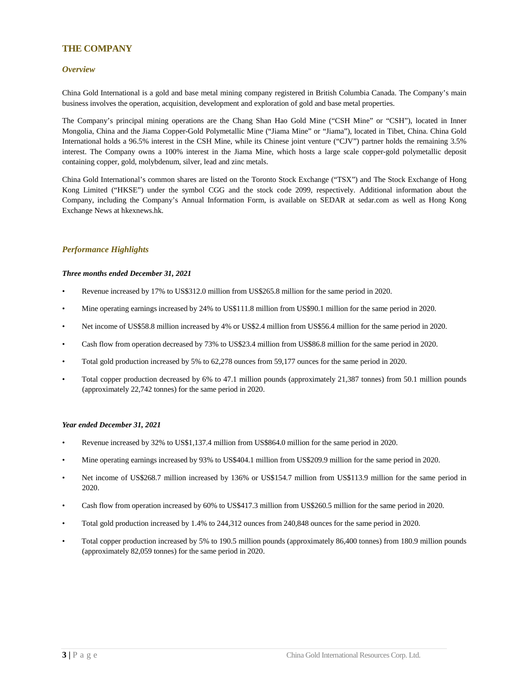## **THE COMPANY**

#### *Overview*

China Gold International is a gold and base metal mining company registered in British Columbia Canada. The Company's main business involves the operation, acquisition, development and exploration of gold and base metal properties.

The Company's principal mining operations are the Chang Shan Hao Gold Mine ("CSH Mine" or "CSH"), located in Inner Mongolia, China and the Jiama Copper-Gold Polymetallic Mine ("Jiama Mine" or "Jiama"), located in Tibet, China. China Gold International holds a 96.5% interest in the CSH Mine, while its Chinese joint venture ("CJV") partner holds the remaining 3.5% interest. The Company owns a 100% interest in the Jiama Mine, which hosts a large scale copper-gold polymetallic deposit containing copper, gold, molybdenum, silver, lead and zinc metals.

China Gold International's common shares are listed on the Toronto Stock Exchange ("TSX") and The Stock Exchange of Hong Kong Limited ("HKSE") under the symbol CGG and the stock code 2099, respectively. Additional information about the Company, including the Company's Annual Information Form, is available on SEDAR at sedar.com as well as Hong Kong Exchange News at hkexnews.hk.

#### *Performance Highlights*

#### *Three months ended December 31, 2021*

- Revenue increased by 17% to US\$312.0 million from US\$265.8 million for the same period in 2020.
- Mine operating earnings increased by 24% to US\$111.8 million from US\$90.1 million for the same period in 2020.
- Net income of US\$58.8 million increased by 4% or US\$2.4 million from US\$56.4 million for the same period in 2020.
- Cash flow from operation decreased by 73% to US\$23.4 million from US\$86.8 million for the same period in 2020.
- Total gold production increased by 5% to 62,278 ounces from 59,177 ounces for the same period in 2020.
- Total copper production decreased by 6% to 47.1 million pounds (approximately 21,387 tonnes) from 50.1 million pounds (approximately 22,742 tonnes) for the same period in 2020.

#### *Year ended December 31, 2021*

- Revenue increased by 32% to US\$1,137.4 million from US\$864.0 million for the same period in 2020.
- Mine operating earnings increased by 93% to US\$404.1 million from US\$209.9 million for the same period in 2020.
- Net income of US\$268.7 million increased by 136% or US\$154.7 million from US\$113.9 million for the same period in 2020.
- Cash flow from operation increased by 60% to US\$417.3 million from US\$260.5 million for the same period in 2020.
- Total gold production increased by 1.4% to 244,312 ounces from 240,848 ounces for the same period in 2020.
- Total copper production increased by 5% to 190.5 million pounds (approximately 86,400 tonnes) from 180.9 million pounds (approximately 82,059 tonnes) for the same period in 2020.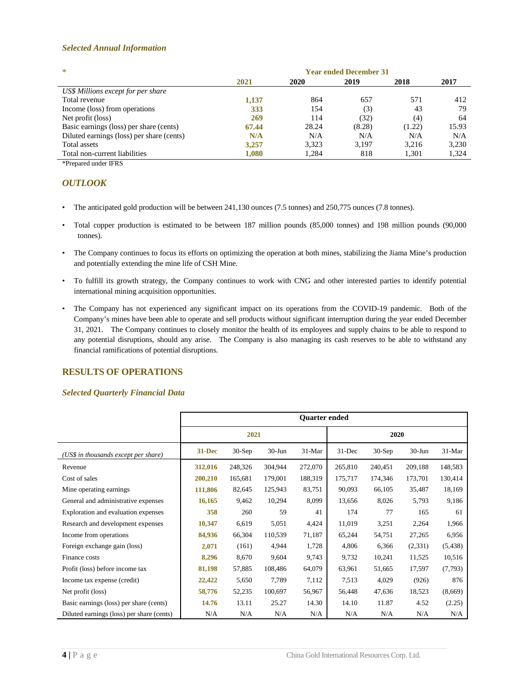#### *Selected Annual Information*

| $\ast$                                    | <b>Year ended December 31</b> |       |        |        |       |  |
|-------------------------------------------|-------------------------------|-------|--------|--------|-------|--|
|                                           | 2021                          | 2020  | 2019   | 2018   | 2017  |  |
| US\$ Millions except for per share        |                               |       |        |        |       |  |
| Total revenue                             | 1,137                         | 864   | 657    | 571    | 412   |  |
| Income (loss) from operations             | 333                           | 154   | (3)    | 43     | 79    |  |
| Net profit (loss)                         | 269                           | 114   | (32)   | (4)    | 64    |  |
| Basic earnings (loss) per share (cents)   | 67.44                         | 28.24 | (8.28) | (1.22) | 15.93 |  |
| Diluted earnings (loss) per share (cents) | N/A                           | N/A   | N/A    | N/A    | N/A   |  |
| Total assets                              | 3,257                         | 3.323 | 3.197  | 3.216  | 3,230 |  |
| Total non-current liabilities             | 1.080                         | 1.284 | 818    | 1.301  | 1.324 |  |

\*Prepared under IFRS

## *OUTLOOK*

- The anticipated gold production will be between 241,130 ounces (7.5 tonnes) and 250,775 ounces (7.8 tonnes).
- Total copper production is estimated to be between 187 million pounds (85,000 tonnes) and 198 million pounds (90,000 tonnes).
- The Company continues to focus its efforts on optimizing the operation at both mines, stabilizing the Jiama Mine's production and potentially extending the mine life of CSH Mine.
- To fulfill its growth strategy, the Company continues to work with CNG and other interested parties to identify potential international mining acquisition opportunities.
- The Company has not experienced any significant impact on its operations from the COVID-19 pandemic. Both of the Company's mines have been able to operate and sell products without significant interruption during the year ended December 31, 2021. The Company continues to closely monitor the health of its employees and supply chains to be able to respond to any potential disruptions, should any arise. The Company is also managing its cash reserves to be able to withstand any financial ramifications of potential disruptions.

## **RESULTS OF OPERATIONS**

#### *Selected Quarterly Financial Data*

|                                           | <b>Ouarter ended</b> |          |            |         |            |          |            |          |
|-------------------------------------------|----------------------|----------|------------|---------|------------|----------|------------|----------|
|                                           |                      | 2021     |            |         | 2020       |          |            |          |
| (US\$ in thousands except per share)      | <b>31-Dec</b>        | $30-Sep$ | $30 - Jun$ | 31-Mar  | $31 - Dec$ | $30-Sep$ | $30 - Jun$ | 31-Mar   |
| Revenue                                   | 312,016              | 248,326  | 304,944    | 272,070 | 265,810    | 240,451  | 209,188    | 148,583  |
| Cost of sales                             | 200,210              | 165,681  | 179,001    | 188,319 | 175,717    | 174,346  | 173,701    | 130,414  |
| Mine operating earnings.                  | 111,806              | 82,645   | 125,943    | 83,751  | 90,093     | 66,105   | 35,487     | 18,169   |
| General and administrative expenses       | 16,165               | 9,462    | 10,294     | 8,099   | 13,656     | 8,026    | 5,793      | 9,186    |
| Exploration and evaluation expenses       | 358                  | 260      | 59         | 41      | 174        | 77       | 165        | 61       |
| Research and development expenses         | 10,347               | 6,619    | 5,051      | 4,424   | 11,019     | 3,251    | 2,264      | 1,966    |
| Income from operations                    | 84,936               | 66,304   | 110,539    | 71,187  | 65,244     | 54,751   | 27,265     | 6,956    |
| Foreign exchange gain (loss)              | 2,071                | (161)    | 4,944      | 1,728   | 4,806      | 6,366    | (2, 331)   | (5, 438) |
| Finance costs                             | 8,296                | 8,670    | 9,604      | 9,743   | 9,732      | 10,241   | 11,525     | 10,516   |
| Profit (loss) before income tax           | 81,198               | 57,885   | 108,486    | 64,079  | 63,961     | 51,665   | 17,597     | (7, 793) |
| Income tax expense (credit)               | 22,422               | 5,650    | 7,789      | 7,112   | 7,513      | 4,029    | (926)      | 876      |
| Net profit (loss)                         | 58,776               | 52,235   | 100,697    | 56,967  | 56,448     | 47,636   | 18,523     | (8,669)  |
| Basic earnings (loss) per share (cents)   | 14.76                | 13.11    | 25.27      | 14.30   | 14.10      | 11.87    | 4.52       | (2.25)   |
| Diluted earnings (loss) per share (cents) | N/A                  | N/A      | N/A        | N/A     | N/A        | N/A      | N/A        | N/A      |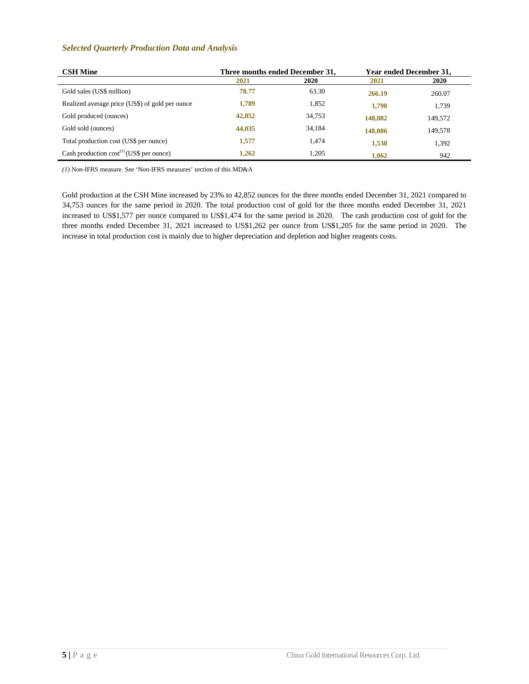### *Selected Quarterly Production Data and Analysis*

| <b>CSH Mine</b>                                 | Three months ended December 31, |        |         | Year ended December 31, |
|-------------------------------------------------|---------------------------------|--------|---------|-------------------------|
|                                                 | 2021                            | 2020   | 2021    | <b>2020</b>             |
| Gold sales (US\$ million)                       | 78.77                           | 63.30  | 266.19  | 260.07                  |
| Realized average price (US\$) of gold per ounce | 1,789                           | 1,852  | 1,798   | 1,739                   |
| Gold produced (ounces)                          | 42,852                          | 34,753 | 148,082 | 149.572                 |
| Gold sold (ounces)                              | 44,035                          | 34,184 | 148,086 | 149,578                 |
| Total production cost (US\$ per ounce)          | 1,577                           | 1,474  | 1,538   | 1,392                   |
| Cash production $cost^{(1)}$ (US\$ per ounce)   | 1.262                           | 1.205  | 1.062   | 942                     |

*(1)* Non-IFRS measure. See 'Non-IFRS measures' section of this MD&A

Gold production at the CSH Mine increased by 23% to 42,852 ounces for the three months ended December 31, 2021 compared to 34,753 ounces for the same period in 2020. The total production cost of gold for the three months ended December 31, 2021 increased to US\$1,577 per ounce compared to US\$1,474 for the same period in 2020. The cash production cost of gold for the three months ended December 31, 2021 increased to US\$1,262 per ounce from US\$1,205 for the same period in 2020. The increase in total production cost is mainly due to higher depreciation and depletion and higher reagents costs.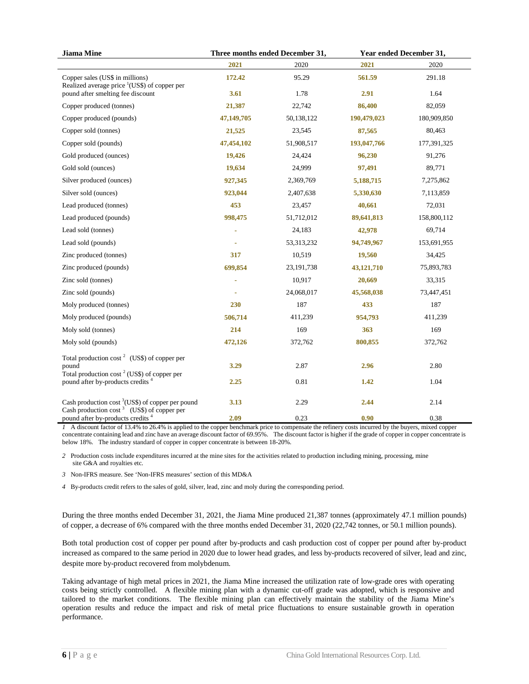| <b>Jiama Mine</b>                                                                                         | Three months ended December 31, |              |             | Year ended December 31, |
|-----------------------------------------------------------------------------------------------------------|---------------------------------|--------------|-------------|-------------------------|
|                                                                                                           | 2021                            | 2020         | 2021        | 2020                    |
| Copper sales (US\$ in millions)<br>Realized average price $\frac{1}{1}$ (US\$) of copper per              | 172.42                          | 95.29        | 561.59      | 291.18                  |
| pound after smelting fee discount                                                                         | 3.61                            | 1.78         | 2.91        | 1.64                    |
| Copper produced (tonnes)                                                                                  | 21,387                          | 22,742       | 86,400      | 82,059                  |
| Copper produced (pounds)                                                                                  | 47,149,705                      | 50,138,122   | 190,479,023 | 180,909,850             |
| Copper sold (tonnes)                                                                                      | 21,525                          | 23,545       | 87,565      | 80,463                  |
| Copper sold (pounds)                                                                                      | 47,454,102                      | 51,908,517   | 193,047,766 | 177,391,325             |
| Gold produced (ounces)                                                                                    | 19,426                          | 24,424       | 96,230      | 91,276                  |
| Gold sold (ounces)                                                                                        | 19,634                          | 24,999       | 97,491      | 89,771                  |
| Silver produced (ounces)                                                                                  | 927,345                         | 2,369,769    | 5,188,715   | 7,275,862               |
| Silver sold (ounces)                                                                                      | 923,044                         | 2,407,638    | 5,330,630   | 7,113,859               |
| Lead produced (tonnes)                                                                                    | 453                             | 23,457       | 40,661      | 72,031                  |
| Lead produced (pounds)                                                                                    | 998,475                         | 51,712,012   | 89,641,813  | 158,800,112             |
| Lead sold (tonnes)                                                                                        |                                 | 24,183       | 42,978      | 69,714                  |
| Lead sold (pounds)                                                                                        |                                 | 53, 313, 232 | 94,749,967  | 153,691,955             |
| Zinc produced (tonnes)                                                                                    | 317                             | 10,519       | 19,560      | 34,425                  |
| Zinc produced (pounds)                                                                                    | 699,854                         | 23, 191, 738 | 43,121,710  | 75,893,783              |
| Zinc sold (tonnes)                                                                                        |                                 | 10,917       | 20,669      | 33,315                  |
| Zinc sold (pounds)                                                                                        |                                 | 24,068,017   | 45,568,038  | 73,447,451              |
| Moly produced (tonnes)                                                                                    | 230                             | 187          | 433         | 187                     |
| Moly produced (pounds)                                                                                    | 506,714                         | 411,239      | 954,793     | 411,239                 |
| Moly sold (tonnes)                                                                                        | 214                             | 169          | 363         | 169                     |
| Moly sold (pounds)                                                                                        | 472,126                         | 372,762      | 800,855     | 372,762                 |
| Total production $\cos^2$ (US\$) of copper per                                                            |                                 |              |             |                         |
| pound                                                                                                     | 3.29                            | 2.87         | 2.96        | 2.80                    |
| Total production cost $2$ (US\$) of copper per<br>pound after by-products credits <sup>4</sup>            | 2.25                            | 0.81         | 1.42        | 1.04                    |
| Cash production cost ${}^{3}$ (US\$) of copper per pound<br>Cash production $\cos^3$ (US\$) of copper per | 3.13                            | 2.29         | 2.44        | 2.14                    |
| pound after by-products credits <sup>4</sup>                                                              | 2.09                            | 0.23         | 0.90        | 0.38                    |

*1* A discount factor of 13.4% to 26.4% is applied to the copper benchmark price to compensate the refinery costs incurred by the buyers, mixed copper concentrate containing lead and zinc have an average discount factor of 69.95%. The discount factor is higher if the grade of copper in copper concentrate is below 18%. The industry standard of copper in copper concentrate is between 18-20%.

*2* Production costs include expenditures incurred at the mine sites for the activities related to production including mining, processing, mine site G&A and royalties etc.

*3* Non-IFRS measure. See 'Non-IFRS measures' section of this MD&A

*4* By-products credit refers to the sales of gold, silver, lead, zinc and moly during the corresponding period.

During the three months ended December 31, 2021, the Jiama Mine produced 21,387 tonnes (approximately 47.1 million pounds) of copper, a decrease of 6% compared with the three months ended December 31, 2020 (22,742 tonnes, or 50.1 million pounds).

Both total production cost of copper per pound after by-products and cash production cost of copper per pound after by-product increased as compared to the same period in 2020 due to lower head grades, and less by-products recovered of silver, lead and zinc, despite more by-product recovered from molybdenum.

Taking advantage of high metal prices in 2021, the Jiama Mine increased the utilization rate of low-grade ores with operating costs being strictly controlled. A flexible mining plan with a dynamic cut-off grade was adopted, which is responsive and tailored to the market conditions. The flexible mining plan can effectively maintain the stability of the Jiama Mine's operation results and reduce the impact and risk of metal price fluctuations to ensure sustainable growth in operation performance.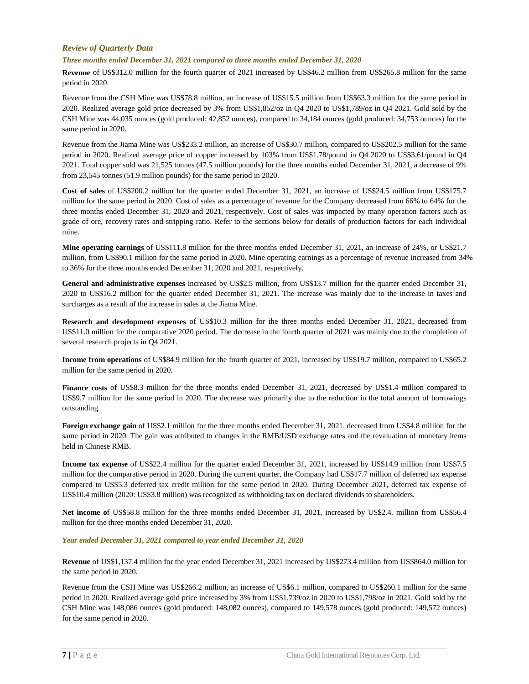#### *Review of Quarterly Data*

#### *Three months ended December 31, 2021 compared to three months ended December 31, 2020*

Revenue of US\$312.0 million for the fourth quarter of 2021 increased by US\$46.2 million from US\$265.8 million for the same period in 2020.

Revenue from the CSH Mine was US\$78.8 million, an increase of US\$15.5 million from US\$63.3 million for the same period in 2020. Realized average gold price decreased by 3% from US\$1,852/oz in Q4 2020 to US\$1,789/oz in Q4 2021. Gold sold by the CSH Mine was 44,035 ounces (gold produced: 42,852 ounces), compared to 34,184 ounces (gold produced: 34,753 ounces) for the same period in 2020.

Revenue from the Jiama Mine was US\$233.2 million, an increase of US\$30.7 million, compared to US\$202.5 million for the same period in 2020. Realized average price of copper increased by 103% from US\$1.78/pound in Q4 2020 to US\$3.61/pound in Q4 2021. Total copper sold was 21,525 tonnes (47.5 million pounds) for the three months ended December 31, 2021, a decrease of 9% from 23,545 tonnes (51.9 million pounds) for the same period in 2020.

**Cost of sales** of US\$200.2 million for the quarter ended December 31, 2021, an increase of US\$24.5 million from US\$175.7 million for the same period in 2020. Cost of sales as a percentage of revenue for the Company decreased from 66% to 64% for the three months ended December 31, 2020 and 2021, respectively. Cost of sales was impacted by many operation factors such as grade of ore, recovery rates and stripping ratio. Refer to the sections below for details of production factors for each individual mine.

**Mine operating earnings** of US\$111.8 million for the three months ended December 31, 2021, an increase of 24%, or US\$21.7 million, from US\$90.1 million for the same period in 2020. Mine operating earnings as a percentage of revenue increased from 34% to 36% for the three months ended December 31, 2020 and 2021, respectively.

**General and administrative expenses** increased by US\$2.5 million, from US\$13.7 million for the quarter ended December 31, 2020 to US\$16.2 million for the quarter ended December 31, 2021. The increase was mainly due to the increase in taxes and surcharges as a result of the increase in sales at the Jiama Mine.

**Research and development expenses** of US\$10.3 million for the three months ended December 31, 2021, decreased from US\$11.0 million for the comparative 2020 period. The decrease in the fourth quarter of 2021 was mainly due to the completion of several research projects in Q4 2021.

**Income from operations** of US\$84.9 million for the fourth quarter of 2021, increased by US\$19.7 million, compared to US\$65.2 million for the same period in 2020.

**Finance costs** of US\$8.3 million for the three months ended December 31, 2021, decreased by US\$1.4 million compared to US\$9.7 million for the same period in 2020. The decrease was primarily due to the reduction in the total amount of borrowings outstanding.

**Foreign exchange gain** of US\$2.1 million for the three months ended December 31, 2021, decreased from US\$4.8 million for the same period in 2020. The gain was attributed to changes in the RMB/USD exchange rates and the revaluation of monetary items held in Chinese RMB.

**Income tax expense** of US\$22.4 million for the quarter ended December 31, 2021, increased by US\$14.9 million from US\$7.5 million for the comparative period in 2020. During the current quarter, the Company had US\$17.7 million of deferred tax expense compared to US\$5.3 deferred tax credit million for the same period in 2020. During December 2021, deferred tax expense of US\$10.4 million (2020: US\$3.8 million) was recognized as withholding tax on declared dividends to shareholders.

Net income of US\$58.8 million for the three months ended December 31, 2021, increased by US\$2.4. million from US\$56.4 million for the three months ended December 31, 2020.

#### *Year ended December 31, 2021 compared to year ended December 31, 2020*

**Revenue** of US\$1,137.4 million for the year ended December 31, 2021 increased by US\$273.4 million from US\$864.0 million for the same period in 2020.

Revenue from the CSH Mine was US\$266.2 million, an increase of US\$6.1 million, compared to US\$260.1 million for the same period in 2020. Realized average gold price increased by 3% from US\$1,739/oz in 2020 to US\$1,798/oz in 2021. Gold sold by the CSH Mine was 148,086 ounces (gold produced: 148,082 ounces), compared to 149,578 ounces (gold produced: 149,572 ounces) for the same period in 2020.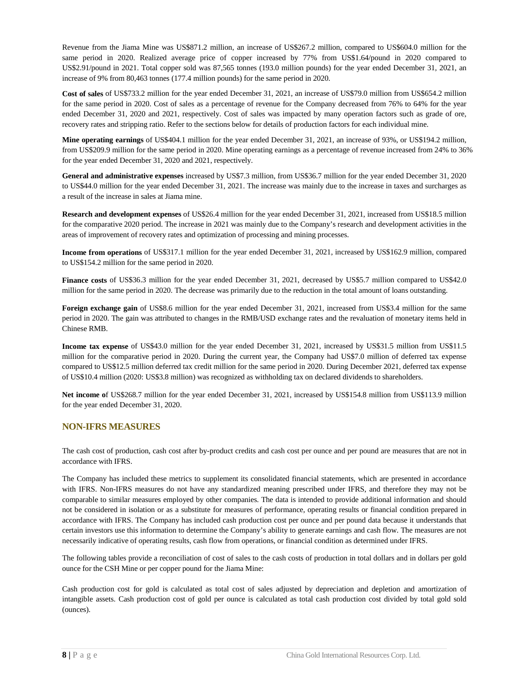Revenue from the Jiama Mine was US\$871.2 million, an increase of US\$267.2 million, compared to US\$604.0 million for the same period in 2020. Realized average price of copper increased by 77% from US\$1.64/pound in 2020 compared to US\$2.91/pound in 2021. Total copper sold was 87,565 tonnes (193.0 million pounds) for the year ended December 31, 2021, an increase of 9% from 80,463 tonnes (177.4 million pounds) for the same period in 2020.

**Cost of sales** of US\$733.2 million for the year ended December 31, 2021, an increase of US\$79.0 million from US\$654.2 million for the same period in 2020. Cost of sales as a percentage of revenue for the Company decreased from 76% to 64% for the year ended December 31, 2020 and 2021, respectively. Cost of sales was impacted by many operation factors such as grade of ore, recovery rates and stripping ratio. Refer to the sections below for details of production factors for each individual mine.

**Mine operating earnings** of US\$404.1 million for the year ended December 31, 2021, an increase of 93%, or US\$194.2 million, from US\$209.9 million for the same period in 2020. Mine operating earnings as a percentage of revenue increased from 24% to 36% for the year ended December 31, 2020 and 2021, respectively.

**General and administrative expenses** increased by US\$7.3 million, from US\$36.7 million for the year ended December 31, 2020 to US\$44.0 million for the year ended December 31, 2021. The increase was mainly due to the increase in taxes and surcharges as a result of the increase in sales at Jiama mine.

**Research and development expenses** of US\$26.4 million for the year ended December 31, 2021, increased from US\$18.5 million for the comparative 2020 period. The increase in 2021 was mainly due to the Company's research and development activities in the areas of improvement of recovery rates and optimization of processing and mining processes.

**Income from operations** of US\$317.1 million for the year ended December 31, 2021, increased by US\$162.9 million, compared to US\$154.2 million for the same period in 2020.

**Finance costs** of US\$36.3 million for the year ended December 31, 2021, decreased by US\$5.7 million compared to US\$42.0 million for the same period in 2020. The decrease was primarily due to the reduction in the total amount of loans outstanding.

**Foreign exchange gain** of US\$8.6 million for the year ended December 31, 2021, increased from US\$3.4 million for the same period in 2020. The gain was attributed to changes in the RMB/USD exchange rates and the revaluation of monetary items held in Chinese RMB.

**Income tax expense** of US\$43.0 million for the year ended December 31, 2021, increased by US\$31.5 million from US\$11.5 million for the comparative period in 2020. During the current year, the Company had US\$7.0 million of deferred tax expense compared to US\$12.5 million deferred tax credit million for the same period in 2020. During December 2021, deferred tax expense of US\$10.4 million (2020: US\$3.8 million) was recognized as withholding tax on declared dividends to shareholders.

**Net income o**f US\$268.7 million for the year ended December 31, 2021, increased by US\$154.8 million from US\$113.9 million for the year ended December 31, 2020.

## **NON-IFRS MEASURES**

The cash cost of production, cash cost after by-product credits and cash cost per ounce and per pound are measures that are not in accordance with IFRS.

The Company has included these metrics to supplement its consolidated financial statements, which are presented in accordance with IFRS. Non-IFRS measures do not have any standardized meaning prescribed under IFRS, and therefore they may not be comparable to similar measures employed by other companies. The data is intended to provide additional information and should not be considered in isolation or as a substitute for measures of performance, operating results or financial condition prepared in accordance with IFRS. The Company has included cash production cost per ounce and per pound data because it understands that certain investors use this information to determine the Company's ability to generate earnings and cash flow. The measures are not necessarily indicative of operating results, cash flow from operations, or financial condition as determined under IFRS.

The following tables provide a reconciliation of cost of sales to the cash costs of production in total dollars and in dollars per gold ounce for the CSH Mine or per copper pound for the Jiama Mine:

Cash production cost for gold is calculated as total cost of sales adjusted by depreciation and depletion and amortization of intangible assets. Cash production cost of gold per ounce is calculated as total cash production cost divided by total gold sold (ounces).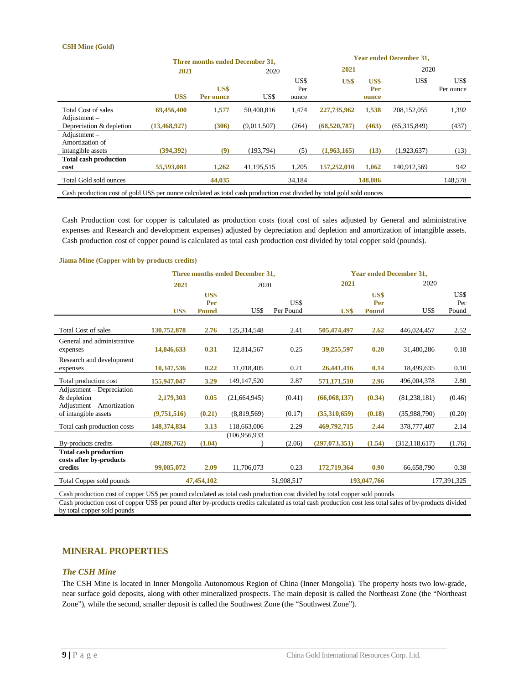#### **CSH Mine (Gold)**

|                                                               | Three months ended December 31,                                                                                        |                   |             |                      |              | <b>Year ended December 31.</b> |              |                   |  |
|---------------------------------------------------------------|------------------------------------------------------------------------------------------------------------------------|-------------------|-------------|----------------------|--------------|--------------------------------|--------------|-------------------|--|
|                                                               | 2021                                                                                                                   |                   | 2020        |                      | 2021         |                                | 2020         |                   |  |
|                                                               | US\$                                                                                                                   | US\$<br>Per ounce | US\$        | US\$<br>Per<br>ounce | US\$         | US\$<br>Per<br>ounce           | US\$         | US\$<br>Per ounce |  |
| <b>Total Cost of sales</b><br>$Adjustment -$                  | 69,456,400                                                                                                             | 1,577             | 50,400,816  | 1,474                | 227,735,962  | 1,538                          | 208,152,055  | 1,392             |  |
| Depreciation & depletion                                      | (13,468,927)                                                                                                           | (306)             | (9,011,507) | (264)                | (68,520,787) | (463)                          | (65,315,849) | (437)             |  |
| $\text{Adjustment}$ –<br>Amortization of<br>intangible assets | (394.392)                                                                                                              | (9)               | (193, 794)  | (5)                  | (1,963,165)  | (13)                           | (1,923,637)  | (13)              |  |
| <b>Total cash production</b><br>cost                          | 55,593,081                                                                                                             | 1.262             | 41.195.515  | 1.205                | 157,252,010  | 1.062                          | 140,912,569  | 942               |  |
| Total Gold sold ounces                                        |                                                                                                                        | 44,035            |             | 34,184               |              | 148,086                        |              | 148,578           |  |
|                                                               | Cash production cost of gold US\$ per ounce calculated as total cash production cost divided by total gold sold ounces |                   |             |                      |              |                                |              |                   |  |

Cash Production cost for copper is calculated as production costs (total cost of sales adjusted by General and administrative expenses and Research and development expenses) adjusted by depreciation and depletion and amortization of intangible assets. Cash production cost of copper pound is calculated as total cash production cost divided by total copper sold (pounds).

#### **Jiama Mine (Copper with by-products credits)**

|                                                                       | Three months ended December 31, |                             |                | <b>Year ended December 31,</b> |                 |                             |                 |                      |
|-----------------------------------------------------------------------|---------------------------------|-----------------------------|----------------|--------------------------------|-----------------|-----------------------------|-----------------|----------------------|
|                                                                       | 2021                            |                             | 2020           |                                | 2021            |                             | 2020            |                      |
|                                                                       | US\$                            | US\$<br>Per<br><b>Pound</b> | US\$           | US\$<br>Per Pound              | US\$            | US\$<br>Per<br><b>Pound</b> | US\$            | US\$<br>Per<br>Pound |
|                                                                       |                                 |                             |                |                                |                 |                             |                 |                      |
| Total Cost of sales                                                   | 130,752,878                     | 2.76                        | 125,314,548    | 2.41                           | 505,474,497     | 2.62                        | 446,024,457     | 2.52                 |
| General and administrative<br>expenses                                | 14,846,633                      | 0.31                        | 12,814,567     | 0.25                           | 39,255,597      | 0.20                        | 31,480,286      | 0.18                 |
| Research and development<br>expenses                                  | 10,347,536                      | 0.22                        | 11,018,405     | 0.21                           | 26,441,416      | 0.14                        | 18,499,635      | 0.10                 |
| Total production cost                                                 | 155,947,047                     | 3.29                        | 149, 147, 520  | 2.87                           | 571,171,510     | 2.96                        | 496,004,378     | 2.80                 |
| Adjustment – Depreciation<br>& depletion<br>Adjustment - Amortization | 2,179,303                       | 0.05                        | (21, 664, 945) | (0.41)                         | (66,068,137)    | (0.34)                      | (81, 238, 181)  | (0.46)               |
| of intangible assets                                                  | (9,751,516)                     | (0.21)                      | (8,819,569)    | (0.17)                         | (35,310,659)    | (0.18)                      | (35,988,790)    | (0.20)               |
| Total cash production costs                                           | 148,374,834                     | 3.13                        | 118,663,006    | 2.29                           | 469,792,715     | 2.44                        | 378,777,407     | 2.14                 |
| By-products credits                                                   | (49, 289, 762)                  | (1.04)                      | (106,956,933)  | (2.06)                         | (297, 073, 351) | (1.54)                      | (312, 118, 617) | (1.76)               |
| <b>Total cash production</b><br>costs after by-products               |                                 |                             |                |                                |                 |                             |                 |                      |
| credits                                                               | 99,085,072                      | 2.09                        | 11,706,073     | 0.23                           | 172,719,364     | 0.90                        | 66,658,790      | 0.38                 |
| Total Copper sold pounds                                              |                                 | 47,454,102                  |                | 51,908,517                     |                 | 193,047,766                 |                 | 177,391,325          |

Cash production cost of copper US\$ per pound calculated as total cash production cost divided by total copper sold pounds Cash production cost of copper US\$ per pound after by-products credits calculated as total cash production cost less total sales of by-products divided by total copper sold pounds

### **MINERAL PROPERTIES**

#### *The CSH Mine*

The CSH Mine is located in Inner Mongolia Autonomous Region of China (Inner Mongolia). The property hosts two low-grade, near surface gold deposits, along with other mineralized prospects. The main deposit is called the Northeast Zone (the "Northeast Zone"), while the second, smaller deposit is called the Southwest Zone (the "Southwest Zone").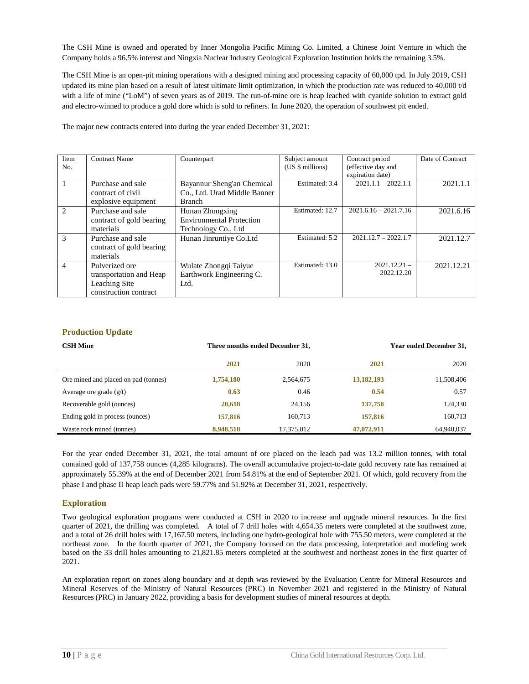The CSH Mine is owned and operated by Inner Mongolia Pacific Mining Co. Limited, a Chinese Joint Venture in which the Company holds a 96.5% interest and Ningxia Nuclear Industry Geological Exploration Institution holds the remaining 3.5%.

The CSH Mine is an open-pit mining operations with a designed mining and processing capacity of 60,000 tpd. In July 2019, CSH updated its mine plan based on a result of latest ultimate limit optimization, in which the production rate was reduced to 40,000 t/d with a life of mine ("LoM") of seven years as of 2019. The run-of-mine ore is heap leached with cyanide solution to extract gold and electro-winned to produce a gold dore which is sold to refiners. In June 2020, the operation of southwest pit ended.

The major new contracts entered into during the year ended December 31, 2021:

| Item<br>No.                 | <b>Contract Name</b>     | Counterpart                     | Subject amount<br>(US \$ millions) | Contract period<br>(effective day and | Date of Contract |
|-----------------------------|--------------------------|---------------------------------|------------------------------------|---------------------------------------|------------------|
|                             |                          |                                 |                                    | expiration date)                      |                  |
|                             | Purchase and sale        | Bayannur Sheng'an Chemical      | Estimated: 3.4                     | $2021.1.1 - 2022.1.1$                 | 2021.1.1         |
|                             | contract of civil        | Co., Ltd. Urad Middle Banner    |                                    |                                       |                  |
|                             | explosive equipment      | <b>Branch</b>                   |                                    |                                       |                  |
| $\mathcal{D}_{\mathcal{L}}$ | Purchase and sale        | Hunan Zhongxing                 | Estimated: 12.7                    | $2021.6.16 - 2021.7.16$               | 2021.6.16        |
|                             | contract of gold bearing | <b>Environmental Protection</b> |                                    |                                       |                  |
|                             | materials                | Technology Co., Ltd             |                                    |                                       |                  |
| 3                           | Purchase and sale        | Hunan Jinruntiye Co.Ltd         | Estimated: 5.2                     | $2021.12.7 - 2022.1.7$                | 2021.12.7        |
|                             | contract of gold bearing |                                 |                                    |                                       |                  |
|                             | materials                |                                 |                                    |                                       |                  |
| $\overline{4}$              | Pulverized ore           | Wulate Zhongqi Taiyue           | Estimated: 13.0                    | $2021.12.21 -$                        | 2021.12.21       |
|                             | transportation and Heap  | Earthwork Engineering C.        |                                    | 2022.12.20                            |                  |
|                             | Leaching Site            | Ltd.                            |                                    |                                       |                  |
|                             | construction contract    |                                 |                                    |                                       |                  |

#### **Production Update**

| <b>CSH Mine</b><br>Three months ended December 31, |           |            |            | Year ended December 31, |
|----------------------------------------------------|-----------|------------|------------|-------------------------|
|                                                    | 2021      | 2020       | 2021       | 2020                    |
| Ore mined and placed on pad (tonnes)               | 1,754,180 | 2,564,675  | 13,182,193 | 11,508,406              |
| Average ore grade $(g/t)$                          | 0.63      | 0.46       | 0.54       | 0.57                    |
| Recoverable gold (ounces)                          | 20,618    | 24,156     | 137,758    | 124,330                 |
| Ending gold in process (ounces)                    | 157,816   | 160,713    | 157,816    | 160,713                 |
| Waste rock mined (tonnes)                          | 8,948,518 | 17,375,012 | 47,072,911 | 64,940,037              |

For the year ended December 31, 2021, the total amount of ore placed on the leach pad was 13.2 million tonnes, with total contained gold of 137,758 ounces (4,285 kilograms). The overall accumulative project-to-date gold recovery rate has remained at approximately 55.39% at the end of December 2021 from 54.81% at the end of September 2021. Of which, gold recovery from the phase I and phase II heap leach pads were 59.77% and 51.92% at December 31, 2021, respectively.

#### **Exploration**

Two geological exploration programs were conducted at CSH in 2020 to increase and upgrade mineral resources. In the first quarter of 2021, the drilling was completed. A total of 7 drill holes with 4,654.35 meters were completed at the southwest zone, and a total of 26 drill holes with 17,167.50 meters, including one hydro-geological hole with 755.50 meters, were completed at the northeast zone. In the fourth quarter of 2021, the Company focused on the data processing, interpretation and modeling work based on the 33 drill holes amounting to 21,821.85 meters completed at the southwest and northeast zones in the first quarter of 2021.

An exploration report on zones along boundary and at depth was reviewed by the Evaluation Centre for Mineral Resources and Mineral Reserves of the Ministry of Natural Resources (PRC) in November 2021 and registered in the Ministry of Natural Resources (PRC) in January 2022, providing a basis for development studies of mineral resources at depth.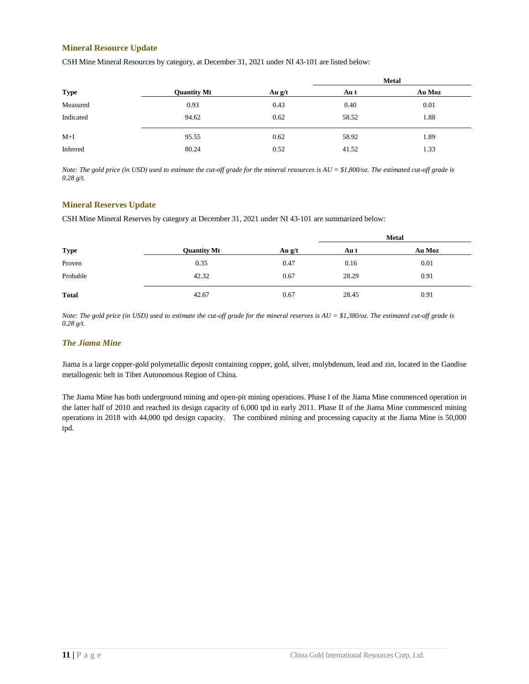#### **Mineral Resource Update**

|             |                    |          |       | <b>Metal</b> |  |
|-------------|--------------------|----------|-------|--------------|--|
| <b>Type</b> | <b>Quantity Mt</b> | Au $g/t$ | Au t  | Au Moz       |  |
| Measured    | 0.93               | 0.43     | 0.40  | 0.01         |  |
| Indicated   | 94.62              | 0.62     | 58.52 | 1.88         |  |
| $M+I$       | 95.55              | 0.62     | 58.92 | 1.89         |  |
| Inferred    | 80.24              | 0.52     | 41.52 | 1.33         |  |

CSH Mine Mineral Resources by category, at December 31, 2021 under NI 43-101 are listed below:

*Note: The gold price (in USD) used to estimate the cut-off grade for the mineral resources is AU = \$1,800/oz. The estimated cut-off grade is 0.28 g/t.*

#### **Mineral Reserves Update**

CSH Mine Mineral Reserves by category at December 31, 2021 under NI 43-101 are summarized below:

|              |                    |          |       | <b>Metal</b> |  |
|--------------|--------------------|----------|-------|--------------|--|
| <b>Type</b>  | <b>Quantity Mt</b> | Au $g/t$ | Au t  | Au Moz       |  |
| Proven       | 0.35               | 0.47     | 0.16  | 0.01         |  |
| Probable     | 42.32              | 0.67     | 28.29 | 0.91         |  |
| <b>Total</b> | 42.67              | 0.67     | 28.45 | 0.91         |  |

*Note: The gold price (in USD) used to estimate the cut-off grade for the mineral reserves is AU = \$1,380/oz. The estimated cut-off grade is 0.28 g/t.*

#### *The Jiama Mine*

Jiama is a large copper-gold polymetallic deposit containing copper, gold, silver, molybdenum, lead and zin, located in the Gandise metallogenic belt in Tibet Autonomous Region of China.

The Jiama Mine has both underground mining and open-pit mining operations. Phase I of the Jiama Mine commenced operation in the latter half of 2010 and reached its design capacity of 6,000 tpd in early 2011. Phase II of the Jiama Mine commenced mining operations in 2018 with 44,000 tpd design capacity. The combined mining and processing capacity at the Jiama Mine is 50,000 tpd.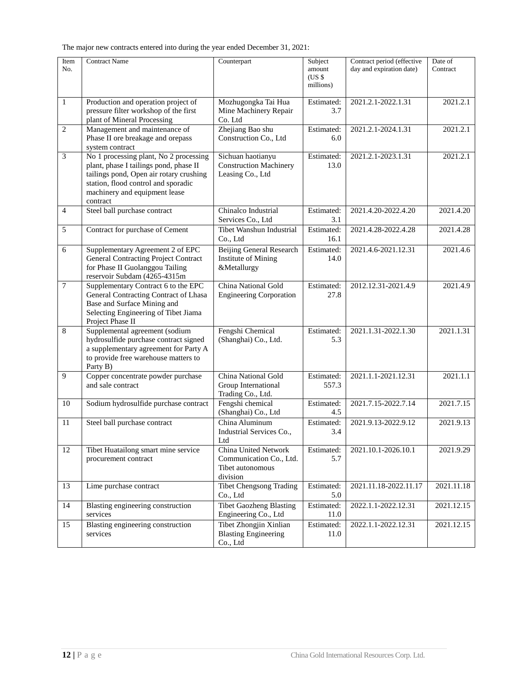The major new contracts entered into during the year ended December 31, 2021:

| Item<br>No.     | <b>Contract Name</b>                                                                                                                                                                                            | Counterpart                                                                            | Subject<br>amount<br>(US \$<br>millions) | Contract period (effective<br>day and expiration date) | Date of<br>Contract |
|-----------------|-----------------------------------------------------------------------------------------------------------------------------------------------------------------------------------------------------------------|----------------------------------------------------------------------------------------|------------------------------------------|--------------------------------------------------------|---------------------|
| $\mathbf{1}$    | Production and operation project of<br>pressure filter workshop of the first<br>plant of Mineral Processing                                                                                                     | Mozhugongka Tai Hua<br>Mine Machinery Repair<br>Co. Ltd                                | Estimated:<br>3.7                        | 2021.2.1-2022.1.31                                     | 2021.2.1            |
| $\overline{2}$  | Management and maintenance of<br>Phase II ore breakage and orepass<br>system contract                                                                                                                           | Zhejiang Bao shu<br>Construction Co., Ltd                                              | Estimated:<br>6.0                        | 2021.2.1-2024.1.31                                     | 2021.2.1            |
| $\overline{3}$  | No 1 processing plant, No 2 processing<br>plant, phase I tailings pond, phase II<br>tailings pond, Open air rotary crushing<br>station, flood control and sporadic<br>machinery and equipment lease<br>contract | Sichuan haotianyu<br><b>Construction Machinery</b><br>Leasing Co., Ltd                 | Estimated:<br>13.0                       | 2021.2.1-2023.1.31                                     | 2021.2.1            |
| $\overline{4}$  | Steel ball purchase contract                                                                                                                                                                                    | Chinalco Industrial<br>Services Co., Ltd                                               | Estimated:<br>3.1                        | 2021.4.20-2022.4.20                                    | 2021.4.20           |
| 5               | Contract for purchase of Cement                                                                                                                                                                                 | Tibet Wanshun Industrial<br>Co., Ltd                                                   | Estimated:<br>16.1                       | 2021.4.28-2022.4.28                                    | 2021.4.28           |
| 6               | Supplementary Agreement 2 of EPC<br><b>General Contracting Project Contract</b><br>for Phase II Guolanggou Tailing<br>reservoir Subdam (4265-4315m                                                              | Beijing General Research<br>Institute of Mining<br>&Metallurgy                         | Estimated:<br>14.0                       | 2021.4.6-2021.12.31                                    | 2021.4.6            |
| $7\phantom{.0}$ | Supplementary Contract 6 to the EPC<br>General Contracting Contract of Lhasa<br>Base and Surface Mining and<br>Selecting Engineering of Tibet Jiama<br>Project Phase II                                         | China National Gold<br><b>Engineering Corporation</b>                                  | Estimated:<br>27.8                       | 2012.12.31-2021.4.9                                    | 2021.4.9            |
| 8               | Supplemental agreement (sodium<br>hydrosulfide purchase contract signed<br>a supplementary agreement for Party A<br>to provide free warehouse matters to<br>Party B)                                            | Fengshi Chemical<br>(Shanghai) Co., Ltd.                                               | Estimated:<br>5.3                        | 2021.1.31-2022.1.30                                    | 2021.1.31           |
| 9               | Copper concentrate powder purchase<br>and sale contract                                                                                                                                                         | China National Gold<br>Group International<br>Trading Co., Ltd.                        | Estimated:<br>557.3                      | 2021.1.1-2021.12.31                                    | 2021.1.1            |
| 10              | Sodium hydrosulfide purchase contract                                                                                                                                                                           | Fengshi chemical<br>(Shanghai) Co., Ltd                                                | Estimated:<br>4.5                        | 2021.7.15-2022.7.14                                    | 2021.7.15           |
| 11              | Steel ball purchase contract                                                                                                                                                                                    | China Aluminum<br>Industrial Services Co.,<br>Ltd                                      | Estimated:<br>3.4                        | 2021.9.13-2022.9.12                                    | 2021.9.13           |
| 12              | Tibet Huatailong smart mine service<br>procurement contract                                                                                                                                                     | <b>China United Network</b><br>Communication Co., Ltd.<br>Tibet autonomous<br>division | Estimated:<br>5.7                        | 2021.10.1-2026.10.1                                    | 2021.9.29           |
| 13              | Lime purchase contract                                                                                                                                                                                          | Tibet Chengsong Trading<br>Co., Ltd                                                    | Estimated:<br>5.0                        | 2021.11.18-2022.11.17                                  | 2021.11.18          |
| 14              | Blasting engineering construction<br>services                                                                                                                                                                   | <b>Tibet Gaozheng Blasting</b><br>Engineering Co., Ltd                                 | Estimated:<br>11.0                       | 2022.1.1-2022.12.31                                    | 2021.12.15          |
| 15              | Blasting engineering construction<br>services                                                                                                                                                                   | Tibet Zhongjin Xinlian<br><b>Blasting Engineering</b><br>Co., Ltd                      | Estimated:<br>11.0                       | 2022.1.1-2022.12.31                                    | 2021.12.15          |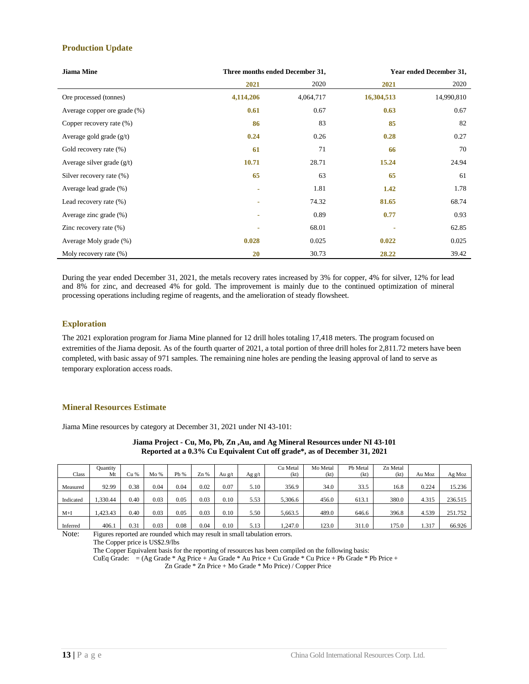#### **Production Update**

| <b>Jiama Mine</b>            | Three months ended December 31, |           | Year ended December 31, |            |  |  |
|------------------------------|---------------------------------|-----------|-------------------------|------------|--|--|
|                              | 2021                            | 2020      | 2021                    | 2020       |  |  |
| Ore processed (tonnes)       | 4,114,206                       | 4,064,717 | 16,304,513              | 14,990,810 |  |  |
| Average copper ore grade (%) | 0.61                            | 0.67      | 0.63                    | 0.67       |  |  |
| Copper recovery rate (%)     | 86                              | 83        | 85                      | 82         |  |  |
| Average gold grade $(g/t)$   | 0.24                            | 0.26      | 0.28                    | 0.27       |  |  |
| Gold recovery rate (%)       | 61                              | 71        | 66                      | 70         |  |  |
| Average silver grade $(g/t)$ | 10.71                           | 28.71     | 15.24                   | 24.94      |  |  |
| Silver recovery rate (%)     | 65                              | 63        | 65                      | 61         |  |  |
| Average lead grade (%)       | ٠                               | 1.81      | 1.42                    | 1.78       |  |  |
| Lead recovery rate (%)       | ٠                               | 74.32     | 81.65                   | 68.74      |  |  |
| Average zinc grade (%)       | ٠                               | 0.89      | 0.77                    | 0.93       |  |  |
| Zinc recovery rate $(\%)$    | ٠                               | 68.01     |                         | 62.85      |  |  |
| Average Moly grade (%)       | 0.028                           | 0.025     | 0.022                   | 0.025      |  |  |
| Moly recovery rate (%)       | 20                              | 30.73     | 28.22                   | 39.42      |  |  |

During the year ended December 31, 2021, the metals recovery rates increased by 3% for copper, 4% for silver, 12% for lead and 8% for zinc, and decreased 4% for gold. The improvement is mainly due to the continued optimization of mineral processing operations including regime of reagents, and the amelioration of steady flowsheet.

## **Exploration**

The 2021 exploration program for Jiama Mine planned for 12 drill holes totaling 17,418 meters. The program focused on extremities of the Jiama deposit. As of the fourth quarter of 2021, a total portion of three drill holes for 2,811.72 meters have been completed, with basic assay of 971 samples. The remaining nine holes are pending the leasing approval of land to serve as temporary exploration access roads.

#### **Mineral Resources Estimate**

Jiama Mine resources by category at December 31, 2021 under NI 43-101:

**Jiama Project - Cu, Mo, Pb, Zn ,Au, and Ag Mineral Resources under NI 43-101 Reported at a 0.3% Cu Equivalent Cut off grade\*, as of December 31, 2021**

|           | Ouantity |      |      |      |      |        |        | Cu Metal | Mo Metal | Pb Metal | Zn Metal |        |         |
|-----------|----------|------|------|------|------|--------|--------|----------|----------|----------|----------|--------|---------|
| Class     | Mt       | Cu % | Mo%  | Pb % | Zn % | Au g/t | Ag g/t | (kt)     | (kt)     | (kt)     | (kt)     | Au Moz | Ag Moz  |
| Measured  | 92.99    | 0.38 | 0.04 | 0.04 | 0.02 | 0.07   | 5.10   | 356.9    | 34.0     | 33.5     | 16.8     | 0.224  | 15.236  |
|           |          |      |      |      |      |        |        |          |          |          |          |        |         |
| Indicated | .330.44  | 0.40 | 0.03 | 0.05 | 0.03 | 0.10   | 5.53   | 5,306.6  | 456.0    | 613.1    | 380.0    | 4.315  | 236.515 |
| $M+I$     | .423.43  | 0.40 | 0.03 | 0.05 | 0.03 | 0.10   | 5.50   | 5,663.5  | 489.0    | 646.6    | 396.8    | 4.539  | 251.752 |
| Inferred  | 406.1    | 0.31 | 0.03 | 0.08 | 0.04 | 0.10   | 5.13   | .247.0   | 123.0    | 311.0    | 75.0     | 1.317  | 66.926  |

Note: Figures reported are rounded which may result in small tabulation errors.

The Copper price is US\$2.9/lbs

The Copper Equivalent basis for the reporting of resources has been compiled on the following basis:

CuEq Grade: = (Ag Grade \* Ag Price + Au Grade \* Au Price + Cu Grade \* Cu Price + Pb Grade \* Pb Price +

Zn Grade \* Zn Price + Mo Grade \* Mo Price) / Copper Price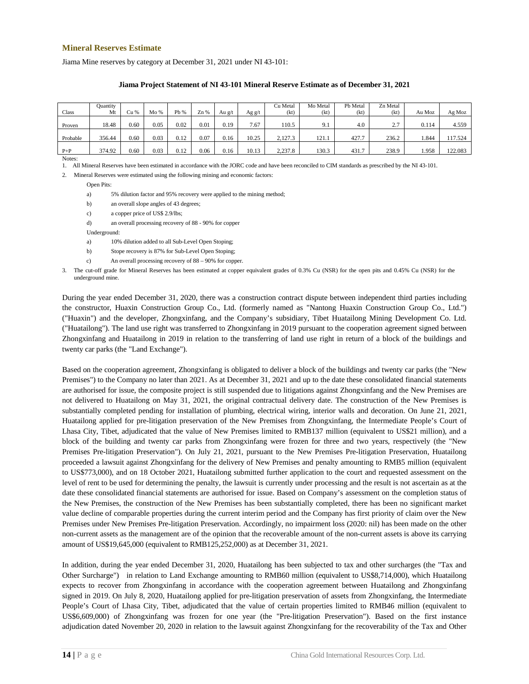#### **Mineral Reserves Estimate**

Jiama Mine reserves by category at December 31, 2021 under NI 43-101:

|          | Ouantity |      |      |      |      |        |        | Cu Metal | Mo Metal | Pb Metal | Zn Metal |        |         |
|----------|----------|------|------|------|------|--------|--------|----------|----------|----------|----------|--------|---------|
| Class    | Mt       | Cu % | Mo%  | Pb % | Zn%  | Au g/t | Ag g/t | (kt)     | (kt)     | (kt)     | (kt)     | Au Moz | Ag Moz  |
|          |          |      |      |      |      |        |        |          |          |          |          |        |         |
| Proven   | 18.48    | 0.60 | 0.05 | 0.02 | 0.01 | 0.19   | 7.67   | 110.5    | 9.1      | 4.0      | 2.7      | 0.114  | 4.559   |
|          |          |      |      |      |      |        |        |          |          |          |          |        |         |
| Probable | 356.44   | 0.60 | 0.03 | 0.12 | 0.07 | 0.16   | 10.25  | 2.127.3  | 121.1    | 427.7    | 236.2    | 1.844  | 117.524 |
|          |          |      |      |      |      |        |        |          |          |          |          |        |         |
| $P+P$    | 374.92   | 0.60 | 0.03 | 0.12 | 0.06 | 0.16   | 10.13  | 2,237.8  | 130.3    | 431.7    | 238.9    | 1.958  | 122.083 |

#### **Jiama Project Statement of NI 43-101 Mineral Reserve Estimate as of December 31, 2021**

Notes:

1. All Mineral Reserves have been estimated in accordance with the JORC code and have been reconciled to CIM standards as prescribed by the NI 43-101.

2. Mineral Reserves were estimated using the following mining and economic factors:

Open Pits:

a) 5% dilution factor and 95% recovery were applied to the mining method;

b) an overall slope angles of 43 degrees;

- c) a copper price of US\$ 2.9/lbs;
- d) an overall processing recovery of 88 90% for copper

Underground:

- a) 10% dilution added to all Sub-Level Open Stoping;
- b) Stope recovery is 87% for Sub-Level Open Stoping;
- c) An overall processing recovery of 88 90% for copper.

3. The cut-off grade for Mineral Reserves has been estimated at copper equivalent grades of 0.3% Cu (NSR) for the open pits and 0.45% Cu (NSR) for the underground mine.

During the year ended December 31, 2020, there was a construction contract dispute between independent third parties including the constructor, Huaxin Construction Group Co., Ltd. (formerly named as "Nantong Huaxin Construction Group Co., Ltd.") ("Huaxin") and the developer, Zhongxinfang, and the Company's subsidiary, Tibet Huatailong Mining Development Co. Ltd. ("Huatailong"). The land use right was transferred to Zhongxinfang in 2019 pursuant to the cooperation agreement signed between Zhongxinfang and Huatailong in 2019 in relation to the transferring of land use right in return of a block of the buildings and twenty car parks (the "Land Exchange").

Based on the cooperation agreement, Zhongxinfang is obligated to deliver a block of the buildings and twenty car parks (the "New Premises") to the Company no later than 2021. As at December 31, 2021 and up to the date these consolidated financial statements are authorised for issue, the composite project is still suspended due to litigations against Zhongxinfang and the New Premises are not delivered to Huatailong on May 31, 2021, the original contractual delivery date. The construction of the New Premises is substantially completed pending for installation of plumbing, electrical wiring, interior walls and decoration. On June 21, 2021, Huatailong applied for pre-litigation preservation of the New Premises from Zhongxinfang, the Intermediate People's Court of Lhasa City, Tibet, adjudicated that the value of New Premises limited to RMB137 million (equivalent to US\$21 million), and a block of the building and twenty car parks from Zhongxinfang were frozen for three and two years, respectively (the "New Premises Pre-litigation Preservation"). On July 21, 2021, pursuant to the New Premises Pre-litigation Preservation, Huatailong proceeded a lawsuit against Zhongxinfang for the delivery of New Premises and penalty amounting to RMB5 million (equivalent to US\$773,000), and on 18 October 2021, Huatailong submitted further application to the court and requested assessment on the level of rent to be used for determining the penalty, the lawsuit is currently under processing and the result is not ascertain as at the date these consolidated financial statements are authorised for issue. Based on Company's assessment on the completion status of the New Premises, the construction of the New Premises has been substantially completed, there has been no significant market value decline of comparable properties during the current interim period and the Company has first priority of claim over the New Premises under New Premises Pre-litigation Preservation. Accordingly, no impairment loss (2020: nil) has been made on the other non-current assets as the management are of the opinion that the recoverable amount of the non-current assets is above its carrying amount of US\$19,645,000 (equivalent to RMB125,252,000) as at December 31, 2021.

In addition, during the year ended December 31, 2020, Huatailong has been subjected to tax and other surcharges (the "Tax and Other Surcharge") in relation to Land Exchange amounting to RMB60 million (equivalent to US\$8,714,000), which Huatailong expects to recover from Zhongxinfang in accordance with the cooperation agreement between Huatailong and Zhongxinfang signed in 2019. On July 8, 2020, Huatailong applied for pre-litigation preservation of assets from Zhongxinfang, the Intermediate People's Court of Lhasa City, Tibet, adjudicated that the value of certain properties limited to RMB46 million (equivalent to US\$6,609,000) of Zhongxinfang was frozen for one year (the "Pre-litigation Preservation"). Based on the first instance adjudication dated November 20, 2020 in relation to the lawsuit against Zhongxinfang for the recoverability of the Tax and Other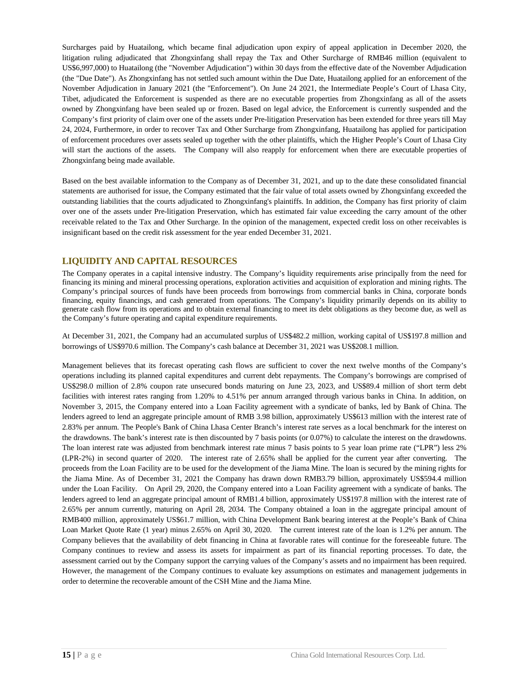Surcharges paid by Huatailong, which became final adjudication upon expiry of appeal application in December 2020, the litigation ruling adjudicated that Zhongxinfang shall repay the Tax and Other Surcharge of RMB46 million (equivalent to US\$6,997,000) to Huatailong (the "November Adjudication") within 30 days from the effective date of the November Adjudication (the "Due Date"). As Zhongxinfang has not settled such amount within the Due Date, Huatailong applied for an enforcement of the November Adjudication in January 2021 (the "Enforcement"). On June 24 2021, the Intermediate People's Court of Lhasa City, Tibet, adjudicated the Enforcement is suspended as there are no executable properties from Zhongxinfang as all of the assets owned by Zhongxinfang have been sealed up or frozen. Based on legal advice, the Enforcement is currently suspended and the Company's first priority of claim over one of the assets under Pre-litigation Preservation has been extended for three years till May 24, 2024, Furthermore, in order to recover Tax and Other Surcharge from Zhongxinfang, Huatailong has applied for participation of enforcement procedures over assets sealed up together with the other plaintiffs, which the Higher People's Court of Lhasa City will start the auctions of the assets. The Company will also reapply for enforcement when there are executable properties of Zhongxinfang being made available.

Based on the best available information to the Company as of December 31, 2021, and up to the date these consolidated financial statements are authorised for issue, the Company estimated that the fair value of total assets owned by Zhongxinfang exceeded the outstanding liabilities that the courts adjudicated to Zhongxinfang's plaintiffs. In addition, the Company has first priority of claim over one of the assets under Pre-litigation Preservation, which has estimated fair value exceeding the carry amount of the other receivable related to the Tax and Other Surcharge. In the opinion of the management, expected credit loss on other receivables is insignificant based on the credit risk assessment for the year ended December 31, 2021.

## **LIQUIDITY AND CAPITAL RESOURCES**

The Company operates in a capital intensive industry. The Company's liquidity requirements arise principally from the need for financing its mining and mineral processing operations, exploration activities and acquisition of exploration and mining rights. The Company's principal sources of funds have been proceeds from borrowings from commercial banks in China, corporate bonds financing, equity financings, and cash generated from operations. The Company's liquidity primarily depends on its ability to generate cash flow from its operations and to obtain external financing to meet its debt obligations as they become due, as well as the Company's future operating and capital expenditure requirements.

At December 31, 2021, the Company had an accumulated surplus of US\$482.2 million, working capital of US\$197.8 million and borrowings of US\$970.6 million. The Company's cash balance at December 31, 2021 was US\$208.1 million.

Management believes that its forecast operating cash flows are sufficient to cover the next twelve months of the Company's operations including its planned capital expenditures and current debt repayments. The Company's borrowings are comprised of US\$298.0 million of 2.8% coupon rate unsecured bonds maturing on June 23, 2023, and US\$89.4 million of short term debt facilities with interest rates ranging from 1.20% to 4.51% per annum arranged through various banks in China. In addition, on November 3, 2015, the Company entered into a Loan Facility agreement with a syndicate of banks, led by Bank of China. The lenders agreed to lend an aggregate principle amount of RMB 3.98 billion, approximately US\$613 million with the interest rate of 2.83% per annum. The People's Bank of China Lhasa Center Branch's interest rate serves as a local benchmark for the interest on the drawdowns. The bank's interest rate is then discounted by 7 basis points (or 0.07%) to calculate the interest on the drawdowns. The loan interest rate was adjusted from benchmark interest rate minus 7 basis points to 5 year loan prime rate ("LPR") less 2% (LPR-2%) in second quarter of 2020. The interest rate of 2.65% shall be applied for the current year after converting. The proceeds from the Loan Facility are to be used for the development of the Jiama Mine. The loan is secured by the mining rights for the Jiama Mine. As of December 31, 2021 the Company has drawn down RMB3.79 billion, approximately US\$594.4 million under the Loan Facility. On April 29, 2020, the Company entered into a Loan Facility agreement with a syndicate of banks. The lenders agreed to lend an aggregate principal amount of RMB1.4 billion, approximately US\$197.8 million with the interest rate of 2.65% per annum currently, maturing on April 28, 2034. The Company obtained a loan in the aggregate principal amount of RMB400 million, approximately US\$61.7 million, with China Development Bank bearing interest at the People's Bank of China Loan Market Quote Rate (1 year) minus 2.65% on April 30, 2020. The current interest rate of the loan is 1.2% per annum. The Company believes that the availability of debt financing in China at favorable rates will continue for the foreseeable future. The Company continues to review and assess its assets for impairment as part of its financial reporting processes. To date, the assessment carried out by the Company support the carrying values of the Company's assets and no impairment has been required. However, the management of the Company continues to evaluate key assumptions on estimates and management judgements in order to determine the recoverable amount of the CSH Mine and the Jiama Mine.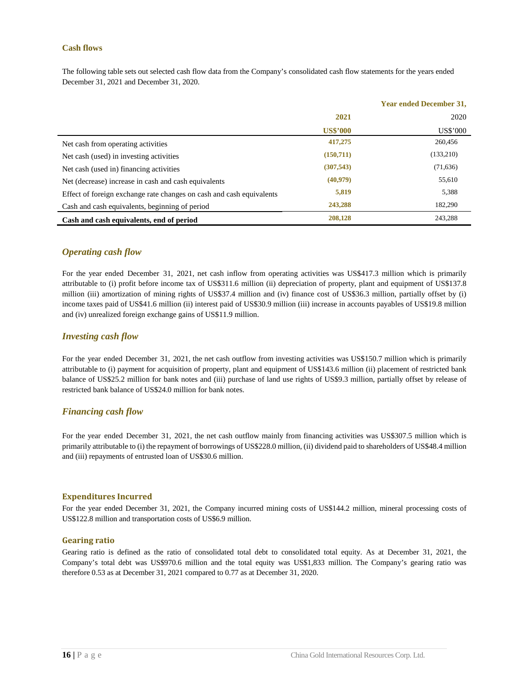#### **Cash flows**

The following table sets out selected cash flow data from the Company's consolidated cash flow statements for the years ended December 31, 2021 and December 31, 2020.

|                                                                      |                 | <b>Year ended December 31,</b> |
|----------------------------------------------------------------------|-----------------|--------------------------------|
|                                                                      | 2021            | 2020                           |
|                                                                      | <b>US\$'000</b> | US\$'000                       |
| Net cash from operating activities                                   | 417,275         | 260,456                        |
| Net cash (used) in investing activities                              | (150, 711)      | (133,210)                      |
| Net cash (used in) financing activities                              | (307, 543)      | (71, 636)                      |
| Net (decrease) increase in cash and cash equivalents                 | (40,979)        | 55,610                         |
| Effect of foreign exchange rate changes on cash and cash equivalents | 5,819           | 5,388                          |
| Cash and cash equivalents, beginning of period                       | 243,288         | 182,290                        |
| Cash and cash equivalents, end of period                             | 208,128         | 243,288                        |

## *Operating cash flow*

For the year ended December 31, 2021, net cash inflow from operating activities was US\$417.3 million which is primarily attributable to (i) profit before income tax of US\$311.6 million (ii) depreciation of property, plant and equipment of US\$137.8 million (iii) amortization of mining rights of US\$37.4 million and (iv) finance cost of US\$36.3 million, partially offset by (i) income taxes paid of US\$41.6 million (ii) interest paid of US\$30.9 million (iii) increase in accounts payables of US\$19.8 million and (iv) unrealized foreign exchange gains of US\$11.9 million.

### *Investing cash flow*

For the year ended December 31, 2021, the net cash outflow from investing activities was US\$150.7 million which is primarily attributable to (i) payment for acquisition of property, plant and equipment of US\$143.6 million (ii) placement of restricted bank balance of US\$25.2 million for bank notes and (iii) purchase of land use rights of US\$9.3 million, partially offset by release of restricted bank balance of US\$24.0 million for bank notes.

#### *Financing cash flow*

For the year ended December 31, 2021, the net cash outflow mainly from financing activities was US\$307.5 million which is primarily attributable to (i) the repayment of borrowings of US\$228.0 million, (ii) dividend paid to shareholders of US\$48.4 million and (iii) repayments of entrusted loan of US\$30.6 million.

#### **Expenditures Incurred**

For the year ended December 31, 2021, the Company incurred mining costs of US\$144.2 million, mineral processing costs of US\$122.8 million and transportation costs of US\$6.9 million.

#### **Gearing ratio**

Gearing ratio is defined as the ratio of consolidated total debt to consolidated total equity. As at December 31, 2021, the Company's total debt was US\$970.6 million and the total equity was US\$1,833 million. The Company's gearing ratio was therefore 0.53 as at December 31, 2021 compared to 0.77 as at December 31, 2020.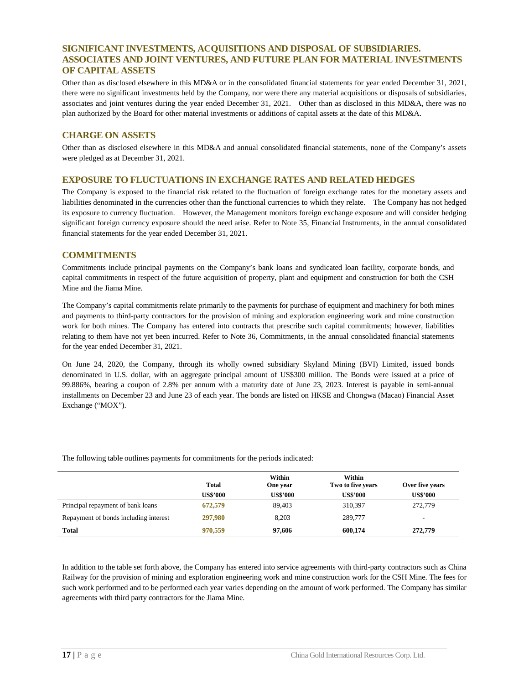## **SIGNIFICANT INVESTMENTS, ACQUISITIONS AND DISPOSAL OF SUBSIDIARIES. ASSOCIATES AND JOINT VENTURES, AND FUTURE PLAN FOR MATERIAL INVESTMENTS OF CAPITAL ASSETS**

Other than as disclosed elsewhere in this MD&A or in the consolidated financial statements for year ended December 31, 2021, there were no significant investments held by the Company, nor were there any material acquisitions or disposals of subsidiaries, associates and joint ventures during the year ended December 31, 2021. Other than as disclosed in this MD&A, there was no plan authorized by the Board for other material investments or additions of capital assets at the date of this MD&A.

## **CHARGE ON ASSETS**

Other than as disclosed elsewhere in this MD&A and annual consolidated financial statements, none of the Company's assets were pledged as at December 31, 2021.

### **EXPOSURE TO FLUCTUATIONS IN EXCHANGE RATES AND RELATED HEDGES**

The Company is exposed to the financial risk related to the fluctuation of foreign exchange rates for the monetary assets and liabilities denominated in the currencies other than the functional currencies to which they relate. The Company has not hedged its exposure to currency fluctuation. However, the Management monitors foreign exchange exposure and will consider hedging significant foreign currency exposure should the need arise. Refer to Note 35, Financial Instruments, in the annual consolidated financial statements for the year ended December 31, 2021.

### **COMMITMENTS**

Commitments include principal payments on the Company's bank loans and syndicated loan facility, corporate bonds, and capital commitments in respect of the future acquisition of property, plant and equipment and construction for both the CSH Mine and the Jiama Mine.

The Company's capital commitments relate primarily to the payments for purchase of equipment and machinery for both mines and payments to third-party contractors for the provision of mining and exploration engineering work and mine construction work for both mines. The Company has entered into contracts that prescribe such capital commitments; however, liabilities relating to them have not yet been incurred. Refer to Note 36, Commitments, in the annual consolidated financial statements for the year ended December 31, 2021.

On June 24, 2020, the Company, through its wholly owned subsidiary Skyland Mining (BVI) Limited, issued bonds denominated in U.S. dollar, with an aggregate principal amount of US\$300 million. The Bonds were issued at a price of 99.886%, bearing a coupon of 2.8% per annum with a maturity date of June 23, 2023. Interest is payable in semi-annual installments on December 23 and June 23 of each year. The bonds are listed on HKSE and Chongwa (Macao) Financial Asset Exchange ("MOX").

The following table outlines payments for commitments for the periods indicated:

|                                       | <b>Total</b>    | Within<br>One year | Within<br>Two to five years | Over five years          |
|---------------------------------------|-----------------|--------------------|-----------------------------|--------------------------|
|                                       | <b>US\$'000</b> | <b>US\$'000</b>    | <b>US\$'000</b>             | <b>US\$'000</b>          |
| Principal repayment of bank loans     | 672,579         | 89,403             | 310,397                     | 272,779                  |
| Repayment of bonds including interest | 297,980         | 8.203              | 289,777                     | $\overline{\phantom{a}}$ |
| Total                                 | 970,559         | 97,606             | 600,174                     | 272,779                  |

In addition to the table set forth above, the Company has entered into service agreements with third-party contractors such as China Railway for the provision of mining and exploration engineering work and mine construction work for the CSH Mine. The fees for such work performed and to be performed each year varies depending on the amount of work performed. The Company has similar agreements with third party contractors for the Jiama Mine.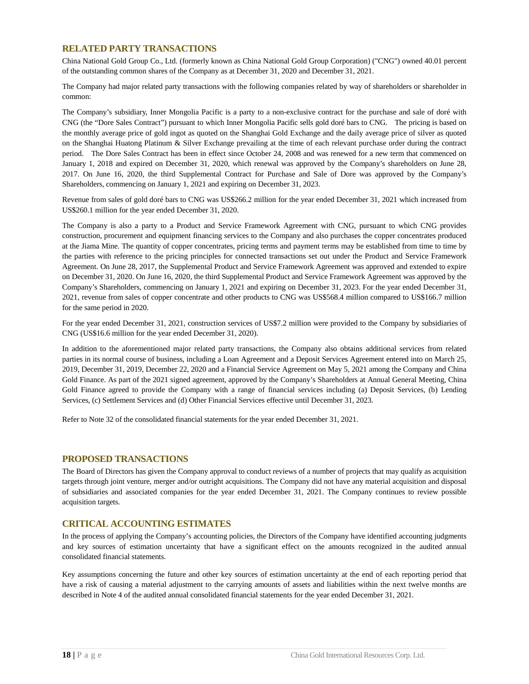#### **RELATED PARTY TRANSACTIONS**

China National Gold Group Co., Ltd. (formerly known as China National Gold Group Corporation) ("CNG") owned 40.01 percent of the outstanding common shares of the Company as at December 31, 2020 and December 31, 2021.

The Company had major related party transactions with the following companies related by way of shareholders or shareholder in common:

The Company's subsidiary, Inner Mongolia Pacific is a party to a non-exclusive contract for the purchase and sale of doré with CNG (the "Dore Sales Contract") pursuant to which Inner Mongolia Pacific sells gold doré bars to CNG. The pricing is based on the monthly average price of gold ingot as quoted on the Shanghai Gold Exchange and the daily average price of silver as quoted on the Shanghai Huatong Platinum & Silver Exchange prevailing at the time of each relevant purchase order during the contract period. The Dore Sales Contract has been in effect since October 24, 2008 and was renewed for a new term that commenced on January 1, 2018 and expired on December 31, 2020, which renewal was approved by the Company's shareholders on June 28, 2017. On June 16, 2020, the third Supplemental Contract for Purchase and Sale of Dore was approved by the Company's Shareholders, commencing on January 1, 2021 and expiring on December 31, 2023.

Revenue from sales of gold doré bars to CNG was US\$266.2 million for the year ended December 31, 2021 which increased from US\$260.1 million for the year ended December 31, 2020.

The Company is also a party to a Product and Service Framework Agreement with CNG, pursuant to which CNG provides construction, procurement and equipment financing services to the Company and also purchases the copper concentrates produced at the Jiama Mine. The quantity of copper concentrates, pricing terms and payment terms may be established from time to time by the parties with reference to the pricing principles for connected transactions set out under the Product and Service Framework Agreement. On June 28, 2017, the Supplemental Product and Service Framework Agreement was approved and extended to expire on December 31, 2020. On June 16, 2020, the third Supplemental Product and Service Framework Agreement was approved by the Company's Shareholders, commencing on January 1, 2021 and expiring on December 31, 2023. For the year ended December 31, 2021, revenue from sales of copper concentrate and other products to CNG was US\$568.4 million compared to US\$166.7 million for the same period in 2020.

For the year ended December 31, 2021, construction services of US\$7.2 million were provided to the Company by subsidiaries of CNG (US\$16.6 million for the year ended December 31, 2020).

In addition to the aforementioned major related party transactions, the Company also obtains additional services from related parties in its normal course of business, including a Loan Agreement and a Deposit Services Agreement entered into on March 25, 2019, December 31, 2019, December 22, 2020 and a Financial Service Agreement on May 5, 2021 among the Company and China Gold Finance. As part of the 2021 signed agreement, approved by the Company's Shareholders at Annual General Meeting, China Gold Finance agreed to provide the Company with a range of financial services including (a) Deposit Services, (b) Lending Services, (c) Settlement Services and (d) Other Financial Services effective until December 31, 2023.

Refer to Note 32 of the consolidated financial statements for the year ended December 31, 2021.

#### **PROPOSED TRANSACTIONS**

The Board of Directors has given the Company approval to conduct reviews of a number of projects that may qualify as acquisition targets through joint venture, merger and/or outright acquisitions. The Company did not have any material acquisition and disposal of subsidiaries and associated companies for the year ended December 31, 2021. The Company continues to review possible acquisition targets.

#### **CRITICAL ACCOUNTING ESTIMATES**

In the process of applying the Company's accounting policies, the Directors of the Company have identified accounting judgments and key sources of estimation uncertainty that have a significant effect on the amounts recognized in the audited annual consolidated financial statements.

Key assumptions concerning the future and other key sources of estimation uncertainty at the end of each reporting period that have a risk of causing a material adjustment to the carrying amounts of assets and liabilities within the next twelve months are described in Note 4 of the audited annual consolidated financial statements for the year ended December 31, 2021.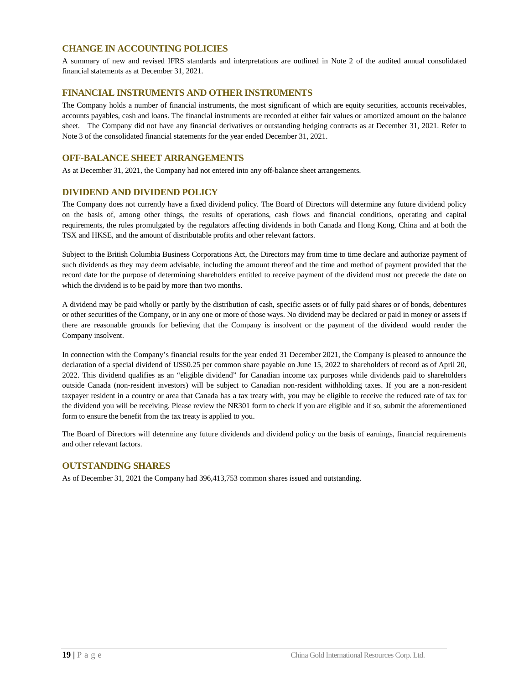#### **CHANGE IN ACCOUNTING POLICIES**

A summary of new and revised IFRS standards and interpretations are outlined in Note 2 of the audited annual consolidated financial statements as at December 31, 2021.

## **FINANCIAL INSTRUMENTS AND OTHER INSTRUMENTS**

The Company holds a number of financial instruments, the most significant of which are equity securities, accounts receivables, accounts payables, cash and loans. The financial instruments are recorded at either fair values or amortized amount on the balance sheet. The Company did not have any financial derivatives or outstanding hedging contracts as at December 31, 2021. Refer to Note 3 of the consolidated financial statements for the year ended December 31, 2021.

#### **OFF-BALANCE SHEET ARRANGEMENTS**

As at December 31, 2021, the Company had not entered into any off-balance sheet arrangements.

#### **DIVIDEND AND DIVIDEND POLICY**

The Company does not currently have a fixed dividend policy. The Board of Directors will determine any future dividend policy on the basis of, among other things, the results of operations, cash flows and financial conditions, operating and capital requirements, the rules promulgated by the regulators affecting dividends in both Canada and Hong Kong, China and at both the TSX and HKSE, and the amount of distributable profits and other relevant factors.

Subject to the British Columbia Business Corporations Act, the Directors may from time to time declare and authorize payment of such dividends as they may deem advisable, including the amount thereof and the time and method of payment provided that the record date for the purpose of determining shareholders entitled to receive payment of the dividend must not precede the date on which the dividend is to be paid by more than two months.

A dividend may be paid wholly or partly by the distribution of cash, specific assets or of fully paid shares or of bonds, debentures or other securities of the Company, or in any one or more of those ways. No dividend may be declared or paid in money or assets if there are reasonable grounds for believing that the Company is insolvent or the payment of the dividend would render the Company insolvent.

In connection with the Company's financial results for the year ended 31 December 2021, the Company is pleased to announce the declaration of a special dividend of US\$0.25 per common share payable on June 15, 2022 to shareholders of record as of April 20, 2022. This dividend qualifies as an "eligible dividend" for Canadian income tax purposes while dividends paid to shareholders outside Canada (non-resident investors) will be subject to Canadian non-resident withholding taxes. If you are a non-resident taxpayer resident in a country or area that Canada has a tax treaty with, you may be eligible to receive the reduced rate of tax for the dividend you will be receiving. Please review the NR301 form to check if you are eligible and if so, submit the aforementioned form to ensure the benefit from the tax treaty is applied to you.

The Board of Directors will determine any future dividends and dividend policy on the basis of earnings, financial requirements and other relevant factors.

#### **OUTSTANDING SHARES**

As of December 31, 2021 the Company had 396,413,753 common shares issued and outstanding.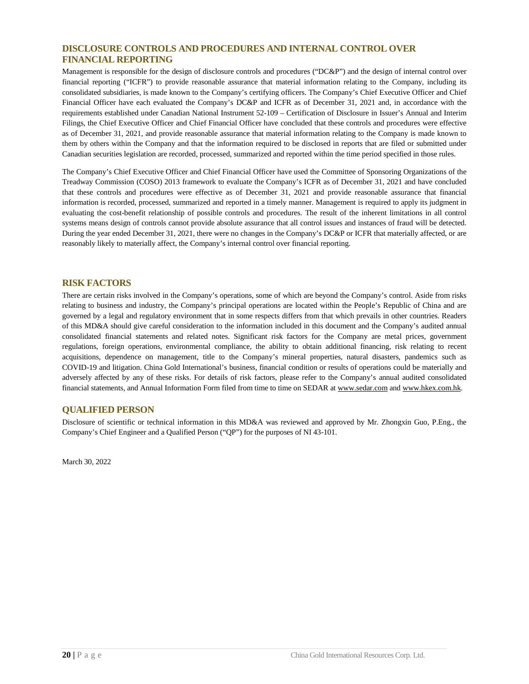## **DISCLOSURE CONTROLS AND PROCEDURES AND INTERNAL CONTROL OVER FINANCIAL REPORTING**

Management is responsible for the design of disclosure controls and procedures ("DC&P") and the design of internal control over financial reporting ("ICFR") to provide reasonable assurance that material information relating to the Company, including its consolidated subsidiaries, is made known to the Company's certifying officers. The Company's Chief Executive Officer and Chief Financial Officer have each evaluated the Company's DC&P and ICFR as of December 31, 2021 and, in accordance with the requirements established under Canadian National Instrument 52-109 – Certification of Disclosure in Issuer's Annual and Interim Filings, the Chief Executive Officer and Chief Financial Officer have concluded that these controls and procedures were effective as of December 31, 2021, and provide reasonable assurance that material information relating to the Company is made known to them by others within the Company and that the information required to be disclosed in reports that are filed or submitted under Canadian securities legislation are recorded, processed, summarized and reported within the time period specified in those rules.

The Company's Chief Executive Officer and Chief Financial Officer have used the Committee of Sponsoring Organizations of the Treadway Commission (COSO) 2013 framework to evaluate the Company's ICFR as of December 31, 2021 and have concluded that these controls and procedures were effective as of December 31, 2021 and provide reasonable assurance that financial information is recorded, processed, summarized and reported in a timely manner. Management is required to apply its judgment in evaluating the cost-benefit relationship of possible controls and procedures. The result of the inherent limitations in all control systems means design of controls cannot provide absolute assurance that all control issues and instances of fraud will be detected. During the year ended December 31, 2021, there were no changes in the Company's DC&P or ICFR that materially affected, or are reasonably likely to materially affect, the Company's internal control over financial reporting.

### **RISK FACTORS**

There are certain risks involved in the Company's operations, some of which are beyond the Company's control. Aside from risks relating to business and industry, the Company's principal operations are located within the People's Republic of China and are governed by a legal and regulatory environment that in some respects differs from that which prevails in other countries. Readers of this MD&A should give careful consideration to the information included in this document and the Company's audited annual consolidated financial statements and related notes. Significant risk factors for the Company are metal prices, government regulations, foreign operations, environmental compliance, the ability to obtain additional financing, risk relating to recent acquisitions, dependence on management, title to the Company's mineral properties, natural disasters, pandemics such as COVID-19 and litigation. China Gold International's business, financial condition or results of operations could be materially and adversely affected by any of these risks. For details of risk factors, please refer to the Company's annual audited consolidated financial statements, and Annual Information Form filed from time to time on SEDAR at [www.sedar.com](http://www.sedar.com/) and www.hkex.com.hk.

## **QUALIFIED PERSON**

Disclosure of scientific or technical information in this MD&A was reviewed and approved by Mr. Zhongxin Guo, P.Eng., the Company's Chief Engineer and a Qualified Person ("QP") for the purposes of NI 43-101.

March 30, 2022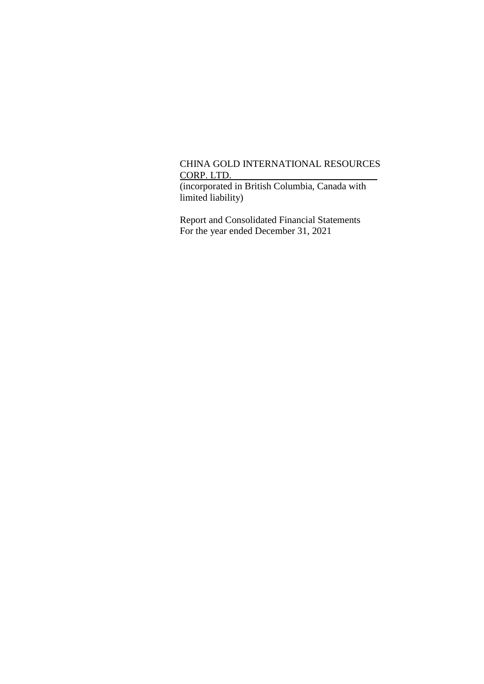(incorporated in British Columbia, Canada with limited liability)

Report and Consolidated Financial Statements For the year ended December 31, 2021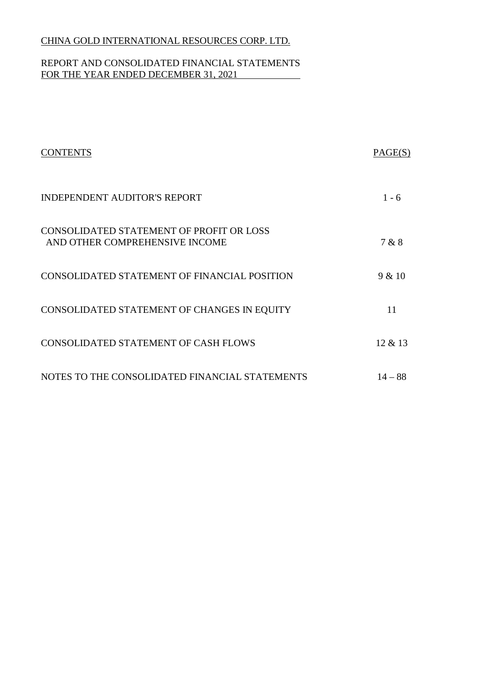# REPORT AND CONSOLIDATED FINANCIAL STATEMENTS FOR THE YEAR ENDED DECEMBER 31, 2021

| <b>CONTENTS</b>                                                            | PAGE(S)   |
|----------------------------------------------------------------------------|-----------|
| <b>INDEPENDENT AUDITOR'S REPORT</b>                                        | $1 - 6$   |
| CONSOLIDATED STATEMENT OF PROFIT OR LOSS<br>AND OTHER COMPREHENSIVE INCOME | 7 & 8     |
| CONSOLIDATED STATEMENT OF FINANCIAL POSITION                               | 9 & 10    |
| CONSOLIDATED STATEMENT OF CHANGES IN EQUITY                                | 11        |
| CONSOLIDATED STATEMENT OF CASH FLOWS                                       | 12 & 13   |
| NOTES TO THE CONSOLIDATED FINANCIAL STATEMENTS                             | $14 - 88$ |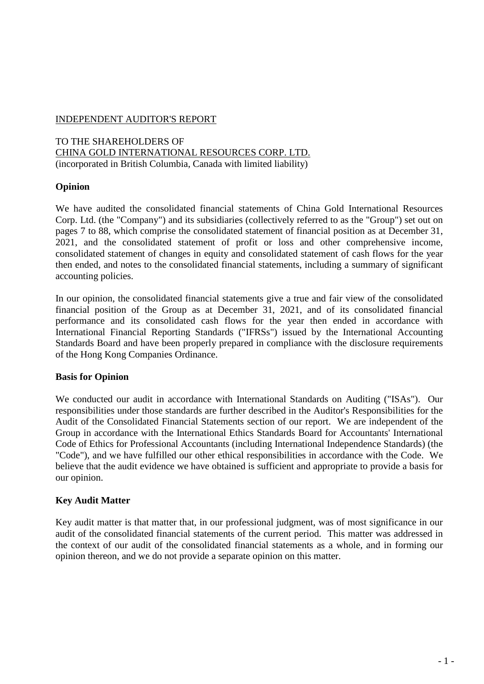## TO THE SHAREHOLDERS OF CHINA GOLD INTERNATIONAL RESOURCES CORP. LTD. (incorporated in British Columbia, Canada with limited liability)

## **Opinion**

We have audited the consolidated financial statements of China Gold International Resources Corp. Ltd. (the "Company") and its subsidiaries (collectively referred to as the "Group") set out on pages 7 to 88, which comprise the consolidated statement of financial position as at December 31, 2021, and the consolidated statement of profit or loss and other comprehensive income, consolidated statement of changes in equity and consolidated statement of cash flows for the year then ended, and notes to the consolidated financial statements, including a summary of significant accounting policies.

In our opinion, the consolidated financial statements give a true and fair view of the consolidated financial position of the Group as at December 31, 2021, and of its consolidated financial performance and its consolidated cash flows for the year then ended in accordance with International Financial Reporting Standards ("IFRSs") issued by the International Accounting Standards Board and have been properly prepared in compliance with the disclosure requirements of the Hong Kong Companies Ordinance.

# **Basis for Opinion**

We conducted our audit in accordance with International Standards on Auditing ("ISAs"). Our responsibilities under those standards are further described in the Auditor's Responsibilities for the Audit of the Consolidated Financial Statements section of our report. We are independent of the Group in accordance with the International Ethics Standards Board for Accountants' International Code of Ethics for Professional Accountants (including International Independence Standards) (the "Code"), and we have fulfilled our other ethical responsibilities in accordance with the Code. We believe that the audit evidence we have obtained is sufficient and appropriate to provide a basis for our opinion.

# **Key Audit Matter**

Key audit matter is that matter that, in our professional judgment, was of most significance in our audit of the consolidated financial statements of the current period. This matter was addressed in the context of our audit of the consolidated financial statements as a whole, and in forming our opinion thereon, and we do not provide a separate opinion on this matter.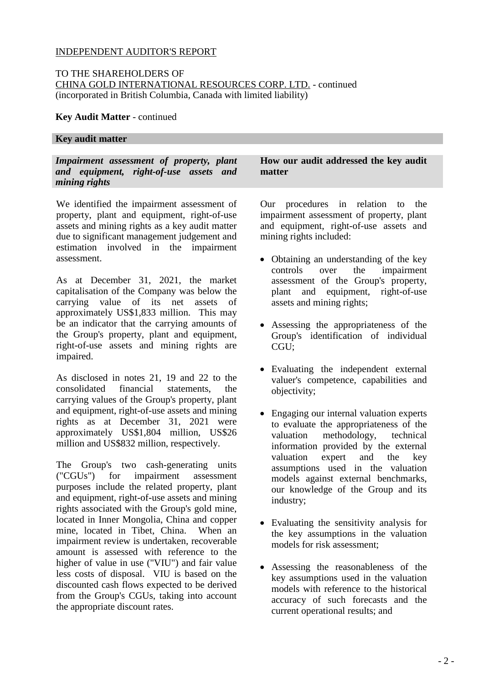## TO THE SHAREHOLDERS OF CHINA GOLD INTERNATIONAL RESOURCES CORP. LTD. - continued (incorporated in British Columbia, Canada with limited liability)

## **Key Audit Matter** - continued

## **Key audit matter**

*Impairment assessment of property, plant and equipment, right-of-use assets and mining rights* **How our audit addressed the key audit matter**

We identified the impairment assessment of property, plant and equipment, right-of-use assets and mining rights as a key audit matter due to significant management judgement and estimation involved in the impairment assessment.

As at December 31, 2021, the market capitalisation of the Company was below the carrying value of its net assets of approximately US\$1,833 million. This may be an indicator that the carrying amounts of the Group's property, plant and equipment, right-of-use assets and mining rights are impaired.

As disclosed in notes 21, 19 and 22 to the consolidated financial statements, the carrying values of the Group's property, plant and equipment, right-of-use assets and mining rights as at December 31, 2021 were approximately US\$1,804 million, US\$26 million and US\$832 million, respectively.

The Group's two cash-generating units ("CGUs") for impairment assessment purposes include the related property, plant and equipment, right-of-use assets and mining rights associated with the Group's gold mine, located in Inner Mongolia, China and copper mine, located in Tibet, China. When an impairment review is undertaken, recoverable amount is assessed with reference to the higher of value in use ("VIU") and fair value less costs of disposal. VIU is based on the discounted cash flows expected to be derived from the Group's CGUs, taking into account the appropriate discount rates.

Our procedures in relation to the impairment assessment of property, plant and equipment, right-of-use assets and mining rights included:

- Obtaining an understanding of the key controls over the impairment assessment of the Group's property,<br>plant and equipment. right-of-use equipment, right-of-use assets and mining rights;
- Assessing the appropriateness of the Group's identification of individual CGU;
- Evaluating the independent external valuer's competence, capabilities and objectivity;
- Engaging our internal valuation experts to evaluate the appropriateness of the valuation methodology, technical information provided by the external valuation expert and the key assumptions used in the valuation models against external benchmarks, our knowledge of the Group and its industry;
- Evaluating the sensitivity analysis for the key assumptions in the valuation models for risk assessment;
- Assessing the reasonableness of the key assumptions used in the valuation models with reference to the historical accuracy of such forecasts and the current operational results; and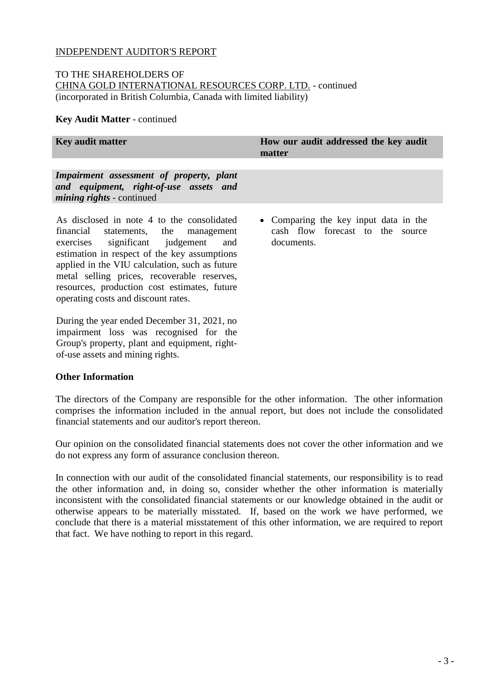## TO THE SHAREHOLDERS OF CHINA GOLD INTERNATIONAL RESOURCES CORP. LTD. - continued (incorporated in British Columbia, Canada with limited liability)

## **Key Audit Matter** - continued

| <b>Key audit matter</b>                                                                                                                                                                                                                                                                                                    | How our audit addressed the key audit<br>matter                                         |  |  |  |
|----------------------------------------------------------------------------------------------------------------------------------------------------------------------------------------------------------------------------------------------------------------------------------------------------------------------------|-----------------------------------------------------------------------------------------|--|--|--|
|                                                                                                                                                                                                                                                                                                                            |                                                                                         |  |  |  |
| Impairment assessment of property, plant<br>and equipment, right-of-use assets and<br><i>mining rights - continued</i>                                                                                                                                                                                                     |                                                                                         |  |  |  |
| As disclosed in note 4 to the consolidated<br>financial statements, the management<br>exercises significant judgement and<br>estimation in respect of the key assumptions<br>applied in the VIU calculation, such as future<br>metal selling prices, recoverable reserves,<br>resources, production cost estimates, future | • Comparing the key input data in the<br>cash flow forecast to the source<br>documents. |  |  |  |

During the year ended December 31, 2021, no impairment loss was recognised for the Group's property, plant and equipment, rightof-use assets and mining rights.

operating costs and discount rates.

## **Other Information**

The directors of the Company are responsible for the other information. The other information comprises the information included in the annual report, but does not include the consolidated financial statements and our auditor's report thereon.

Our opinion on the consolidated financial statements does not cover the other information and we do not express any form of assurance conclusion thereon.

In connection with our audit of the consolidated financial statements, our responsibility is to read the other information and, in doing so, consider whether the other information is materially inconsistent with the consolidated financial statements or our knowledge obtained in the audit or otherwise appears to be materially misstated. If, based on the work we have performed, we conclude that there is a material misstatement of this other information, we are required to report that fact. We have nothing to report in this regard.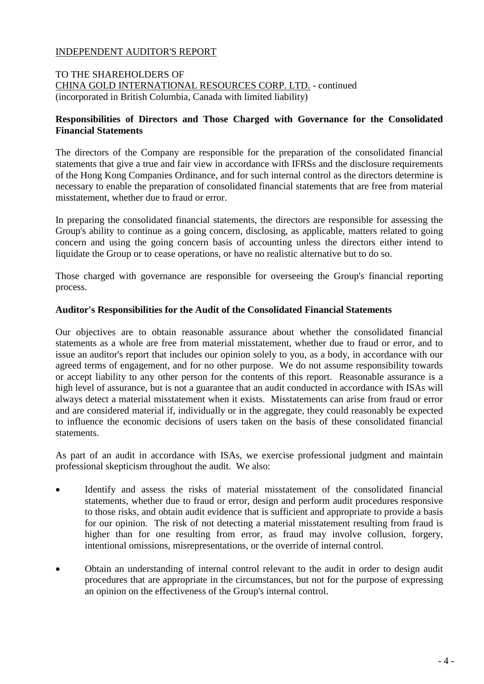TO THE SHAREHOLDERS OF CHINA GOLD INTERNATIONAL RESOURCES CORP. LTD. - continued (incorporated in British Columbia, Canada with limited liability)

## **Responsibilities of Directors and Those Charged with Governance for the Consolidated Financial Statements**

The directors of the Company are responsible for the preparation of the consolidated financial statements that give a true and fair view in accordance with IFRSs and the disclosure requirements of the Hong Kong Companies Ordinance, and for such internal control as the directors determine is necessary to enable the preparation of consolidated financial statements that are free from material misstatement, whether due to fraud or error.

In preparing the consolidated financial statements, the directors are responsible for assessing the Group's ability to continue as a going concern, disclosing, as applicable, matters related to going concern and using the going concern basis of accounting unless the directors either intend to liquidate the Group or to cease operations, or have no realistic alternative but to do so.

Those charged with governance are responsible for overseeing the Group's financial reporting process.

## **Auditor's Responsibilities for the Audit of the Consolidated Financial Statements**

Our objectives are to obtain reasonable assurance about whether the consolidated financial statements as a whole are free from material misstatement, whether due to fraud or error, and to issue an auditor's report that includes our opinion solely to you, as a body, in accordance with our agreed terms of engagement, and for no other purpose. We do not assume responsibility towards or accept liability to any other person for the contents of this report. Reasonable assurance is a high level of assurance, but is not a guarantee that an audit conducted in accordance with ISAs will always detect a material misstatement when it exists. Misstatements can arise from fraud or error and are considered material if, individually or in the aggregate, they could reasonably be expected to influence the economic decisions of users taken on the basis of these consolidated financial statements.

As part of an audit in accordance with ISAs, we exercise professional judgment and maintain professional skepticism throughout the audit. We also:

- Identify and assess the risks of material misstatement of the consolidated financial statements, whether due to fraud or error, design and perform audit procedures responsive to those risks, and obtain audit evidence that is sufficient and appropriate to provide a basis for our opinion. The risk of not detecting a material misstatement resulting from fraud is higher than for one resulting from error, as fraud may involve collusion, forgery, intentional omissions, misrepresentations, or the override of internal control.
- Obtain an understanding of internal control relevant to the audit in order to design audit procedures that are appropriate in the circumstances, but not for the purpose of expressing an opinion on the effectiveness of the Group's internal control.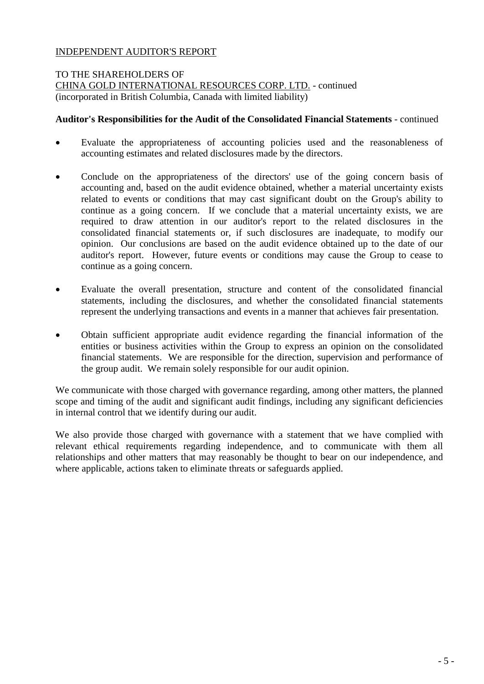## TO THE SHAREHOLDERS OF

CHINA GOLD INTERNATIONAL RESOURCES CORP. LTD. - continued (incorporated in British Columbia, Canada with limited liability)

## **Auditor's Responsibilities for the Audit of the Consolidated Financial Statements** - continued

- Evaluate the appropriateness of accounting policies used and the reasonableness of accounting estimates and related disclosures made by the directors.
- Conclude on the appropriateness of the directors' use of the going concern basis of accounting and, based on the audit evidence obtained, whether a material uncertainty exists related to events or conditions that may cast significant doubt on the Group's ability to continue as a going concern. If we conclude that a material uncertainty exists, we are required to draw attention in our auditor's report to the related disclosures in the consolidated financial statements or, if such disclosures are inadequate, to modify our opinion. Our conclusions are based on the audit evidence obtained up to the date of our auditor's report. However, future events or conditions may cause the Group to cease to continue as a going concern.
- Evaluate the overall presentation, structure and content of the consolidated financial statements, including the disclosures, and whether the consolidated financial statements represent the underlying transactions and events in a manner that achieves fair presentation.
- Obtain sufficient appropriate audit evidence regarding the financial information of the entities or business activities within the Group to express an opinion on the consolidated financial statements. We are responsible for the direction, supervision and performance of the group audit. We remain solely responsible for our audit opinion.

We communicate with those charged with governance regarding, among other matters, the planned scope and timing of the audit and significant audit findings, including any significant deficiencies in internal control that we identify during our audit.

We also provide those charged with governance with a statement that we have complied with relevant ethical requirements regarding independence, and to communicate with them all relationships and other matters that may reasonably be thought to bear on our independence, and where applicable, actions taken to eliminate threats or safeguards applied.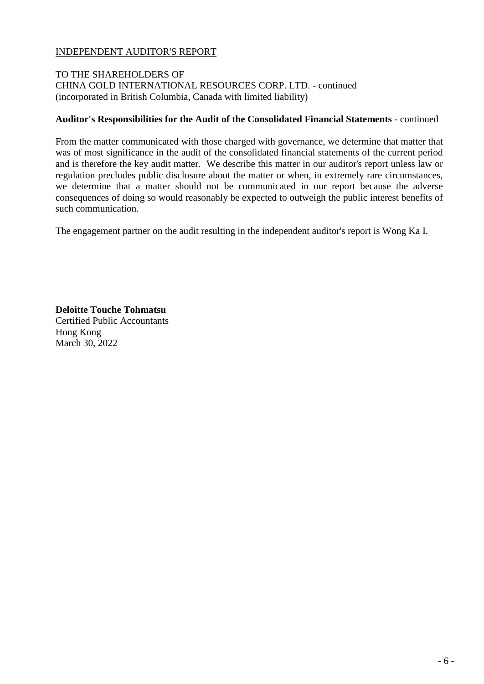TO THE SHAREHOLDERS OF CHINA GOLD INTERNATIONAL RESOURCES CORP. LTD. - continued (incorporated in British Columbia, Canada with limited liability)

## **Auditor's Responsibilities for the Audit of the Consolidated Financial Statements** - continued

From the matter communicated with those charged with governance, we determine that matter that was of most significance in the audit of the consolidated financial statements of the current period and is therefore the key audit matter. We describe this matter in our auditor's report unless law or regulation precludes public disclosure about the matter or when, in extremely rare circumstances, we determine that a matter should not be communicated in our report because the adverse consequences of doing so would reasonably be expected to outweigh the public interest benefits of such communication.

The engagement partner on the audit resulting in the independent auditor's report is Wong Ka I.

**Deloitte Touche Tohmatsu** Certified Public Accountants Hong Kong March 30, 2022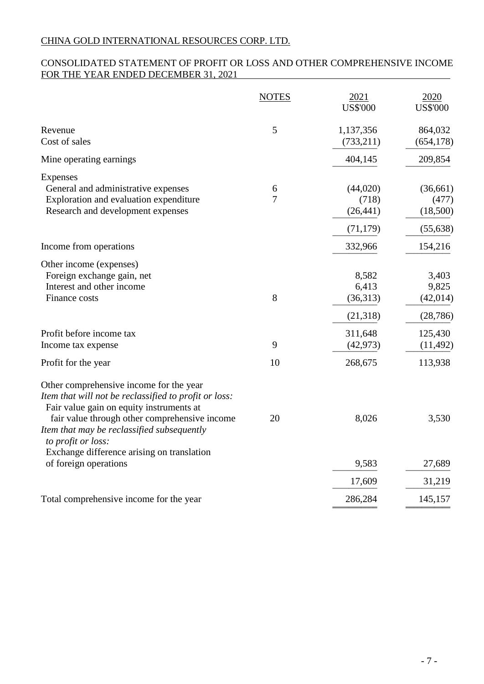# CONSOLIDATED STATEMENT OF PROFIT OR LOSS AND OTHER COMPREHENSIVE INCOME FOR THE YEAR ENDED DECEMBER 31, 2021

|                                                                                                                                                                                               | <b>NOTES</b> | 2021<br><b>US\$'000</b>        | 2020<br><b>US\$'000</b>       |
|-----------------------------------------------------------------------------------------------------------------------------------------------------------------------------------------------|--------------|--------------------------------|-------------------------------|
| Revenue<br>Cost of sales                                                                                                                                                                      | 5            | 1,137,356<br>(733,211)         | 864,032<br>(654, 178)         |
| Mine operating earnings                                                                                                                                                                       |              | 404,145                        | 209,854                       |
| Expenses<br>General and administrative expenses<br>Exploration and evaluation expenditure<br>Research and development expenses                                                                | 6<br>$\tau$  | (44,020)<br>(718)<br>(26, 441) | (36,661)<br>(477)<br>(18,500) |
|                                                                                                                                                                                               |              | (71, 179)                      | (55, 638)                     |
| Income from operations                                                                                                                                                                        |              | 332,966                        | 154,216                       |
| Other income (expenses)<br>Foreign exchange gain, net<br>Interest and other income<br>Finance costs                                                                                           | 8            | 8,582<br>6,413<br>(36,313)     | 3,403<br>9,825<br>(42, 014)   |
|                                                                                                                                                                                               |              | (21,318)                       | (28, 786)                     |
| Profit before income tax<br>Income tax expense                                                                                                                                                | 9            | 311,648<br>(42, 973)           | 125,430<br>(11, 492)          |
| Profit for the year                                                                                                                                                                           | 10           | 268,675                        | 113,938                       |
| Other comprehensive income for the year<br>Item that will not be reclassified to profit or loss:<br>Fair value gain on equity instruments at<br>fair value through other comprehensive income | 20           | 8,026                          | 3,530                         |
| Item that may be reclassified subsequently<br>to profit or loss:                                                                                                                              |              |                                |                               |
| Exchange difference arising on translation<br>of foreign operations                                                                                                                           |              | 9,583                          | 27,689                        |
|                                                                                                                                                                                               |              | 17,609                         | 31,219                        |
| Total comprehensive income for the year                                                                                                                                                       |              | 286,284                        | 145,157                       |
|                                                                                                                                                                                               |              |                                |                               |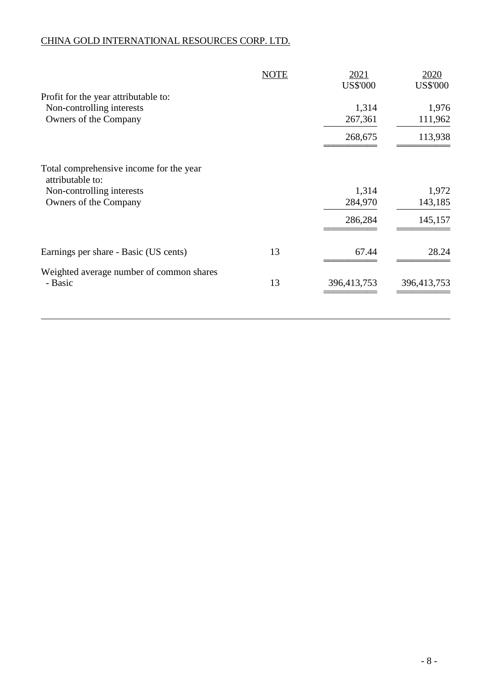|                                                             | <b>NOTE</b> | 2021<br><b>US\$'000</b> | 2020<br><b>US\$'000</b> |
|-------------------------------------------------------------|-------------|-------------------------|-------------------------|
| Profit for the year attributable to:                        |             |                         |                         |
| Non-controlling interests                                   |             | 1,314                   | 1,976                   |
| Owners of the Company                                       |             | 267,361                 | 111,962                 |
|                                                             |             | 268,675                 | 113,938                 |
| Total comprehensive income for the year<br>attributable to: |             |                         |                         |
| Non-controlling interests                                   |             | 1,314                   | 1,972                   |
| Owners of the Company                                       |             | 284,970                 | 143,185                 |
|                                                             |             | 286,284                 | 145,157                 |
| Earnings per share - Basic (US cents)                       | 13          | 67.44                   | 28.24                   |
| Weighted average number of common shares<br>- Basic         | 13          | 396,413,753             | 396,413,753             |
|                                                             |             |                         |                         |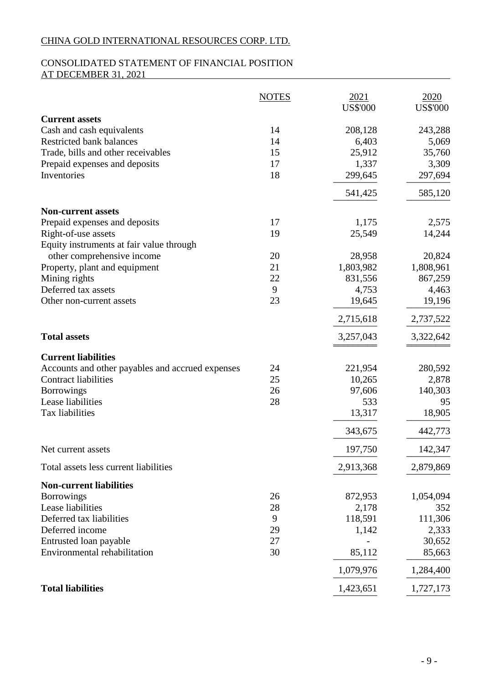## CONSOLIDATED STATEMENT OF FINANCIAL POSITION AT DECEMBER 31, 2021

|                                                  | <b>NOTES</b> | 2021<br><b>US\$'000</b> | 2020<br><b>US\$'000</b> |
|--------------------------------------------------|--------------|-------------------------|-------------------------|
| <b>Current assets</b>                            |              |                         |                         |
| Cash and cash equivalents                        | 14           | 208,128                 | 243,288                 |
| <b>Restricted bank balances</b>                  | 14           | 6,403                   | 5,069                   |
| Trade, bills and other receivables               | 15           | 25,912                  | 35,760                  |
| Prepaid expenses and deposits                    | 17           | 1,337                   | 3,309                   |
| Inventories                                      | 18           | 299,645                 | 297,694                 |
|                                                  |              | 541,425                 | 585,120                 |
| <b>Non-current assets</b>                        |              |                         |                         |
| Prepaid expenses and deposits                    | 17           | 1,175                   | 2,575                   |
| Right-of-use assets                              | 19           | 25,549                  | 14,244                  |
| Equity instruments at fair value through         |              |                         |                         |
| other comprehensive income                       | 20           | 28,958                  | 20,824                  |
| Property, plant and equipment                    | 21           | 1,803,982               | 1,808,961               |
| Mining rights                                    | 22           | 831,556                 | 867,259                 |
| Deferred tax assets                              | 9            | 4,753                   | 4,463                   |
| Other non-current assets                         | 23           | 19,645                  | 19,196                  |
|                                                  |              | 2,715,618               | 2,737,522               |
| <b>Total assets</b>                              |              | 3,257,043               | 3,322,642               |
| <b>Current liabilities</b>                       |              |                         |                         |
| Accounts and other payables and accrued expenses | 24           | 221,954                 | 280,592                 |
| <b>Contract liabilities</b>                      | 25           | 10,265                  | 2,878                   |
| <b>Borrowings</b>                                | 26           | 97,606                  | 140,303                 |
| Lease liabilities                                | 28           | 533                     | 95                      |
| Tax liabilities                                  |              | 13,317                  | 18,905                  |
|                                                  |              | 343,675                 | 442,773                 |
| Net current assets                               |              | 197,750                 | 142,347                 |
| Total assets less current liabilities            |              | 2,913,368               | 2,879,869               |
| <b>Non-current liabilities</b>                   |              |                         |                         |
| <b>Borrowings</b>                                | 26           | 872,953                 | 1,054,094               |
| Lease liabilities                                | 28           | 2,178                   | 352                     |
| Deferred tax liabilities                         | 9            | 118,591                 | 111,306                 |
| Deferred income                                  | 29           | 1,142                   | 2,333                   |
| Entrusted loan payable                           | 27           |                         | 30,652                  |
| Environmental rehabilitation                     | 30           | 85,112                  | 85,663                  |
|                                                  |              | 1,079,976               | 1,284,400               |
| <b>Total liabilities</b>                         |              | 1,423,651               | 1,727,173               |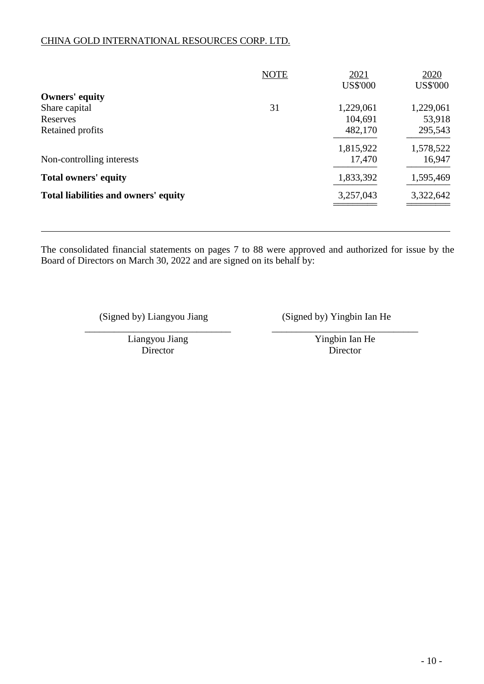|                                      | <b>NOTE</b> | 2021            | 2020            |
|--------------------------------------|-------------|-----------------|-----------------|
|                                      |             | <b>US\$'000</b> | <b>US\$'000</b> |
| <b>Owners' equity</b>                |             |                 |                 |
| Share capital                        | 31          | 1,229,061       | 1,229,061       |
| Reserves                             |             | 104,691         | 53,918          |
| Retained profits                     |             | 482,170         | 295,543         |
|                                      |             | 1,815,922       | 1,578,522       |
| Non-controlling interests            |             | 17,470          | 16,947          |
| <b>Total owners' equity</b>          |             | 1,833,392       | 1,595,469       |
| Total liabilities and owners' equity |             | 3,257,043       | 3,322,642       |
|                                      |             |                 |                 |

The consolidated financial statements on pages 7 to 88 were approved and authorized for issue by the Board of Directors on March 30, 2022 and are signed on its behalf by:

\_\_\_\_\_\_\_\_\_\_\_\_\_\_\_\_\_\_\_\_\_\_\_\_\_\_\_\_\_\_ \_\_\_\_\_\_\_\_\_\_\_\_\_\_\_\_\_\_\_\_\_\_\_\_\_\_\_\_\_\_

(Signed by) Liangyou Jiang (Signed by) Yingbin Ian He

Liangyou Jiang Yingbin Ian He Director Director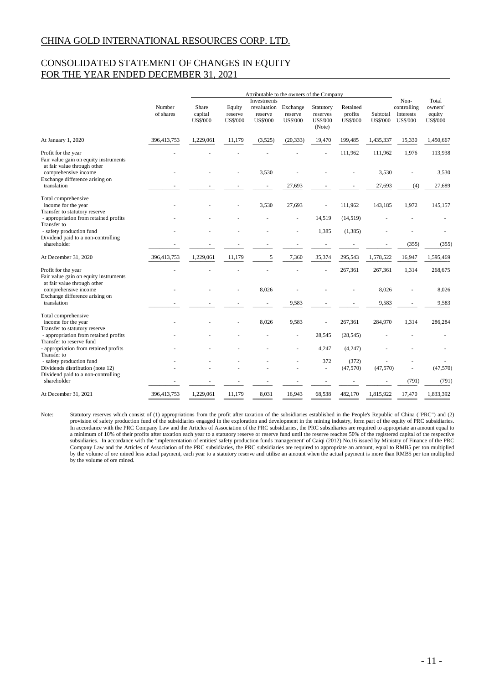## CONSOLIDATED STATEMENT OF CHANGES IN EQUITY FOR THE YEAR ENDED DECEMBER 31, 2021

|                                                                                                    |                     | Attributable to the owners of the Company |                                      |                                                                 |                                        |                                                    |                                        |                             |                                                     |                                               |
|----------------------------------------------------------------------------------------------------|---------------------|-------------------------------------------|--------------------------------------|-----------------------------------------------------------------|----------------------------------------|----------------------------------------------------|----------------------------------------|-----------------------------|-----------------------------------------------------|-----------------------------------------------|
|                                                                                                    | Number<br>of shares | Share<br>capital<br><b>US\$'000</b>       | Equity<br>reserve<br><b>US\$'000</b> | <b>Investments</b><br>revaluation<br>reserve<br><b>US\$'000</b> | Exchange<br>reserve<br><b>US\$'000</b> | Statutory<br>reserves<br><b>US\$'000</b><br>(Note) | Retained<br>profits<br><b>US\$'000</b> | Subtotal<br><b>US\$'000</b> | Non-<br>controlling<br>interests<br><b>US\$'000</b> | Total<br>owners'<br>equity<br><b>US\$'000</b> |
| At January 1, 2020                                                                                 | 396,413,753         | 1,229,061                                 | 11,179                               | (3,525)                                                         | (20, 333)                              | 19,470                                             | 199,485                                | 1,435,337                   | 15,330                                              | 1,450,667                                     |
| Profit for the year<br>Fair value gain on equity instruments<br>at fair value through other        |                     |                                           |                                      |                                                                 |                                        |                                                    | 111,962                                | 111,962                     | 1,976                                               | 113,938                                       |
| comprehensive income                                                                               |                     |                                           |                                      | 3,530                                                           |                                        |                                                    |                                        | 3,530                       |                                                     | 3,530                                         |
| Exchange difference arising on<br>translation                                                      |                     |                                           |                                      |                                                                 | 27,693                                 |                                                    |                                        | 27,693                      | (4)                                                 | 27,689                                        |
| Total comprehensive<br>income for the year<br>Transfer to statutory reserve                        |                     |                                           |                                      | 3,530                                                           | 27,693                                 | ä,                                                 | 111,962                                | 143,185                     | 1,972                                               | 145,157                                       |
| - appropriation from retained profits                                                              |                     |                                           |                                      |                                                                 |                                        | 14,519                                             | (14, 519)                              |                             |                                                     |                                               |
| Transfer to<br>- safety production fund<br>Dividend paid to a non-controlling                      |                     |                                           |                                      |                                                                 |                                        | 1,385                                              | (1, 385)                               |                             |                                                     |                                               |
| shareholder                                                                                        |                     |                                           |                                      |                                                                 |                                        |                                                    |                                        |                             | (355)                                               | (355)                                         |
| At December 31, 2020                                                                               | 396,413,753         | 1,229,061                                 | 11,179                               | 5                                                               | 7,360                                  | 35,374                                             | 295,543                                | 1,578,522                   | 16,947                                              | 1,595,469                                     |
| Profit for the year<br>Fair value gain on equity instruments<br>at fair value through other        |                     |                                           |                                      |                                                                 |                                        |                                                    | 267,361                                | 267,361                     | 1,314                                               | 268,675                                       |
| comprehensive income                                                                               |                     |                                           |                                      | 8,026                                                           |                                        |                                                    |                                        | 8,026                       |                                                     | 8,026                                         |
| Exchange difference arising on<br>translation                                                      |                     |                                           |                                      |                                                                 | 9,583                                  |                                                    |                                        | 9,583                       | $\sim$                                              | 9,583                                         |
| Total comprehensive<br>income for the year                                                         |                     |                                           |                                      | 8,026                                                           | 9,583                                  |                                                    | 267,361                                | 284,970                     | 1,314                                               | 286,284                                       |
| Transfer to statutory reserve<br>- appropriation from retained profits<br>Transfer to reserve fund |                     |                                           |                                      |                                                                 |                                        | 28,545                                             | (28, 545)                              |                             |                                                     |                                               |
| - appropriation from retained profits<br>Transfer to                                               |                     |                                           |                                      |                                                                 |                                        | 4,247                                              | (4,247)                                |                             |                                                     |                                               |
| - safety production fund                                                                           |                     |                                           |                                      |                                                                 |                                        | 372                                                | (372)                                  |                             |                                                     |                                               |
| Dividends distribution (note 12)<br>Dividend paid to a non-controlling                             |                     |                                           |                                      |                                                                 |                                        | ÷,                                                 | (47,570)                               | (47,570)                    |                                                     | (47,570)                                      |
| shareholder                                                                                        |                     |                                           |                                      |                                                                 |                                        |                                                    |                                        |                             | (791)                                               | (791)                                         |
| At December 31, 2021                                                                               | 396,413,753         | 1,229,061                                 | 11,179                               | 8,031                                                           | 16,943                                 | 68,538                                             | 482,170                                | 1,815,922                   | 17,470                                              | 1,833,392                                     |

Note: Statutory reserves which consist of (1) appropriations from the profit after taxation of the subsidiaries established in the People's Republic of China ("PRC") and (2) provision of safety production fund of the subsidiaries engaged in the exploration and development in the mining industry, form part of the equity of PRC subsidiaries. In accordance with the PRC Company Law and the Articles of Association of the PRC subsidiaries, the PRC subsidiaries are required to appropriate an amount equal to a minimum of 10% of their profits after taxation each year to a statutory reserve or reserve fund until the reserve reaches 50% of the registered capital of the respective subsidiaries. In accordance with the 'implementation of entities' safety production funds management' of Caiqi (2012) No.16 issued by Ministry of Finance of the PRC Company Law and the Articles of Association of the PRC subsidiaries, the PRC subsidiaries are required to appropriate an amount, equal to RMB5 per ton multiplied by the volume of ore mined less actual payment, each year to a statutory reserve and utilise an amount when the actual payment is more than RMB5 per ton multiplied by the volume of ore mined.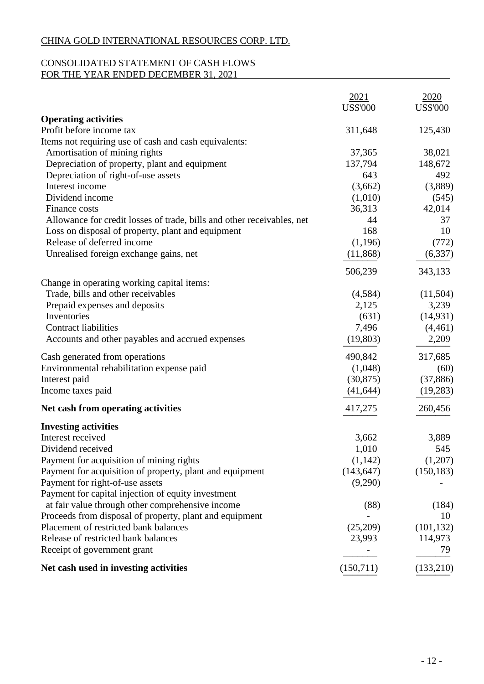## CONSOLIDATED STATEMENT OF CASH FLOWS FOR THE YEAR ENDED DECEMBER 31, 2021

|                                                                        | 2021<br><b>US\$'000</b> | 2020<br><b>US\$'000</b> |
|------------------------------------------------------------------------|-------------------------|-------------------------|
| <b>Operating activities</b>                                            |                         |                         |
| Profit before income tax                                               | 311,648                 | 125,430                 |
| Items not requiring use of cash and cash equivalents:                  |                         |                         |
| Amortisation of mining rights                                          | 37,365                  | 38,021                  |
| Depreciation of property, plant and equipment                          | 137,794                 | 148,672                 |
| Depreciation of right-of-use assets                                    | 643                     | 492                     |
| Interest income                                                        | (3,662)                 | (3,889)                 |
| Dividend income                                                        | (1,010)                 | (545)                   |
| Finance costs                                                          | 36,313                  | 42,014                  |
| Allowance for credit losses of trade, bills and other receivables, net | 44                      | 37                      |
| Loss on disposal of property, plant and equipment                      | 168                     | 10                      |
| Release of deferred income                                             | (1,196)                 | (772)                   |
| Unrealised foreign exchange gains, net                                 | (11, 868)               | (6, 337)                |
|                                                                        | 506,239                 | 343,133                 |
| Change in operating working capital items:                             |                         |                         |
| Trade, bills and other receivables                                     | (4,584)                 | (11,504)                |
| Prepaid expenses and deposits                                          | 2,125                   | 3,239                   |
| Inventories                                                            | (631)                   | (14, 931)               |
| <b>Contract liabilities</b>                                            | 7,496                   | (4,461)                 |
| Accounts and other payables and accrued expenses                       | (19, 803)               | 2,209                   |
| Cash generated from operations                                         | 490,842                 | 317,685                 |
| Environmental rehabilitation expense paid                              | (1,048)                 | (60)                    |
| Interest paid                                                          | (30, 875)               | (37, 886)               |
| Income taxes paid                                                      | (41, 644)               | (19, 283)               |
| Net cash from operating activities                                     | 417,275                 | 260,456                 |
| <b>Investing activities</b>                                            |                         |                         |
| Interest received                                                      | 3,662                   | 3,889                   |
| Dividend received                                                      | 1,010                   | 545                     |
| Payment for acquisition of mining rights                               | (1,142)                 | (1,207)                 |
| Payment for acquisition of property, plant and equipment               | (143, 647)              | (150, 183)              |
| Payment for right-of-use assets                                        | (9,290)                 |                         |
| Payment for capital injection of equity investment                     |                         |                         |
| at fair value through other comprehensive income                       | (88)                    | (184)                   |
| Proceeds from disposal of property, plant and equipment                |                         | 10                      |
| Placement of restricted bank balances                                  | (25,209)                | (101, 132)              |
| Release of restricted bank balances                                    | 23,993                  | 114,973                 |
| Receipt of government grant                                            |                         | 79                      |
| Net cash used in investing activities                                  | (150,711)               | (133,210)               |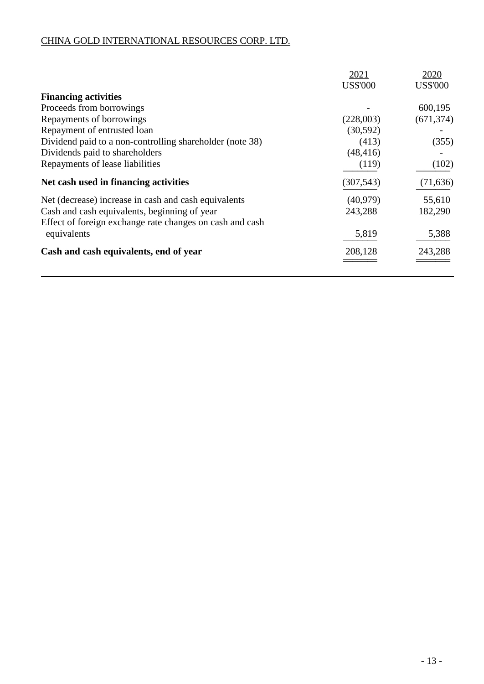|                                                          | 2021            | 2020            |
|----------------------------------------------------------|-----------------|-----------------|
|                                                          | <b>US\$'000</b> | <b>US\$'000</b> |
| <b>Financing activities</b>                              |                 |                 |
| Proceeds from borrowings                                 |                 | 600,195         |
| Repayments of borrowings                                 | (228,003)       | (671, 374)      |
| Repayment of entrusted loan                              | (30, 592)       |                 |
| Dividend paid to a non-controlling shareholder (note 38) | (413)           | (355)           |
| Dividends paid to shareholders                           | (48, 416)       |                 |
| Repayments of lease liabilities                          | (119)           | (102)           |
| Net cash used in financing activities                    | (307, 543)      | (71, 636)       |
| Net (decrease) increase in cash and cash equivalents     | (40, 979)       | 55,610          |
| Cash and cash equivalents, beginning of year             | 243,288         | 182,290         |
| Effect of foreign exchange rate changes on cash and cash |                 |                 |
| equivalents                                              | 5,819           | 5,388           |
| Cash and cash equivalents, end of year                   | 208,128         | 243,288         |
|                                                          |                 |                 |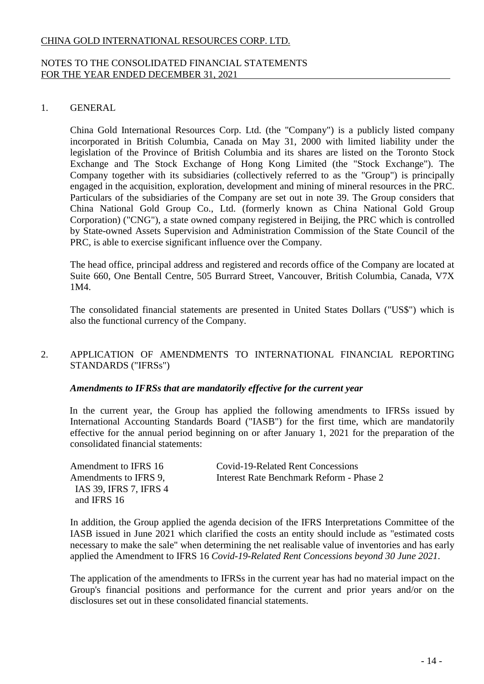### NOTES TO THE CONSOLIDATED FINANCIAL STATEMENTS FOR THE YEAR ENDED DECEMBER 31, 2021

### 1. GENERAL

China Gold International Resources Corp. Ltd. (the "Company") is a publicly listed company incorporated in British Columbia, Canada on May 31, 2000 with limited liability under the legislation of the Province of British Columbia and its shares are listed on the Toronto Stock Exchange and The Stock Exchange of Hong Kong Limited (the "Stock Exchange"). The Company together with its subsidiaries (collectively referred to as the "Group") is principally engaged in the acquisition, exploration, development and mining of mineral resources in the PRC. Particulars of the subsidiaries of the Company are set out in note 39. The Group considers that China National Gold Group Co., Ltd. (formerly known as China National Gold Group Corporation) ("CNG"), a state owned company registered in Beijing, the PRC which is controlled by State-owned Assets Supervision and Administration Commission of the State Council of the PRC, is able to exercise significant influence over the Company.

The head office, principal address and registered and records office of the Company are located at Suite 660, One Bentall Centre, 505 Burrard Street, Vancouver, British Columbia, Canada, V7X 1M4.

The consolidated financial statements are presented in United States Dollars ("US\$") which is also the functional currency of the Company.

# 2. APPLICATION OF AMENDMENTS TO INTERNATIONAL FINANCIAL REPORTING STANDARDS ("IFRSs")

### *Amendments to IFRSs that are mandatorily effective for the current year*

In the current year, the Group has applied the following amendments to IFRSs issued by International Accounting Standards Board ("IASB") for the first time, which are mandatorily effective for the annual period beginning on or after January 1, 2021 for the preparation of the consolidated financial statements:

| Amendment to IFRS 16   | Covid-19-Related Rent Concessions        |
|------------------------|------------------------------------------|
| Amendments to IFRS 9.  | Interest Rate Benchmark Reform - Phase 2 |
| IAS 39, IFRS 7, IFRS 4 |                                          |
| and IFRS 16            |                                          |

In addition, the Group applied the agenda decision of the IFRS Interpretations Committee of the IASB issued in June 2021 which clarified the costs an entity should include as "estimated costs necessary to make the sale" when determining the net realisable value of inventories and has early applied the Amendment to IFRS 16 *Covid-19-Related Rent Concessions beyond 30 June 2021*.

The application of the amendments to IFRSs in the current year has had no material impact on the Group's financial positions and performance for the current and prior years and/or on the disclosures set out in these consolidated financial statements.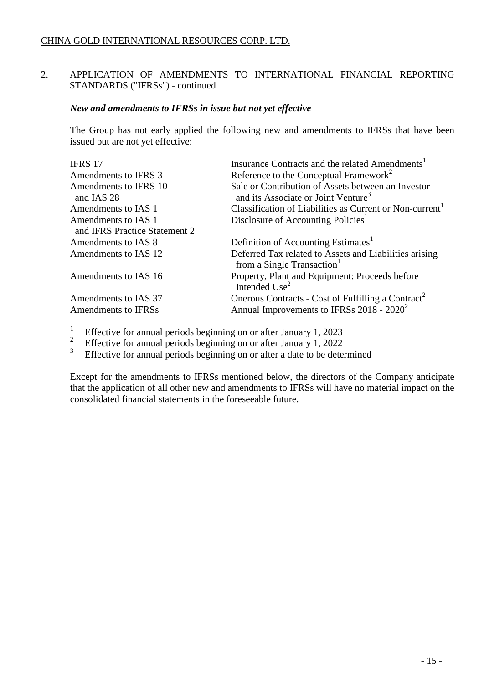2. APPLICATION OF AMENDMENTS TO INTERNATIONAL FINANCIAL REPORTING STANDARDS ("IFRSs") - continued

## *New and amendments to IFRSs in issue but not yet effective*

The Group has not early applied the following new and amendments to IFRSs that have been issued but are not yet effective:

| <b>IFRS 17</b>                                       | Insurance Contracts and the related Amendments <sup>1</sup>                                           |
|------------------------------------------------------|-------------------------------------------------------------------------------------------------------|
| Amendments to IFRS 3                                 | Reference to the Conceptual Framework <sup>2</sup>                                                    |
| Amendments to IFRS 10<br>and IAS 28                  | Sale or Contribution of Assets between an Investor<br>and its Associate or Joint Venture <sup>3</sup> |
| Amendments to IAS 1                                  | Classification of Liabilities as Current or Non-current <sup>1</sup>                                  |
| Amendments to IAS 1<br>and IFRS Practice Statement 2 | Disclosure of Accounting Policies <sup>1</sup>                                                        |
| Amendments to IAS 8                                  | Definition of Accounting Estimates <sup>1</sup>                                                       |
| Amendments to IAS 12                                 | Deferred Tax related to Assets and Liabilities arising<br>from a Single Transaction                   |
| Amendments to IAS 16                                 | Property, Plant and Equipment: Proceeds before<br>Intended Use <sup>2</sup>                           |
| Amendments to IAS 37                                 | Onerous Contracts - Cost of Fulfilling a Contract <sup>2</sup>                                        |
| Amendments to IFRSs                                  | Annual Improvements to IFRSs $2018 - 2020^2$                                                          |

<sup>1</sup> Effective for annual periods beginning on or after January 1, 2023<br><sup>2</sup> Effective for annual periods beginning on or after January 1, 2022

<sup>2</sup> Effective for annual periods beginning on or after January 1, 2022<br>Effective for annual periods beginning on or after a data to be data

<sup>3</sup> Effective for annual periods beginning on or after a date to be determined

Except for the amendments to IFRSs mentioned below, the directors of the Company anticipate that the application of all other new and amendments to IFRSs will have no material impact on the consolidated financial statements in the foreseeable future.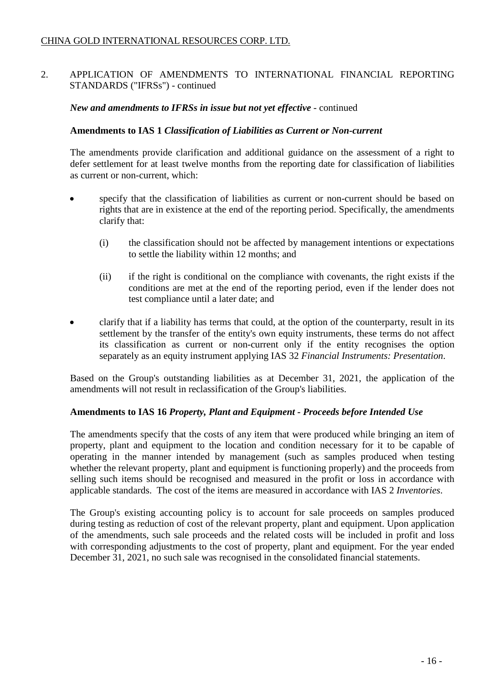# 2. APPLICATION OF AMENDMENTS TO INTERNATIONAL FINANCIAL REPORTING STANDARDS ("IFRSs") - continued

### *New and amendments to IFRSs in issue but not yet effective* - continued

### **Amendments to IAS 1** *Classification of Liabilities as Current or Non-current*

The amendments provide clarification and additional guidance on the assessment of a right to defer settlement for at least twelve months from the reporting date for classification of liabilities as current or non-current, which:

- specify that the classification of liabilities as current or non-current should be based on rights that are in existence at the end of the reporting period. Specifically, the amendments clarify that:
	- (i) the classification should not be affected by management intentions or expectations to settle the liability within 12 months; and
	- (ii) if the right is conditional on the compliance with covenants, the right exists if the conditions are met at the end of the reporting period, even if the lender does not test compliance until a later date; and
- clarify that if a liability has terms that could, at the option of the counterparty, result in its settlement by the transfer of the entity's own equity instruments, these terms do not affect its classification as current or non-current only if the entity recognises the option separately as an equity instrument applying IAS 32 *Financial Instruments: Presentation*.

Based on the Group's outstanding liabilities as at December 31, 2021, the application of the amendments will not result in reclassification of the Group's liabilities.

### **Amendments to IAS 16** *Property, Plant and Equipment - Proceeds before Intended Use*

The amendments specify that the costs of any item that were produced while bringing an item of property, plant and equipment to the location and condition necessary for it to be capable of operating in the manner intended by management (such as samples produced when testing whether the relevant property, plant and equipment is functioning properly) and the proceeds from selling such items should be recognised and measured in the profit or loss in accordance with applicable standards. The cost of the items are measured in accordance with IAS 2 *Inventories*.

The Group's existing accounting policy is to account for sale proceeds on samples produced during testing as reduction of cost of the relevant property, plant and equipment. Upon application of the amendments, such sale proceeds and the related costs will be included in profit and loss with corresponding adjustments to the cost of property, plant and equipment. For the year ended December 31, 2021, no such sale was recognised in the consolidated financial statements.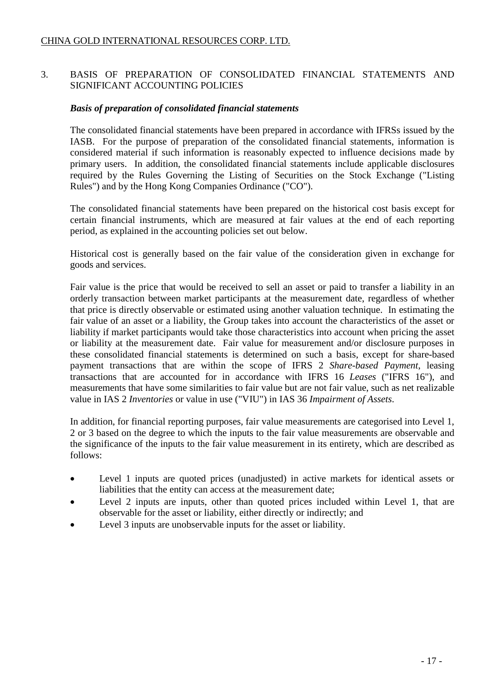## 3. BASIS OF PREPARATION OF CONSOLIDATED FINANCIAL STATEMENTS AND SIGNIFICANT ACCOUNTING POLICIES

### *Basis of preparation of consolidated financial statements*

The consolidated financial statements have been prepared in accordance with IFRSs issued by the IASB. For the purpose of preparation of the consolidated financial statements, information is considered material if such information is reasonably expected to influence decisions made by primary users. In addition, the consolidated financial statements include applicable disclosures required by the Rules Governing the Listing of Securities on the Stock Exchange ("Listing Rules") and by the Hong Kong Companies Ordinance ("CO").

The consolidated financial statements have been prepared on the historical cost basis except for certain financial instruments, which are measured at fair values at the end of each reporting period, as explained in the accounting policies set out below.

Historical cost is generally based on the fair value of the consideration given in exchange for goods and services.

Fair value is the price that would be received to sell an asset or paid to transfer a liability in an orderly transaction between market participants at the measurement date, regardless of whether that price is directly observable or estimated using another valuation technique. In estimating the fair value of an asset or a liability, the Group takes into account the characteristics of the asset or liability if market participants would take those characteristics into account when pricing the asset or liability at the measurement date. Fair value for measurement and/or disclosure purposes in these consolidated financial statements is determined on such a basis, except for share-based payment transactions that are within the scope of IFRS 2 *Share-based Payment*, leasing transactions that are accounted for in accordance with IFRS 16 *Leases* ("IFRS 16"), and measurements that have some similarities to fair value but are not fair value, such as net realizable value in IAS 2 *Inventories* or value in use ("VIU") in IAS 36 *Impairment of Assets*.

In addition, for financial reporting purposes, fair value measurements are categorised into Level 1, 2 or 3 based on the degree to which the inputs to the fair value measurements are observable and the significance of the inputs to the fair value measurement in its entirety, which are described as follows:

- Level 1 inputs are quoted prices (unadjusted) in active markets for identical assets or liabilities that the entity can access at the measurement date;
- Level 2 inputs are inputs, other than quoted prices included within Level 1, that are observable for the asset or liability, either directly or indirectly; and
- Level 3 inputs are unobservable inputs for the asset or liability.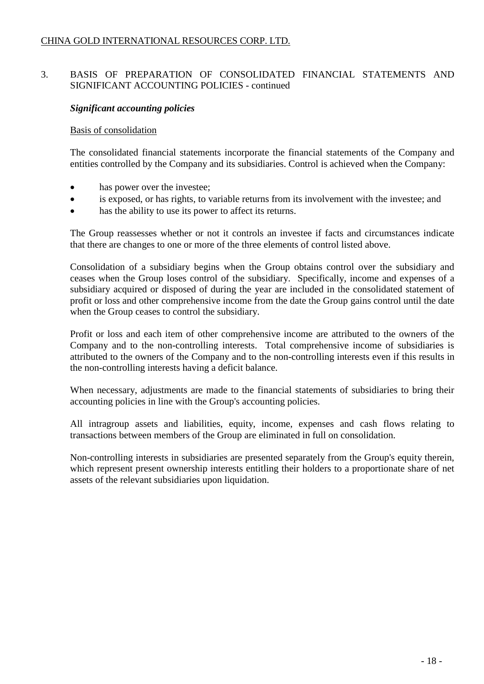# *Significant accounting policies*

### Basis of consolidation

The consolidated financial statements incorporate the financial statements of the Company and entities controlled by the Company and its subsidiaries. Control is achieved when the Company:

- has power over the investee;
- is exposed, or has rights, to variable returns from its involvement with the investee; and
- has the ability to use its power to affect its returns.

The Group reassesses whether or not it controls an investee if facts and circumstances indicate that there are changes to one or more of the three elements of control listed above.

Consolidation of a subsidiary begins when the Group obtains control over the subsidiary and ceases when the Group loses control of the subsidiary. Specifically, income and expenses of a subsidiary acquired or disposed of during the year are included in the consolidated statement of profit or loss and other comprehensive income from the date the Group gains control until the date when the Group ceases to control the subsidiary.

Profit or loss and each item of other comprehensive income are attributed to the owners of the Company and to the non-controlling interests. Total comprehensive income of subsidiaries is attributed to the owners of the Company and to the non-controlling interests even if this results in the non-controlling interests having a deficit balance.

When necessary, adjustments are made to the financial statements of subsidiaries to bring their accounting policies in line with the Group's accounting policies.

All intragroup assets and liabilities, equity, income, expenses and cash flows relating to transactions between members of the Group are eliminated in full on consolidation.

Non-controlling interests in subsidiaries are presented separately from the Group's equity therein, which represent present ownership interests entitling their holders to a proportionate share of net assets of the relevant subsidiaries upon liquidation.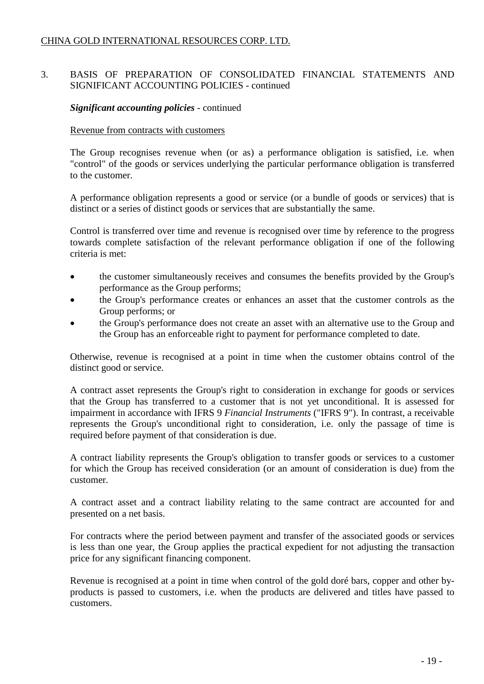# *Significant accounting policies* - continued

### Revenue from contracts with customers

The Group recognises revenue when (or as) a performance obligation is satisfied, i.e. when "control" of the goods or services underlying the particular performance obligation is transferred to the customer.

A performance obligation represents a good or service (or a bundle of goods or services) that is distinct or a series of distinct goods or services that are substantially the same.

Control is transferred over time and revenue is recognised over time by reference to the progress towards complete satisfaction of the relevant performance obligation if one of the following criteria is met:

- the customer simultaneously receives and consumes the benefits provided by the Group's performance as the Group performs;
- the Group's performance creates or enhances an asset that the customer controls as the Group performs; or
- the Group's performance does not create an asset with an alternative use to the Group and the Group has an enforceable right to payment for performance completed to date.

Otherwise, revenue is recognised at a point in time when the customer obtains control of the distinct good or service.

A contract asset represents the Group's right to consideration in exchange for goods or services that the Group has transferred to a customer that is not yet unconditional. It is assessed for impairment in accordance with IFRS 9 *Financial Instruments* ("IFRS 9"). In contrast, a receivable represents the Group's unconditional right to consideration, i.e. only the passage of time is required before payment of that consideration is due.

A contract liability represents the Group's obligation to transfer goods or services to a customer for which the Group has received consideration (or an amount of consideration is due) from the customer.

A contract asset and a contract liability relating to the same contract are accounted for and presented on a net basis.

For contracts where the period between payment and transfer of the associated goods or services is less than one year, the Group applies the practical expedient for not adjusting the transaction price for any significant financing component.

Revenue is recognised at a point in time when control of the gold doré bars, copper and other byproducts is passed to customers, i.e. when the products are delivered and titles have passed to customers.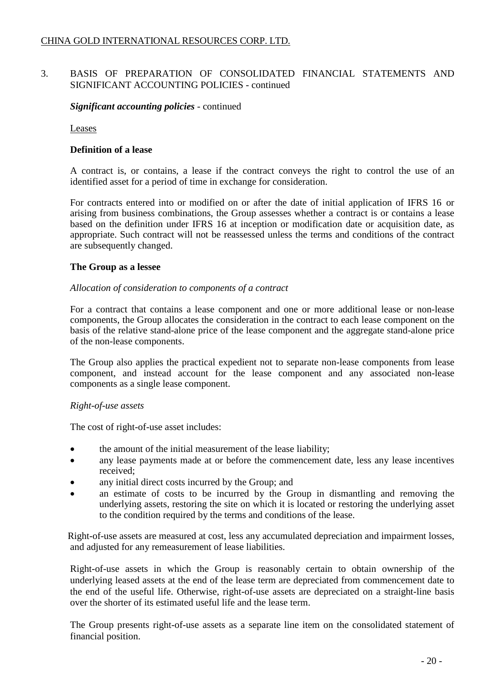### *Significant accounting policies* - continued

Leases

## **Definition of a lease**

A contract is, or contains, a lease if the contract conveys the right to control the use of an identified asset for a period of time in exchange for consideration.

For contracts entered into or modified on or after the date of initial application of IFRS 16 or arising from business combinations, the Group assesses whether a contract is or contains a lease based on the definition under IFRS 16 at inception or modification date or acquisition date, as appropriate. Such contract will not be reassessed unless the terms and conditions of the contract are subsequently changed.

### **The Group as a lessee**

### *Allocation of consideration to components of a contract*

For a contract that contains a lease component and one or more additional lease or non-lease components, the Group allocates the consideration in the contract to each lease component on the basis of the relative stand-alone price of the lease component and the aggregate stand-alone price of the non-lease components.

The Group also applies the practical expedient not to separate non-lease components from lease component, and instead account for the lease component and any associated non-lease components as a single lease component.

### *Right-of-use assets*

The cost of right-of-use asset includes:

- the amount of the initial measurement of the lease liability;
- any lease payments made at or before the commencement date, less any lease incentives received;
- any initial direct costs incurred by the Group; and
- an estimate of costs to be incurred by the Group in dismantling and removing the underlying assets, restoring the site on which it is located or restoring the underlying asset to the condition required by the terms and conditions of the lease.

Right-of-use assets are measured at cost, less any accumulated depreciation and impairment losses, and adjusted for any remeasurement of lease liabilities.

Right-of-use assets in which the Group is reasonably certain to obtain ownership of the underlying leased assets at the end of the lease term are depreciated from commencement date to the end of the useful life. Otherwise, right-of-use assets are depreciated on a straight-line basis over the shorter of its estimated useful life and the lease term.

The Group presents right-of-use assets as a separate line item on the consolidated statement of financial position.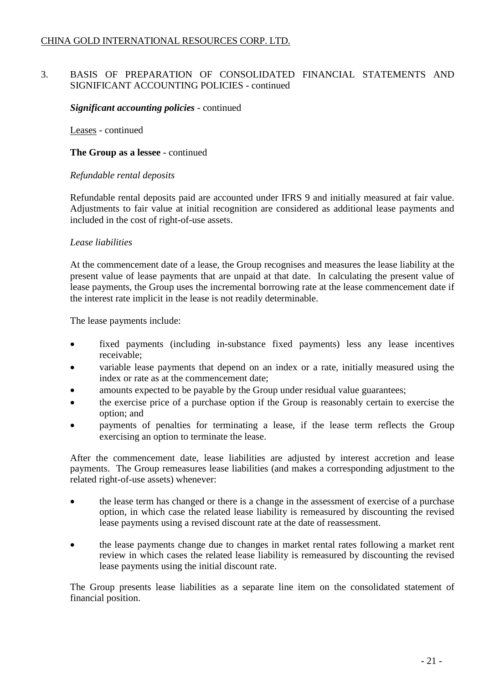*Significant accounting policies* - continued

Leases - continued

**The Group as a lessee** - continued

### *Refundable rental deposits*

Refundable rental deposits paid are accounted under IFRS 9 and initially measured at fair value. Adjustments to fair value at initial recognition are considered as additional lease payments and included in the cost of right-of-use assets.

### *Lease liabilities*

At the commencement date of a lease, the Group recognises and measures the lease liability at the present value of lease payments that are unpaid at that date. In calculating the present value of lease payments, the Group uses the incremental borrowing rate at the lease commencement date if the interest rate implicit in the lease is not readily determinable.

The lease payments include:

- fixed payments (including in-substance fixed payments) less any lease incentives receivable;
- variable lease payments that depend on an index or a rate, initially measured using the index or rate as at the commencement date;
- amounts expected to be payable by the Group under residual value guarantees;
- the exercise price of a purchase option if the Group is reasonably certain to exercise the option; and
- payments of penalties for terminating a lease, if the lease term reflects the Group exercising an option to terminate the lease.

After the commencement date, lease liabilities are adjusted by interest accretion and lease payments. The Group remeasures lease liabilities (and makes a corresponding adjustment to the related right-of-use assets) whenever:

- the lease term has changed or there is a change in the assessment of exercise of a purchase option, in which case the related lease liability is remeasured by discounting the revised lease payments using a revised discount rate at the date of reassessment.
- the lease payments change due to changes in market rental rates following a market rent review in which cases the related lease liability is remeasured by discounting the revised lease payments using the initial discount rate.

The Group presents lease liabilities as a separate line item on the consolidated statement of financial position.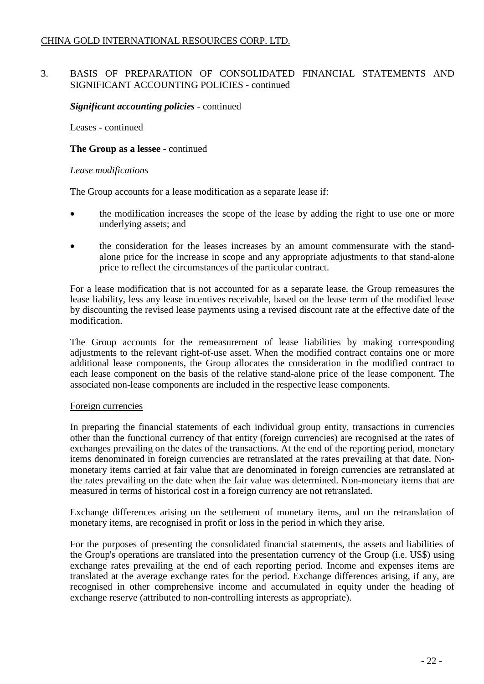## *Significant accounting policies* - continued

Leases - continued

**The Group as a lessee** - continued

### *Lease modifications*

The Group accounts for a lease modification as a separate lease if:

- the modification increases the scope of the lease by adding the right to use one or more underlying assets; and
- the consideration for the leases increases by an amount commensurate with the standalone price for the increase in scope and any appropriate adjustments to that stand-alone price to reflect the circumstances of the particular contract.

For a lease modification that is not accounted for as a separate lease, the Group remeasures the lease liability, less any lease incentives receivable, based on the lease term of the modified lease by discounting the revised lease payments using a revised discount rate at the effective date of the modification.

The Group accounts for the remeasurement of lease liabilities by making corresponding adjustments to the relevant right-of-use asset. When the modified contract contains one or more additional lease components, the Group allocates the consideration in the modified contract to each lease component on the basis of the relative stand-alone price of the lease component. The associated non-lease components are included in the respective lease components.

### Foreign currencies

In preparing the financial statements of each individual group entity, transactions in currencies other than the functional currency of that entity (foreign currencies) are recognised at the rates of exchanges prevailing on the dates of the transactions. At the end of the reporting period, monetary items denominated in foreign currencies are retranslated at the rates prevailing at that date. Nonmonetary items carried at fair value that are denominated in foreign currencies are retranslated at the rates prevailing on the date when the fair value was determined. Non-monetary items that are measured in terms of historical cost in a foreign currency are not retranslated.

Exchange differences arising on the settlement of monetary items, and on the retranslation of monetary items, are recognised in profit or loss in the period in which they arise.

For the purposes of presenting the consolidated financial statements, the assets and liabilities of the Group's operations are translated into the presentation currency of the Group (i.e. US\$) using exchange rates prevailing at the end of each reporting period. Income and expenses items are translated at the average exchange rates for the period. Exchange differences arising, if any, are recognised in other comprehensive income and accumulated in equity under the heading of exchange reserve (attributed to non-controlling interests as appropriate).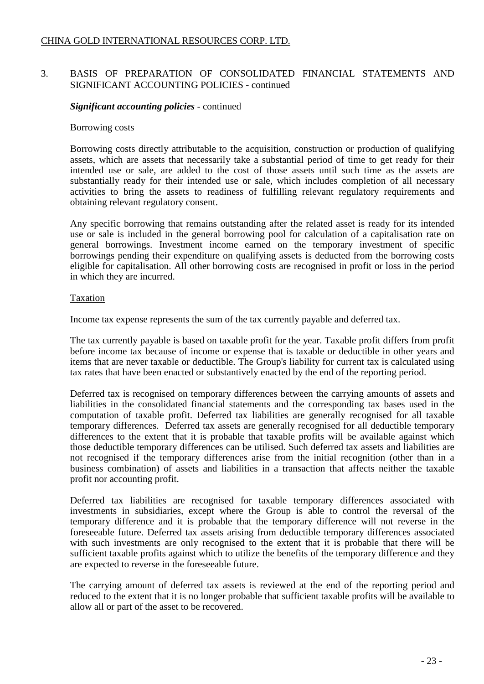#### *Significant accounting policies* - continued

#### Borrowing costs

Borrowing costs directly attributable to the acquisition, construction or production of qualifying assets, which are assets that necessarily take a substantial period of time to get ready for their intended use or sale, are added to the cost of those assets until such time as the assets are substantially ready for their intended use or sale, which includes completion of all necessary activities to bring the assets to readiness of fulfilling relevant regulatory requirements and obtaining relevant regulatory consent.

Any specific borrowing that remains outstanding after the related asset is ready for its intended use or sale is included in the general borrowing pool for calculation of a capitalisation rate on general borrowings. Investment income earned on the temporary investment of specific borrowings pending their expenditure on qualifying assets is deducted from the borrowing costs eligible for capitalisation. All other borrowing costs are recognised in profit or loss in the period in which they are incurred.

### Taxation

Income tax expense represents the sum of the tax currently payable and deferred tax.

The tax currently payable is based on taxable profit for the year. Taxable profit differs from profit before income tax because of income or expense that is taxable or deductible in other years and items that are never taxable or deductible. The Group's liability for current tax is calculated using tax rates that have been enacted or substantively enacted by the end of the reporting period.

Deferred tax is recognised on temporary differences between the carrying amounts of assets and liabilities in the consolidated financial statements and the corresponding tax bases used in the computation of taxable profit. Deferred tax liabilities are generally recognised for all taxable temporary differences. Deferred tax assets are generally recognised for all deductible temporary differences to the extent that it is probable that taxable profits will be available against which those deductible temporary differences can be utilised. Such deferred tax assets and liabilities are not recognised if the temporary differences arise from the initial recognition (other than in a business combination) of assets and liabilities in a transaction that affects neither the taxable profit nor accounting profit.

Deferred tax liabilities are recognised for taxable temporary differences associated with investments in subsidiaries, except where the Group is able to control the reversal of the temporary difference and it is probable that the temporary difference will not reverse in the foreseeable future. Deferred tax assets arising from deductible temporary differences associated with such investments are only recognised to the extent that it is probable that there will be sufficient taxable profits against which to utilize the benefits of the temporary difference and they are expected to reverse in the foreseeable future.

The carrying amount of deferred tax assets is reviewed at the end of the reporting period and reduced to the extent that it is no longer probable that sufficient taxable profits will be available to allow all or part of the asset to be recovered.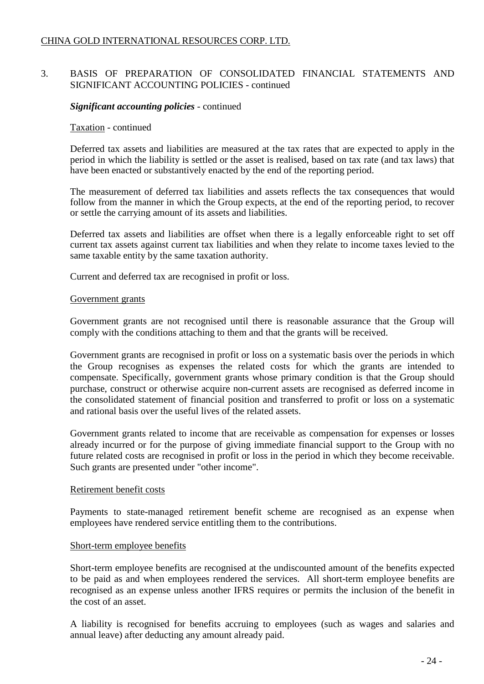#### *Significant accounting policies* - continued

#### Taxation - continued

Deferred tax assets and liabilities are measured at the tax rates that are expected to apply in the period in which the liability is settled or the asset is realised, based on tax rate (and tax laws) that have been enacted or substantively enacted by the end of the reporting period.

The measurement of deferred tax liabilities and assets reflects the tax consequences that would follow from the manner in which the Group expects, at the end of the reporting period, to recover or settle the carrying amount of its assets and liabilities.

Deferred tax assets and liabilities are offset when there is a legally enforceable right to set off current tax assets against current tax liabilities and when they relate to income taxes levied to the same taxable entity by the same taxation authority.

Current and deferred tax are recognised in profit or loss.

#### Government grants

Government grants are not recognised until there is reasonable assurance that the Group will comply with the conditions attaching to them and that the grants will be received.

Government grants are recognised in profit or loss on a systematic basis over the periods in which the Group recognises as expenses the related costs for which the grants are intended to compensate. Specifically, government grants whose primary condition is that the Group should purchase, construct or otherwise acquire non-current assets are recognised as deferred income in the consolidated statement of financial position and transferred to profit or loss on a systematic and rational basis over the useful lives of the related assets.

Government grants related to income that are receivable as compensation for expenses or losses already incurred or for the purpose of giving immediate financial support to the Group with no future related costs are recognised in profit or loss in the period in which they become receivable. Such grants are presented under "other income".

#### Retirement benefit costs

Payments to state-managed retirement benefit scheme are recognised as an expense when employees have rendered service entitling them to the contributions.

#### Short-term employee benefits

Short-term employee benefits are recognised at the undiscounted amount of the benefits expected to be paid as and when employees rendered the services. All short-term employee benefits are recognised as an expense unless another IFRS requires or permits the inclusion of the benefit in the cost of an asset.

A liability is recognised for benefits accruing to employees (such as wages and salaries and annual leave) after deducting any amount already paid.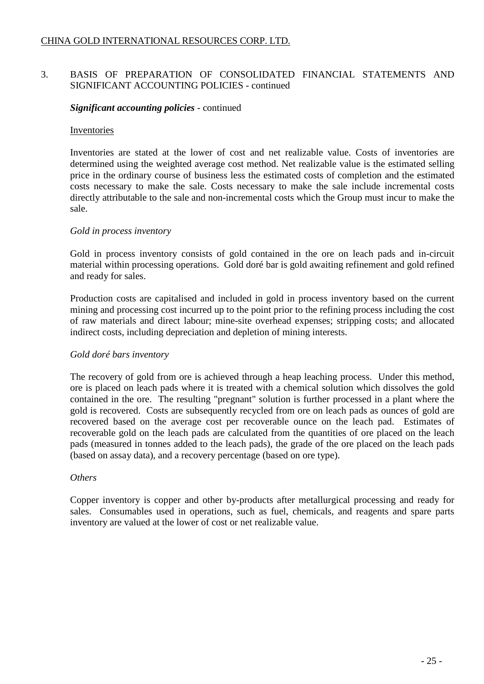# *Significant accounting policies* - continued

### Inventories

Inventories are stated at the lower of cost and net realizable value. Costs of inventories are determined using the weighted average cost method. Net realizable value is the estimated selling price in the ordinary course of business less the estimated costs of completion and the estimated costs necessary to make the sale. Costs necessary to make the sale include incremental costs directly attributable to the sale and non-incremental costs which the Group must incur to make the sale.

### *Gold in process inventory*

Gold in process inventory consists of gold contained in the ore on leach pads and in-circuit material within processing operations. Gold doré bar is gold awaiting refinement and gold refined and ready for sales.

Production costs are capitalised and included in gold in process inventory based on the current mining and processing cost incurred up to the point prior to the refining process including the cost of raw materials and direct labour; mine-site overhead expenses; stripping costs; and allocated indirect costs, including depreciation and depletion of mining interests.

# *Gold doré bars inventory*

The recovery of gold from ore is achieved through a heap leaching process. Under this method, ore is placed on leach pads where it is treated with a chemical solution which dissolves the gold contained in the ore. The resulting "pregnant" solution is further processed in a plant where the gold is recovered. Costs are subsequently recycled from ore on leach pads as ounces of gold are recovered based on the average cost per recoverable ounce on the leach pad. Estimates of recoverable gold on the leach pads are calculated from the quantities of ore placed on the leach pads (measured in tonnes added to the leach pads), the grade of the ore placed on the leach pads (based on assay data), and a recovery percentage (based on ore type).

### *Others*

Copper inventory is copper and other by-products after metallurgical processing and ready for sales. Consumables used in operations, such as fuel, chemicals, and reagents and spare parts inventory are valued at the lower of cost or net realizable value.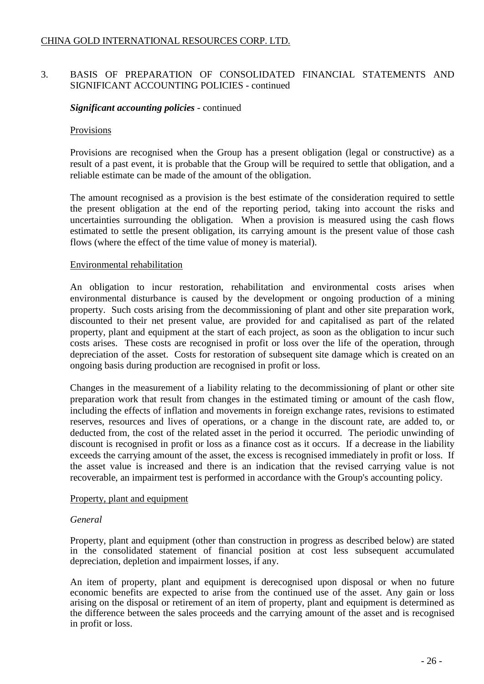### *Significant accounting policies* - continued

#### Provisions

Provisions are recognised when the Group has a present obligation (legal or constructive) as a result of a past event, it is probable that the Group will be required to settle that obligation, and a reliable estimate can be made of the amount of the obligation.

The amount recognised as a provision is the best estimate of the consideration required to settle the present obligation at the end of the reporting period, taking into account the risks and uncertainties surrounding the obligation. When a provision is measured using the cash flows estimated to settle the present obligation, its carrying amount is the present value of those cash flows (where the effect of the time value of money is material).

#### Environmental rehabilitation

An obligation to incur restoration, rehabilitation and environmental costs arises when environmental disturbance is caused by the development or ongoing production of a mining property. Such costs arising from the decommissioning of plant and other site preparation work, discounted to their net present value, are provided for and capitalised as part of the related property, plant and equipment at the start of each project, as soon as the obligation to incur such costs arises. These costs are recognised in profit or loss over the life of the operation, through depreciation of the asset. Costs for restoration of subsequent site damage which is created on an ongoing basis during production are recognised in profit or loss.

Changes in the measurement of a liability relating to the decommissioning of plant or other site preparation work that result from changes in the estimated timing or amount of the cash flow, including the effects of inflation and movements in foreign exchange rates, revisions to estimated reserves, resources and lives of operations, or a change in the discount rate, are added to, or deducted from, the cost of the related asset in the period it occurred. The periodic unwinding of discount is recognised in profit or loss as a finance cost as it occurs. If a decrease in the liability exceeds the carrying amount of the asset, the excess is recognised immediately in profit or loss. If the asset value is increased and there is an indication that the revised carrying value is not recoverable, an impairment test is performed in accordance with the Group's accounting policy.

### Property, plant and equipment

#### *General*

Property, plant and equipment (other than construction in progress as described below) are stated in the consolidated statement of financial position at cost less subsequent accumulated depreciation, depletion and impairment losses, if any.

An item of property, plant and equipment is derecognised upon disposal or when no future economic benefits are expected to arise from the continued use of the asset. Any gain or loss arising on the disposal or retirement of an item of property, plant and equipment is determined as the difference between the sales proceeds and the carrying amount of the asset and is recognised in profit or loss.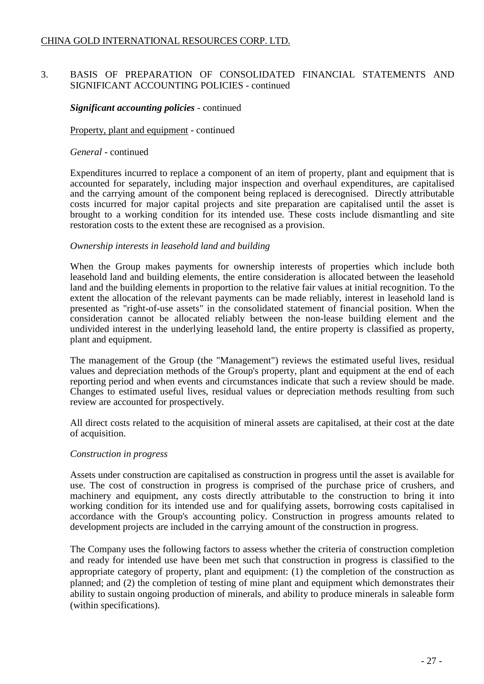### *Significant accounting policies* - continued

### Property, plant and equipment - continued

#### *General* - continued

Expenditures incurred to replace a component of an item of property, plant and equipment that is accounted for separately, including major inspection and overhaul expenditures, are capitalised and the carrying amount of the component being replaced is derecognised. Directly attributable costs incurred for major capital projects and site preparation are capitalised until the asset is brought to a working condition for its intended use. These costs include dismantling and site restoration costs to the extent these are recognised as a provision.

#### *Ownership interests in leasehold land and building*

When the Group makes payments for ownership interests of properties which include both leasehold land and building elements, the entire consideration is allocated between the leasehold land and the building elements in proportion to the relative fair values at initial recognition. To the extent the allocation of the relevant payments can be made reliably, interest in leasehold land is presented as "right-of-use assets" in the consolidated statement of financial position. When the consideration cannot be allocated reliably between the non-lease building element and the undivided interest in the underlying leasehold land, the entire property is classified as property, plant and equipment.

The management of the Group (the "Management") reviews the estimated useful lives, residual values and depreciation methods of the Group's property, plant and equipment at the end of each reporting period and when events and circumstances indicate that such a review should be made. Changes to estimated useful lives, residual values or depreciation methods resulting from such review are accounted for prospectively.

All direct costs related to the acquisition of mineral assets are capitalised, at their cost at the date of acquisition.

### *Construction in progress*

Assets under construction are capitalised as construction in progress until the asset is available for use. The cost of construction in progress is comprised of the purchase price of crushers, and machinery and equipment, any costs directly attributable to the construction to bring it into working condition for its intended use and for qualifying assets, borrowing costs capitalised in accordance with the Group's accounting policy. Construction in progress amounts related to development projects are included in the carrying amount of the construction in progress.

The Company uses the following factors to assess whether the criteria of construction completion and ready for intended use have been met such that construction in progress is classified to the appropriate category of property, plant and equipment: (1) the completion of the construction as planned; and (2) the completion of testing of mine plant and equipment which demonstrates their ability to sustain ongoing production of minerals, and ability to produce minerals in saleable form (within specifications).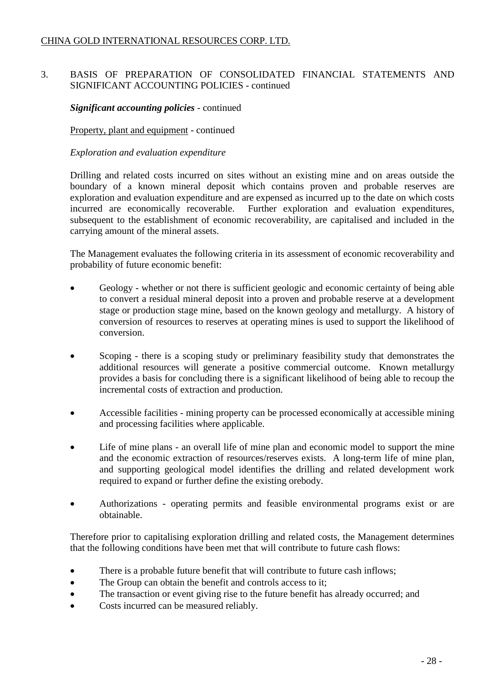# *Significant accounting policies* - continued

Property, plant and equipment - continued

### *Exploration and evaluation expenditure*

Drilling and related costs incurred on sites without an existing mine and on areas outside the boundary of a known mineral deposit which contains proven and probable reserves are exploration and evaluation expenditure and are expensed as incurred up to the date on which costs incurred are economically recoverable. Further exploration and evaluation expenditures, subsequent to the establishment of economic recoverability, are capitalised and included in the carrying amount of the mineral assets.

The Management evaluates the following criteria in its assessment of economic recoverability and probability of future economic benefit:

- Geology whether or not there is sufficient geologic and economic certainty of being able to convert a residual mineral deposit into a proven and probable reserve at a development stage or production stage mine, based on the known geology and metallurgy. A history of conversion of resources to reserves at operating mines is used to support the likelihood of conversion.
- Scoping there is a scoping study or preliminary feasibility study that demonstrates the additional resources will generate a positive commercial outcome. Known metallurgy provides a basis for concluding there is a significant likelihood of being able to recoup the incremental costs of extraction and production.
- Accessible facilities mining property can be processed economically at accessible mining and processing facilities where applicable.
- Life of mine plans an overall life of mine plan and economic model to support the mine and the economic extraction of resources/reserves exists. A long-term life of mine plan, and supporting geological model identifies the drilling and related development work required to expand or further define the existing orebody.
- Authorizations operating permits and feasible environmental programs exist or are obtainable.

Therefore prior to capitalising exploration drilling and related costs, the Management determines that the following conditions have been met that will contribute to future cash flows:

- There is a probable future benefit that will contribute to future cash inflows;
- The Group can obtain the benefit and controls access to it;
- The transaction or event giving rise to the future benefit has already occurred; and
- Costs incurred can be measured reliably.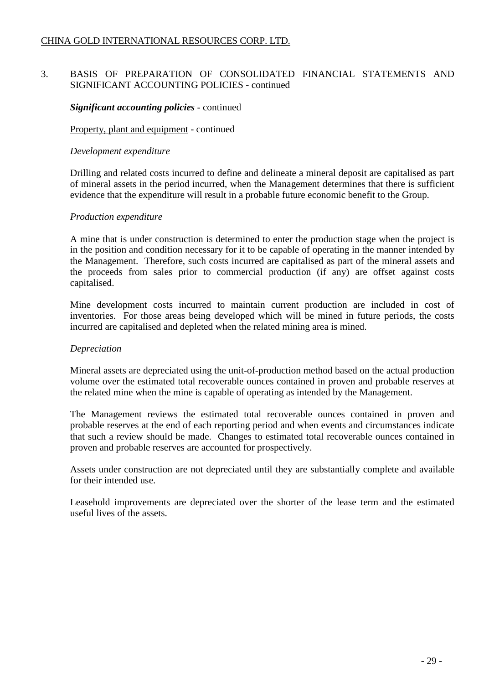## *Significant accounting policies* - continued

Property, plant and equipment - continued

### *Development expenditure*

Drilling and related costs incurred to define and delineate a mineral deposit are capitalised as part of mineral assets in the period incurred, when the Management determines that there is sufficient evidence that the expenditure will result in a probable future economic benefit to the Group.

### *Production expenditure*

A mine that is under construction is determined to enter the production stage when the project is in the position and condition necessary for it to be capable of operating in the manner intended by the Management. Therefore, such costs incurred are capitalised as part of the mineral assets and the proceeds from sales prior to commercial production (if any) are offset against costs capitalised.

Mine development costs incurred to maintain current production are included in cost of inventories. For those areas being developed which will be mined in future periods, the costs incurred are capitalised and depleted when the related mining area is mined.

### *Depreciation*

Mineral assets are depreciated using the unit-of-production method based on the actual production volume over the estimated total recoverable ounces contained in proven and probable reserves at the related mine when the mine is capable of operating as intended by the Management.

The Management reviews the estimated total recoverable ounces contained in proven and probable reserves at the end of each reporting period and when events and circumstances indicate that such a review should be made. Changes to estimated total recoverable ounces contained in proven and probable reserves are accounted for prospectively.

Assets under construction are not depreciated until they are substantially complete and available for their intended use.

Leasehold improvements are depreciated over the shorter of the lease term and the estimated useful lives of the assets.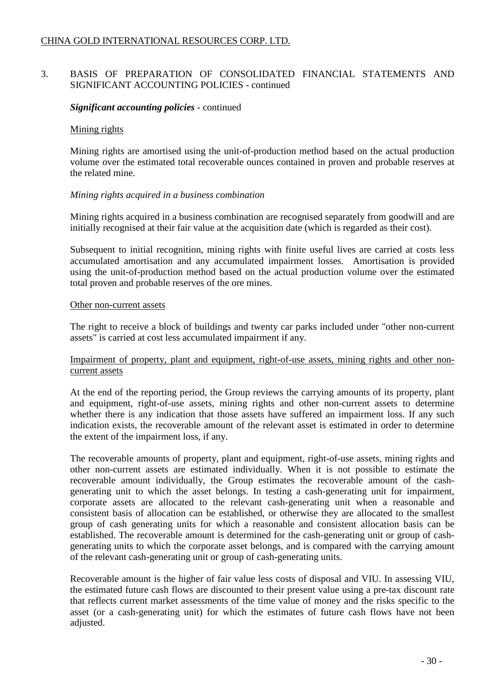### *Significant accounting policies* - continued

#### Mining rights

Mining rights are amortised using the unit-of-production method based on the actual production volume over the estimated total recoverable ounces contained in proven and probable reserves at the related mine.

### *Mining rights acquired in a business combination*

Mining rights acquired in a business combination are recognised separately from goodwill and are initially recognised at their fair value at the acquisition date (which is regarded as their cost).

Subsequent to initial recognition, mining rights with finite useful lives are carried at costs less accumulated amortisation and any accumulated impairment losses. Amortisation is provided using the unit-of-production method based on the actual production volume over the estimated total proven and probable reserves of the ore mines.

#### Other non-current assets

The right to receive a block of buildings and twenty car parks included under "other non-current assets" is carried at cost less accumulated impairment if any.

### Impairment of property, plant and equipment, right-of-use assets, mining rights and other noncurrent assets

At the end of the reporting period, the Group reviews the carrying amounts of its property, plant and equipment, right-of-use assets, mining rights and other non-current assets to determine whether there is any indication that those assets have suffered an impairment loss. If any such indication exists, the recoverable amount of the relevant asset is estimated in order to determine the extent of the impairment loss, if any.

The recoverable amounts of property, plant and equipment, right-of-use assets, mining rights and other non-current assets are estimated individually. When it is not possible to estimate the recoverable amount individually, the Group estimates the recoverable amount of the cashgenerating unit to which the asset belongs. In testing a cash-generating unit for impairment, corporate assets are allocated to the relevant cash-generating unit when a reasonable and consistent basis of allocation can be established, or otherwise they are allocated to the smallest group of cash generating units for which a reasonable and consistent allocation basis can be established. The recoverable amount is determined for the cash-generating unit or group of cashgenerating units to which the corporate asset belongs, and is compared with the carrying amount of the relevant cash-generating unit or group of cash-generating units.

Recoverable amount is the higher of fair value less costs of disposal and VIU. In assessing VIU, the estimated future cash flows are discounted to their present value using a pre-tax discount rate that reflects current market assessments of the time value of money and the risks specific to the asset (or a cash-generating unit) for which the estimates of future cash flows have not been adjusted.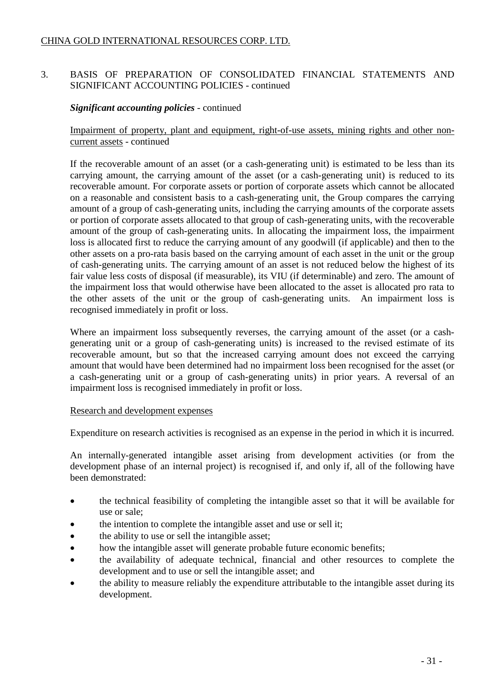# *Significant accounting policies* - continued

# Impairment of property, plant and equipment, right-of-use assets, mining rights and other noncurrent assets - continued

If the recoverable amount of an asset (or a cash-generating unit) is estimated to be less than its carrying amount, the carrying amount of the asset (or a cash-generating unit) is reduced to its recoverable amount. For corporate assets or portion of corporate assets which cannot be allocated on a reasonable and consistent basis to a cash-generating unit, the Group compares the carrying amount of a group of cash-generating units, including the carrying amounts of the corporate assets or portion of corporate assets allocated to that group of cash-generating units, with the recoverable amount of the group of cash-generating units. In allocating the impairment loss, the impairment loss is allocated first to reduce the carrying amount of any goodwill (if applicable) and then to the other assets on a pro-rata basis based on the carrying amount of each asset in the unit or the group of cash-generating units. The carrying amount of an asset is not reduced below the highest of its fair value less costs of disposal (if measurable), its VIU (if determinable) and zero. The amount of the impairment loss that would otherwise have been allocated to the asset is allocated pro rata to the other assets of the unit or the group of cash-generating units. An impairment loss is recognised immediately in profit or loss.

Where an impairment loss subsequently reverses, the carrying amount of the asset (or a cashgenerating unit or a group of cash-generating units) is increased to the revised estimate of its recoverable amount, but so that the increased carrying amount does not exceed the carrying amount that would have been determined had no impairment loss been recognised for the asset (or a cash-generating unit or a group of cash-generating units) in prior years. A reversal of an impairment loss is recognised immediately in profit or loss.

### Research and development expenses

Expenditure on research activities is recognised as an expense in the period in which it is incurred.

An internally-generated intangible asset arising from development activities (or from the development phase of an internal project) is recognised if, and only if, all of the following have been demonstrated:

- the technical feasibility of completing the intangible asset so that it will be available for use or sale;
- the intention to complete the intangible asset and use or sell it;
- the ability to use or sell the intangible asset;
- how the intangible asset will generate probable future economic benefits;
- the availability of adequate technical, financial and other resources to complete the development and to use or sell the intangible asset; and
- the ability to measure reliably the expenditure attributable to the intangible asset during its development.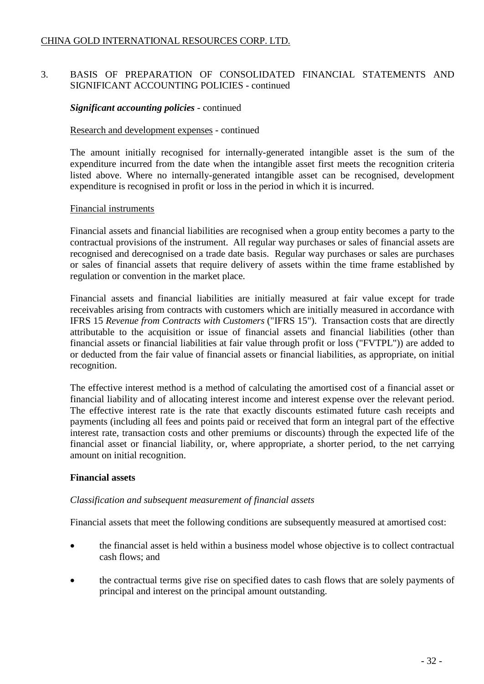# *Significant accounting policies* - continued

### Research and development expenses - continued

The amount initially recognised for internally-generated intangible asset is the sum of the expenditure incurred from the date when the intangible asset first meets the recognition criteria listed above. Where no internally-generated intangible asset can be recognised, development expenditure is recognised in profit or loss in the period in which it is incurred.

### Financial instruments

Financial assets and financial liabilities are recognised when a group entity becomes a party to the contractual provisions of the instrument. All regular way purchases or sales of financial assets are recognised and derecognised on a trade date basis. Regular way purchases or sales are purchases or sales of financial assets that require delivery of assets within the time frame established by regulation or convention in the market place.

Financial assets and financial liabilities are initially measured at fair value except for trade receivables arising from contracts with customers which are initially measured in accordance with IFRS 15 *Revenue from Contracts with Customers* ("IFRS 15"). Transaction costs that are directly attributable to the acquisition or issue of financial assets and financial liabilities (other than financial assets or financial liabilities at fair value through profit or loss ("FVTPL")) are added to or deducted from the fair value of financial assets or financial liabilities, as appropriate, on initial recognition.

The effective interest method is a method of calculating the amortised cost of a financial asset or financial liability and of allocating interest income and interest expense over the relevant period. The effective interest rate is the rate that exactly discounts estimated future cash receipts and payments (including all fees and points paid or received that form an integral part of the effective interest rate, transaction costs and other premiums or discounts) through the expected life of the financial asset or financial liability, or, where appropriate, a shorter period, to the net carrying amount on initial recognition.

### **Financial assets**

### *Classification and subsequent measurement of financial assets*

Financial assets that meet the following conditions are subsequently measured at amortised cost:

- the financial asset is held within a business model whose objective is to collect contractual cash flows; and
- the contractual terms give rise on specified dates to cash flows that are solely payments of principal and interest on the principal amount outstanding.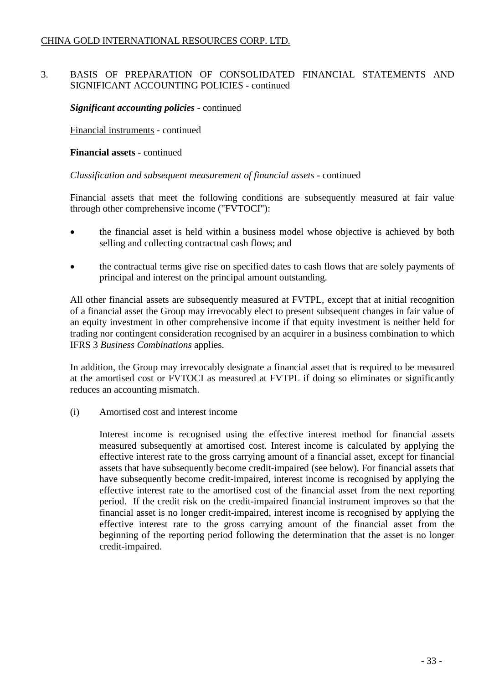# *Significant accounting policies* - continued

Financial instruments - continued

**Financial assets** - continued

### *Classification and subsequent measurement of financial assets* - continued

Financial assets that meet the following conditions are subsequently measured at fair value through other comprehensive income ("FVTOCI"):

- the financial asset is held within a business model whose objective is achieved by both selling and collecting contractual cash flows; and
- the contractual terms give rise on specified dates to cash flows that are solely payments of principal and interest on the principal amount outstanding.

All other financial assets are subsequently measured at FVTPL, except that at initial recognition of a financial asset the Group may irrevocably elect to present subsequent changes in fair value of an equity investment in other comprehensive income if that equity investment is neither held for trading nor contingent consideration recognised by an acquirer in a business combination to which IFRS 3 *Business Combinations* applies.

In addition, the Group may irrevocably designate a financial asset that is required to be measured at the amortised cost or FVTOCI as measured at FVTPL if doing so eliminates or significantly reduces an accounting mismatch.

(i) Amortised cost and interest income

Interest income is recognised using the effective interest method for financial assets measured subsequently at amortised cost. Interest income is calculated by applying the effective interest rate to the gross carrying amount of a financial asset, except for financial assets that have subsequently become credit-impaired (see below). For financial assets that have subsequently become credit-impaired, interest income is recognised by applying the effective interest rate to the amortised cost of the financial asset from the next reporting period. If the credit risk on the credit-impaired financial instrument improves so that the financial asset is no longer credit-impaired, interest income is recognised by applying the effective interest rate to the gross carrying amount of the financial asset from the beginning of the reporting period following the determination that the asset is no longer credit-impaired.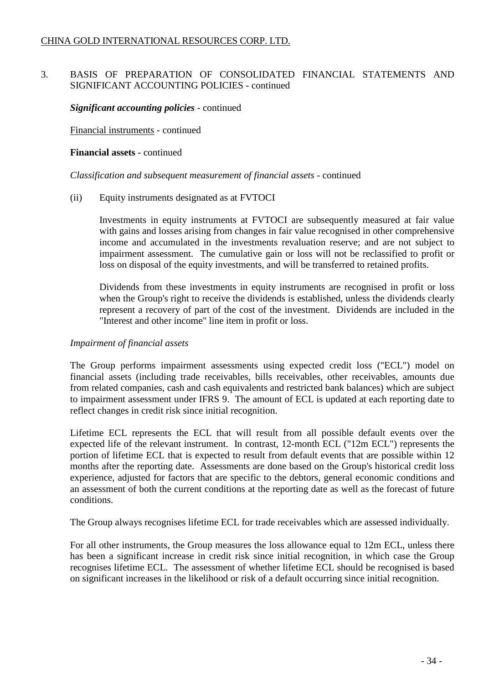*Significant accounting policies* - continued

Financial instruments - continued

**Financial assets** - continued

### *Classification and subsequent measurement of financial assets* - continued

### (ii) Equity instruments designated as at FVTOCI

Investments in equity instruments at FVTOCI are subsequently measured at fair value with gains and losses arising from changes in fair value recognised in other comprehensive income and accumulated in the investments revaluation reserve; and are not subject to impairment assessment. The cumulative gain or loss will not be reclassified to profit or loss on disposal of the equity investments, and will be transferred to retained profits.

Dividends from these investments in equity instruments are recognised in profit or loss when the Group's right to receive the dividends is established, unless the dividends clearly represent a recovery of part of the cost of the investment. Dividends are included in the "Interest and other income" line item in profit or loss.

#### *Impairment of financial assets*

The Group performs impairment assessments using expected credit loss ("ECL") model on financial assets (including trade receivables, bills receivables, other receivables, amounts due from related companies, cash and cash equivalents and restricted bank balances) which are subject to impairment assessment under IFRS 9. The amount of ECL is updated at each reporting date to reflect changes in credit risk since initial recognition.

Lifetime ECL represents the ECL that will result from all possible default events over the expected life of the relevant instrument. In contrast, 12-month ECL ("12m ECL") represents the portion of lifetime ECL that is expected to result from default events that are possible within 12 months after the reporting date. Assessments are done based on the Group's historical credit loss experience, adjusted for factors that are specific to the debtors, general economic conditions and an assessment of both the current conditions at the reporting date as well as the forecast of future conditions.

The Group always recognises lifetime ECL for trade receivables which are assessed individually.

For all other instruments, the Group measures the loss allowance equal to 12m ECL, unless there has been a significant increase in credit risk since initial recognition, in which case the Group recognises lifetime ECL. The assessment of whether lifetime ECL should be recognised is based on significant increases in the likelihood or risk of a default occurring since initial recognition.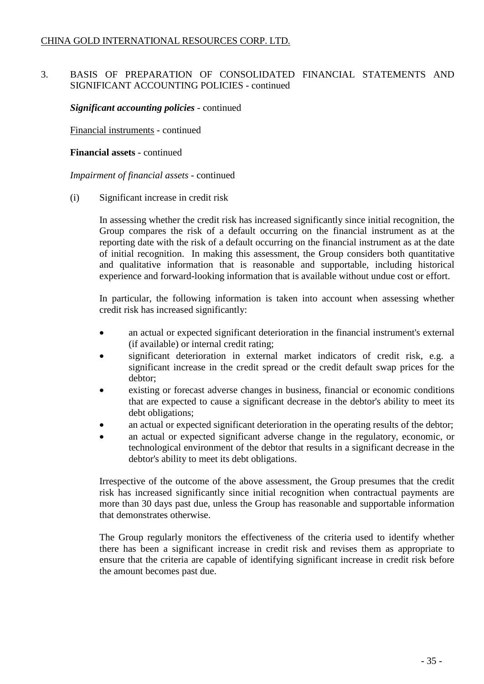*Significant accounting policies* - continued

Financial instruments - continued

**Financial assets** - continued

*Impairment of financial assets* - continued

(i) Significant increase in credit risk

In assessing whether the credit risk has increased significantly since initial recognition, the Group compares the risk of a default occurring on the financial instrument as at the reporting date with the risk of a default occurring on the financial instrument as at the date of initial recognition. In making this assessment, the Group considers both quantitative and qualitative information that is reasonable and supportable, including historical experience and forward-looking information that is available without undue cost or effort.

In particular, the following information is taken into account when assessing whether credit risk has increased significantly:

- an actual or expected significant deterioration in the financial instrument's external (if available) or internal credit rating;
- significant deterioration in external market indicators of credit risk, e.g. a significant increase in the credit spread or the credit default swap prices for the debtor;
- existing or forecast adverse changes in business, financial or economic conditions that are expected to cause a significant decrease in the debtor's ability to meet its debt obligations;
- an actual or expected significant deterioration in the operating results of the debtor;
- an actual or expected significant adverse change in the regulatory, economic, or technological environment of the debtor that results in a significant decrease in the debtor's ability to meet its debt obligations.

Irrespective of the outcome of the above assessment, the Group presumes that the credit risk has increased significantly since initial recognition when contractual payments are more than 30 days past due, unless the Group has reasonable and supportable information that demonstrates otherwise.

The Group regularly monitors the effectiveness of the criteria used to identify whether there has been a significant increase in credit risk and revises them as appropriate to ensure that the criteria are capable of identifying significant increase in credit risk before the amount becomes past due.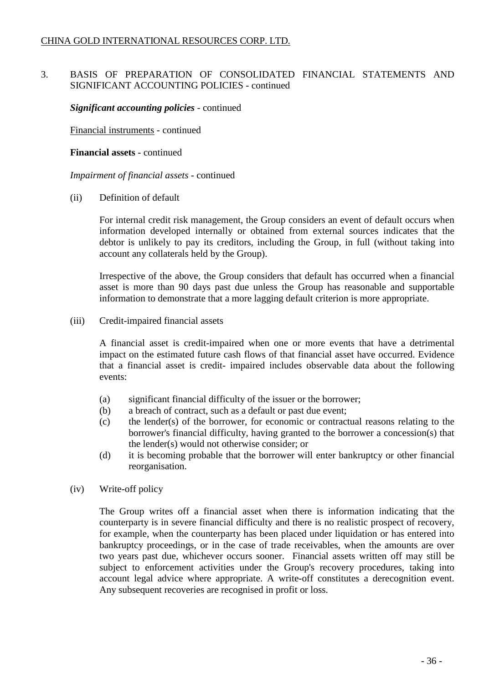*Significant accounting policies* - continued

Financial instruments - continued

**Financial assets** - continued

*Impairment of financial assets* - continued

(ii) Definition of default

For internal credit risk management, the Group considers an event of default occurs when information developed internally or obtained from external sources indicates that the debtor is unlikely to pay its creditors, including the Group, in full (without taking into account any collaterals held by the Group).

Irrespective of the above, the Group considers that default has occurred when a financial asset is more than 90 days past due unless the Group has reasonable and supportable information to demonstrate that a more lagging default criterion is more appropriate.

(iii) Credit-impaired financial assets

A financial asset is credit-impaired when one or more events that have a detrimental impact on the estimated future cash flows of that financial asset have occurred. Evidence that a financial asset is credit- impaired includes observable data about the following events:

- (a) significant financial difficulty of the issuer or the borrower;
- (b) a breach of contract, such as a default or past due event;
- (c) the lender(s) of the borrower, for economic or contractual reasons relating to the borrower's financial difficulty, having granted to the borrower a concession(s) that the lender(s) would not otherwise consider; or
- (d) it is becoming probable that the borrower will enter bankruptcy or other financial reorganisation.
- (iv) Write-off policy

The Group writes off a financial asset when there is information indicating that the counterparty is in severe financial difficulty and there is no realistic prospect of recovery, for example, when the counterparty has been placed under liquidation or has entered into bankruptcy proceedings, or in the case of trade receivables, when the amounts are over two years past due, whichever occurs sooner. Financial assets written off may still be subject to enforcement activities under the Group's recovery procedures, taking into account legal advice where appropriate. A write-off constitutes a derecognition event. Any subsequent recoveries are recognised in profit or loss.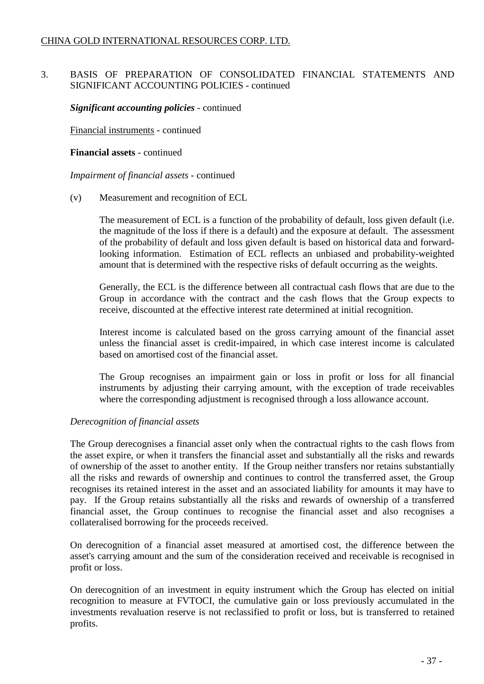*Significant accounting policies* - continued

Financial instruments - continued

**Financial assets** - continued

*Impairment of financial assets* - continued

### (v) Measurement and recognition of ECL

The measurement of ECL is a function of the probability of default, loss given default (i.e. the magnitude of the loss if there is a default) and the exposure at default. The assessment of the probability of default and loss given default is based on historical data and forwardlooking information. Estimation of ECL reflects an unbiased and probability-weighted amount that is determined with the respective risks of default occurring as the weights.

Generally, the ECL is the difference between all contractual cash flows that are due to the Group in accordance with the contract and the cash flows that the Group expects to receive, discounted at the effective interest rate determined at initial recognition.

Interest income is calculated based on the gross carrying amount of the financial asset unless the financial asset is credit-impaired, in which case interest income is calculated based on amortised cost of the financial asset.

The Group recognises an impairment gain or loss in profit or loss for all financial instruments by adjusting their carrying amount, with the exception of trade receivables where the corresponding adjustment is recognised through a loss allowance account.

# *Derecognition of financial assets*

The Group derecognises a financial asset only when the contractual rights to the cash flows from the asset expire, or when it transfers the financial asset and substantially all the risks and rewards of ownership of the asset to another entity. If the Group neither transfers nor retains substantially all the risks and rewards of ownership and continues to control the transferred asset, the Group recognises its retained interest in the asset and an associated liability for amounts it may have to pay. If the Group retains substantially all the risks and rewards of ownership of a transferred financial asset, the Group continues to recognise the financial asset and also recognises a collateralised borrowing for the proceeds received.

On derecognition of a financial asset measured at amortised cost, the difference between the asset's carrying amount and the sum of the consideration received and receivable is recognised in profit or loss.

On derecognition of an investment in equity instrument which the Group has elected on initial recognition to measure at FVTOCI, the cumulative gain or loss previously accumulated in the investments revaluation reserve is not reclassified to profit or loss, but is transferred to retained profits.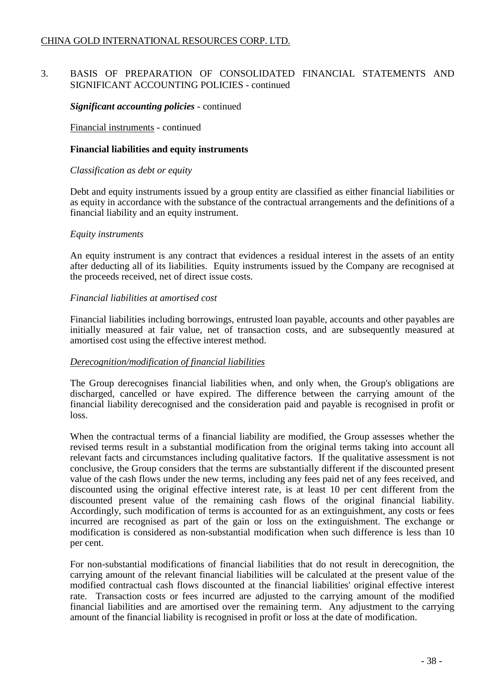### *Significant accounting policies* - continued

#### Financial instruments - continued

### **Financial liabilities and equity instruments**

#### *Classification as debt or equity*

Debt and equity instruments issued by a group entity are classified as either financial liabilities or as equity in accordance with the substance of the contractual arrangements and the definitions of a financial liability and an equity instrument.

#### *Equity instruments*

An equity instrument is any contract that evidences a residual interest in the assets of an entity after deducting all of its liabilities. Equity instruments issued by the Company are recognised at the proceeds received, net of direct issue costs.

### *Financial liabilities at amortised cost*

Financial liabilities including borrowings, entrusted loan payable, accounts and other payables are initially measured at fair value, net of transaction costs, and are subsequently measured at amortised cost using the effective interest method.

### *Derecognition/modification of financial liabilities*

The Group derecognises financial liabilities when, and only when, the Group's obligations are discharged, cancelled or have expired. The difference between the carrying amount of the financial liability derecognised and the consideration paid and payable is recognised in profit or loss.

When the contractual terms of a financial liability are modified, the Group assesses whether the revised terms result in a substantial modification from the original terms taking into account all relevant facts and circumstances including qualitative factors. If the qualitative assessment is not conclusive, the Group considers that the terms are substantially different if the discounted present value of the cash flows under the new terms, including any fees paid net of any fees received, and discounted using the original effective interest rate, is at least 10 per cent different from the discounted present value of the remaining cash flows of the original financial liability. Accordingly, such modification of terms is accounted for as an extinguishment, any costs or fees incurred are recognised as part of the gain or loss on the extinguishment. The exchange or modification is considered as non-substantial modification when such difference is less than 10 per cent.

For non-substantial modifications of financial liabilities that do not result in derecognition, the carrying amount of the relevant financial liabilities will be calculated at the present value of the modified contractual cash flows discounted at the financial liabilities' original effective interest rate. Transaction costs or fees incurred are adjusted to the carrying amount of the modified financial liabilities and are amortised over the remaining term. Any adjustment to the carrying amount of the financial liability is recognised in profit or loss at the date of modification.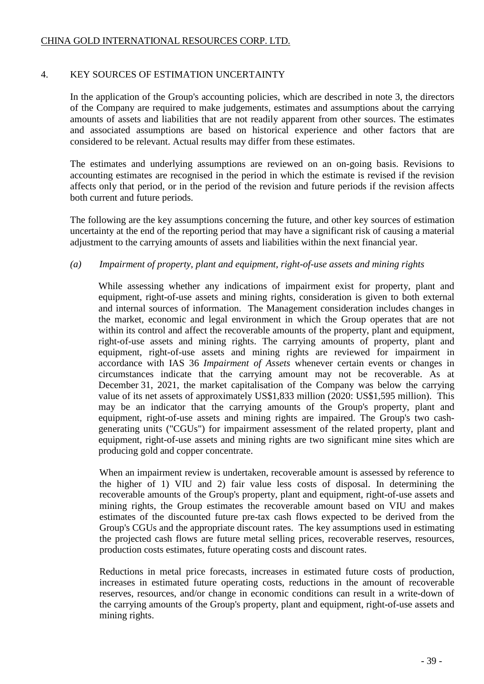## 4. KEY SOURCES OF ESTIMATION UNCERTAINTY

In the application of the Group's accounting policies, which are described in note 3, the directors of the Company are required to make judgements, estimates and assumptions about the carrying amounts of assets and liabilities that are not readily apparent from other sources. The estimates and associated assumptions are based on historical experience and other factors that are considered to be relevant. Actual results may differ from these estimates.

The estimates and underlying assumptions are reviewed on an on-going basis. Revisions to accounting estimates are recognised in the period in which the estimate is revised if the revision affects only that period, or in the period of the revision and future periods if the revision affects both current and future periods.

The following are the key assumptions concerning the future, and other key sources of estimation uncertainty at the end of the reporting period that may have a significant risk of causing a material adjustment to the carrying amounts of assets and liabilities within the next financial year.

### *(a) Impairment of property, plant and equipment, right-of-use assets and mining rights*

While assessing whether any indications of impairment exist for property, plant and equipment, right-of-use assets and mining rights, consideration is given to both external and internal sources of information. The Management consideration includes changes in the market, economic and legal environment in which the Group operates that are not within its control and affect the recoverable amounts of the property, plant and equipment, right-of-use assets and mining rights. The carrying amounts of property, plant and equipment, right-of-use assets and mining rights are reviewed for impairment in accordance with IAS 36 *Impairment of Assets* whenever certain events or changes in circumstances indicate that the carrying amount may not be recoverable. As at December 31, 2021, the market capitalisation of the Company was below the carrying value of its net assets of approximately US\$1,833 million (2020: US\$1,595 million). This may be an indicator that the carrying amounts of the Group's property, plant and equipment, right-of-use assets and mining rights are impaired. The Group's two cashgenerating units ("CGUs") for impairment assessment of the related property, plant and equipment, right-of-use assets and mining rights are two significant mine sites which are producing gold and copper concentrate.

When an impairment review is undertaken, recoverable amount is assessed by reference to the higher of 1) VIU and 2) fair value less costs of disposal. In determining the recoverable amounts of the Group's property, plant and equipment, right-of-use assets and mining rights, the Group estimates the recoverable amount based on VIU and makes estimates of the discounted future pre-tax cash flows expected to be derived from the Group's CGUs and the appropriate discount rates. The key assumptions used in estimating the projected cash flows are future metal selling prices, recoverable reserves, resources, production costs estimates, future operating costs and discount rates.

Reductions in metal price forecasts, increases in estimated future costs of production, increases in estimated future operating costs, reductions in the amount of recoverable reserves, resources, and/or change in economic conditions can result in a write-down of the carrying amounts of the Group's property, plant and equipment, right-of-use assets and mining rights.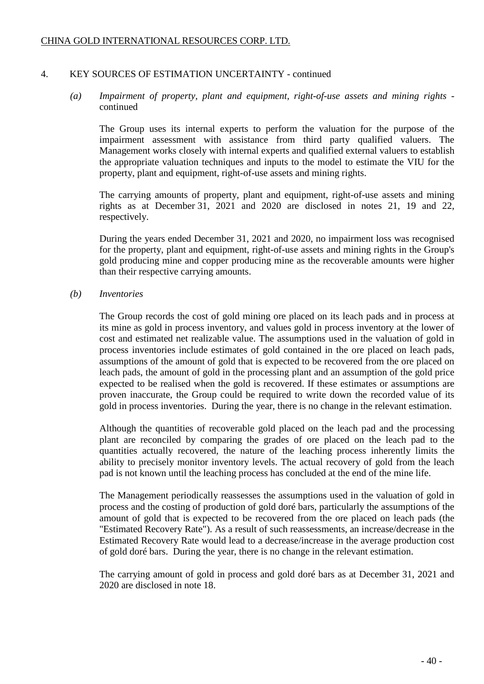### 4. KEY SOURCES OF ESTIMATION UNCERTAINTY - continued

### *(a) Impairment of property, plant and equipment, right-of-use assets and mining rights* continued

The Group uses its internal experts to perform the valuation for the purpose of the impairment assessment with assistance from third party qualified valuers. The Management works closely with internal experts and qualified external valuers to establish the appropriate valuation techniques and inputs to the model to estimate the VIU for the property, plant and equipment, right-of-use assets and mining rights.

The carrying amounts of property, plant and equipment, right-of-use assets and mining rights as at December 31, 2021 and 2020 are disclosed in notes 21, 19 and 22, respectively.

During the years ended December 31, 2021 and 2020, no impairment loss was recognised for the property, plant and equipment, right-of-use assets and mining rights in the Group's gold producing mine and copper producing mine as the recoverable amounts were higher than their respective carrying amounts.

#### *(b) Inventories*

The Group records the cost of gold mining ore placed on its leach pads and in process at its mine as gold in process inventory, and values gold in process inventory at the lower of cost and estimated net realizable value. The assumptions used in the valuation of gold in process inventories include estimates of gold contained in the ore placed on leach pads, assumptions of the amount of gold that is expected to be recovered from the ore placed on leach pads, the amount of gold in the processing plant and an assumption of the gold price expected to be realised when the gold is recovered. If these estimates or assumptions are proven inaccurate, the Group could be required to write down the recorded value of its gold in process inventories. During the year, there is no change in the relevant estimation.

Although the quantities of recoverable gold placed on the leach pad and the processing plant are reconciled by comparing the grades of ore placed on the leach pad to the quantities actually recovered, the nature of the leaching process inherently limits the ability to precisely monitor inventory levels. The actual recovery of gold from the leach pad is not known until the leaching process has concluded at the end of the mine life.

The Management periodically reassesses the assumptions used in the valuation of gold in process and the costing of production of gold doré bars, particularly the assumptions of the amount of gold that is expected to be recovered from the ore placed on leach pads (the "Estimated Recovery Rate"). As a result of such reassessments, an increase/decrease in the Estimated Recovery Rate would lead to a decrease/increase in the average production cost of gold doré bars. During the year, there is no change in the relevant estimation.

The carrying amount of gold in process and gold doré bars as at December 31, 2021 and 2020 are disclosed in note 18.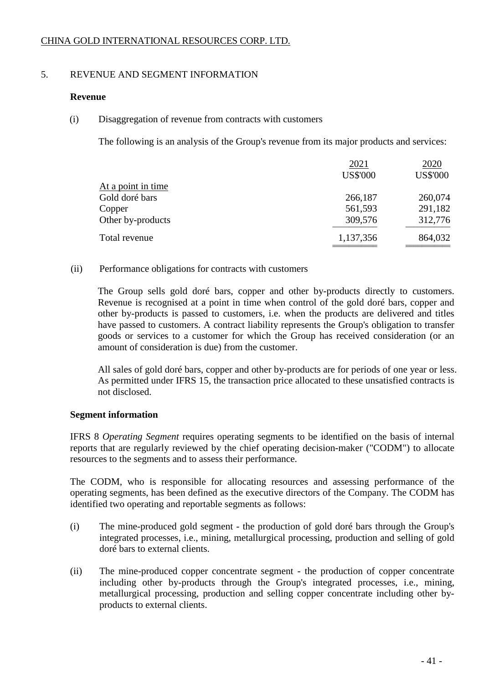## 5. REVENUE AND SEGMENT INFORMATION

### **Revenue**

(i) Disaggregation of revenue from contracts with customers

The following is an analysis of the Group's revenue from its major products and services:

|                    | 2021            | 2020            |
|--------------------|-----------------|-----------------|
|                    | <b>US\$'000</b> | <b>US\$'000</b> |
| At a point in time |                 |                 |
| Gold doré bars     | 266,187         | 260,074         |
| Copper             | 561,593         | 291,182         |
| Other by-products  | 309,576         | 312,776         |
| Total revenue      | 1,137,356       | 864,032         |
|                    |                 |                 |

(ii) Performance obligations for contracts with customers

The Group sells gold doré bars, copper and other by-products directly to customers. Revenue is recognised at a point in time when control of the gold doré bars, copper and other by-products is passed to customers, i.e. when the products are delivered and titles have passed to customers. A contract liability represents the Group's obligation to transfer goods or services to a customer for which the Group has received consideration (or an amount of consideration is due) from the customer.

All sales of gold doré bars, copper and other by-products are for periods of one year or less. As permitted under IFRS 15, the transaction price allocated to these unsatisfied contracts is not disclosed.

### **Segment information**

IFRS 8 *Operating Segment* requires operating segments to be identified on the basis of internal reports that are regularly reviewed by the chief operating decision-maker ("CODM") to allocate resources to the segments and to assess their performance.

The CODM, who is responsible for allocating resources and assessing performance of the operating segments, has been defined as the executive directors of the Company. The CODM has identified two operating and reportable segments as follows:

- (i) The mine-produced gold segment the production of gold doré bars through the Group's integrated processes, i.e., mining, metallurgical processing, production and selling of gold doré bars to external clients.
- (ii) The mine-produced copper concentrate segment the production of copper concentrate including other by-products through the Group's integrated processes, i.e., mining, metallurgical processing, production and selling copper concentrate including other byproducts to external clients.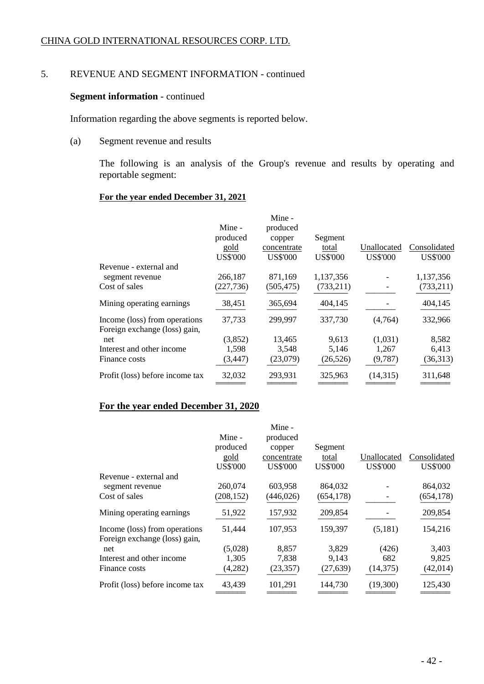## 5. REVENUE AND SEGMENT INFORMATION - continued

#### **Segment information** - continued

Information regarding the above segments is reported below.

#### (a) Segment revenue and results

The following is an analysis of the Group's revenue and results by operating and reportable segment:

#### **For the year ended December 31, 2021**

|                                                                |                 | Mine -          |                 |                 |                 |
|----------------------------------------------------------------|-----------------|-----------------|-----------------|-----------------|-----------------|
|                                                                | Mine -          | produced        |                 |                 |                 |
|                                                                | produced        | copper          | Segment         |                 |                 |
|                                                                | gold            | concentrate     | total           | Unallocated     | Consolidated    |
|                                                                | <b>US\$'000</b> | <b>US\$'000</b> | <b>US\$'000</b> | <b>US\$'000</b> | <b>US\$'000</b> |
| Revenue - external and                                         |                 |                 |                 |                 |                 |
| segment revenue                                                | 266,187         | 871,169         | 1,137,356       |                 | 1,137,356       |
| Cost of sales                                                  | (227, 736)      | (505, 475)      | (733,211)       |                 | (733, 211)      |
| Mining operating earnings                                      | 38,451          | 365,694         | 404,145         |                 | 404,145         |
| Income (loss) from operations<br>Foreign exchange (loss) gain, | 37,733          | 299,997         | 337,730         | (4,764)         | 332,966         |
| net                                                            | (3,852)         | 13,465          | 9,613           | (1,031)         | 8,582           |
| Interest and other income                                      | 1,598           | 3,548           | 5,146           | 1,267           | 6,413           |
| Finance costs                                                  | (3, 447)        | (23,079)        | (26, 526)       | (9,787)         | (36,313)        |
| Profit (loss) before income tax                                | 32,032          | 293,931         | 325,963         | (14,315)        | 311,648         |

### **For the year ended December 31, 2020**

|                                 |                 | Mine -          |                 |                 |                 |
|---------------------------------|-----------------|-----------------|-----------------|-----------------|-----------------|
|                                 | Mine -          | produced        |                 |                 |                 |
|                                 | produced        | copper          | Segment         |                 |                 |
|                                 | gold            | concentrate     | total           | Unallocated     | Consolidated    |
|                                 | <b>US\$'000</b> | <b>US\$'000</b> | <b>US\$'000</b> | <b>US\$'000</b> | <b>US\$'000</b> |
| Revenue - external and          |                 |                 |                 |                 |                 |
| segment revenue                 | 260,074         | 603,958         | 864,032         |                 | 864,032         |
| Cost of sales                   | (208, 152)      | (446, 026)      | (654, 178)      |                 | (654, 178)      |
| Mining operating earnings       | 51,922          | 157,932         | 209,854         |                 | 209,854         |
| Income (loss) from operations   | 51,444          | 107,953         | 159,397         | (5,181)         | 154,216         |
| Foreign exchange (loss) gain,   |                 |                 |                 |                 |                 |
| net                             | (5,028)         | 8,857           | 3,829           | (426)           | 3,403           |
| Interest and other income       | 1,305           | 7,838           | 9,143           | 682             | 9,825           |
| Finance costs                   | (4,282)         | (23, 357)       | (27, 639)       | (14, 375)       | (42, 014)       |
| Profit (loss) before income tax | 43,439          | 101,291         | 144,730         | (19,300)        | 125,430         |
|                                 |                 |                 |                 |                 |                 |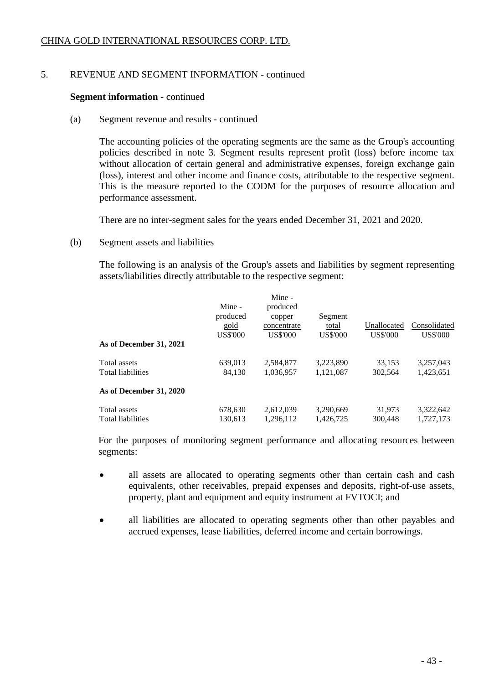# 5. REVENUE AND SEGMENT INFORMATION - continued

#### **Segment information** - continued

(a) Segment revenue and results - continued

The accounting policies of the operating segments are the same as the Group's accounting policies described in note 3. Segment results represent profit (loss) before income tax without allocation of certain general and administrative expenses, foreign exchange gain (loss), interest and other income and finance costs, attributable to the respective segment. This is the measure reported to the CODM for the purposes of resource allocation and performance assessment.

There are no inter-segment sales for the years ended December 31, 2021 and 2020.

(b) Segment assets and liabilities

The following is an analysis of the Group's assets and liabilities by segment representing assets/liabilities directly attributable to the respective segment:

|                          | Mine -<br>produced<br>gold<br><b>US\$'000</b> | Mine -<br>produced<br>copper<br>concentrate<br><b>US\$'000</b> | Segment<br>total<br><b>US\$'000</b> | Unallocated<br><b>US\$'000</b> | Consolidated<br><b>US\$'000</b> |
|--------------------------|-----------------------------------------------|----------------------------------------------------------------|-------------------------------------|--------------------------------|---------------------------------|
| As of December 31, 2021  |                                               |                                                                |                                     |                                |                                 |
| Total assets             | 639.013                                       | 2,584,877                                                      | 3,223,890                           | 33,153                         | 3,257,043                       |
| <b>Total liabilities</b> | 84.130                                        | 1,036,957                                                      | 1,121,087                           | 302,564                        | 1,423,651                       |
| As of December 31, 2020  |                                               |                                                                |                                     |                                |                                 |
| Total assets             | 678,630                                       | 2,612,039                                                      | 3,290,669                           | 31,973                         | 3,322,642                       |
| <b>Total liabilities</b> | 130.613                                       | 1.296.112                                                      | 1.426.725                           | 300,448                        | 1.727.173                       |

For the purposes of monitoring segment performance and allocating resources between segments:

- all assets are allocated to operating segments other than certain cash and cash equivalents, other receivables, prepaid expenses and deposits, right-of-use assets, property, plant and equipment and equity instrument at FVTOCI; and
- all liabilities are allocated to operating segments other than other payables and accrued expenses, lease liabilities, deferred income and certain borrowings.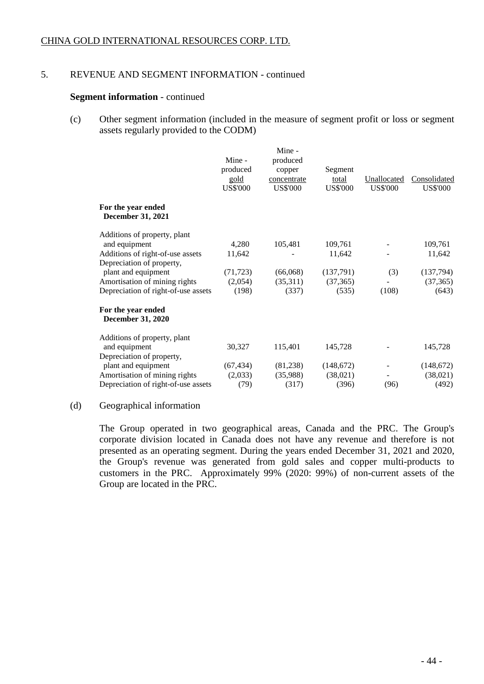### 5. REVENUE AND SEGMENT INFORMATION - continued

#### **Segment information** - continued

(c) Other segment information (included in the measure of segment profit or loss or segment assets regularly provided to the CODM)

| Mine -<br>produced<br>gold<br><b>US\$'000</b> | Mine -<br>produced<br>copper<br>concentrate<br><b>US\$'000</b> | Segment<br>total<br><b>US\$'000</b> | Unallocated<br><b>US\$'000</b> | Consolidated<br><b>US\$'000</b> |
|-----------------------------------------------|----------------------------------------------------------------|-------------------------------------|--------------------------------|---------------------------------|
|                                               |                                                                |                                     |                                |                                 |
|                                               |                                                                |                                     |                                |                                 |
|                                               |                                                                |                                     |                                | 109,761                         |
|                                               |                                                                |                                     |                                | 11,642                          |
|                                               |                                                                |                                     |                                |                                 |
|                                               |                                                                | (137,791)                           | (3)                            | (137, 794)                      |
| (2,054)                                       | (35,311)                                                       | (37, 365)                           |                                | (37, 365)                       |
| (198)                                         | (337)                                                          | (535)                               | (108)                          | (643)                           |
|                                               |                                                                |                                     |                                |                                 |
|                                               |                                                                |                                     |                                |                                 |
| 30,327                                        | 115,401                                                        | 145,728                             |                                | 145,728                         |
|                                               |                                                                |                                     |                                |                                 |
| (67, 434)                                     | (81,238)                                                       | (148,672)                           |                                | (148, 672)                      |
|                                               |                                                                |                                     |                                | (38,021)                        |
| (79)                                          | (317)                                                          | (396)                               | (96)                           | (492)                           |
|                                               | 4,280<br>11,642<br>(71, 723)<br>(2,033)                        | 105,481<br>(66,068)<br>(35,988)     | 109,761<br>11,642<br>(38,021)  |                                 |

#### (d) Geographical information

The Group operated in two geographical areas, Canada and the PRC. The Group's corporate division located in Canada does not have any revenue and therefore is not presented as an operating segment. During the years ended December 31, 2021 and 2020, the Group's revenue was generated from gold sales and copper multi-products to customers in the PRC. Approximately 99% (2020: 99%) of non-current assets of the Group are located in the PRC.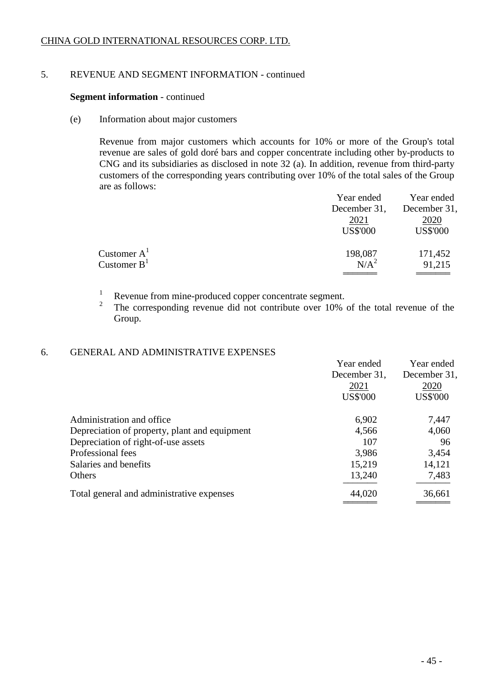## 5. REVENUE AND SEGMENT INFORMATION - continued

#### **Segment information** - continued

(e) Information about major customers

Revenue from major customers which accounts for 10% or more of the Group's total revenue are sales of gold doré bars and copper concentrate including other by-products to CNG and its subsidiaries as disclosed in note 32 (a). In addition, revenue from third-party customers of the corresponding years contributing over 10% of the total sales of the Group are as follows:

|                | Year ended      | Year ended      |
|----------------|-----------------|-----------------|
|                | December 31,    | December 31,    |
|                | 2021            | 2020            |
|                | <b>US\$'000</b> | <b>US\$'000</b> |
| Customer $A^1$ | 198,087         | 171,452         |
| Customer $B1$  | $N/A^2$         | 91,215          |
|                |                 |                 |

<sup>1</sup> Revenue from mine-produced copper concentrate segment.<br><sup>2</sup> The corresponding revenue did not contribute over 10% of the total revenue of the Group.

## 6. GENERAL AND ADMINISTRATIVE EXPENSES

|                                               | Year ended      | Year ended      |
|-----------------------------------------------|-----------------|-----------------|
|                                               | December 31,    | December 31,    |
|                                               | 2021            | 2020            |
|                                               | <b>US\$'000</b> | <b>US\$'000</b> |
| Administration and office.                    | 6,902           | 7,447           |
| Depreciation of property, plant and equipment | 4,566           | 4,060           |
| Depreciation of right-of-use assets           | 107             | 96              |
| Professional fees                             | 3,986           | 3,454           |
| Salaries and benefits                         | 15,219          | 14,121          |
| Others                                        | 13,240          | 7,483           |
| Total general and administrative expenses     | 44,020          | 36,661          |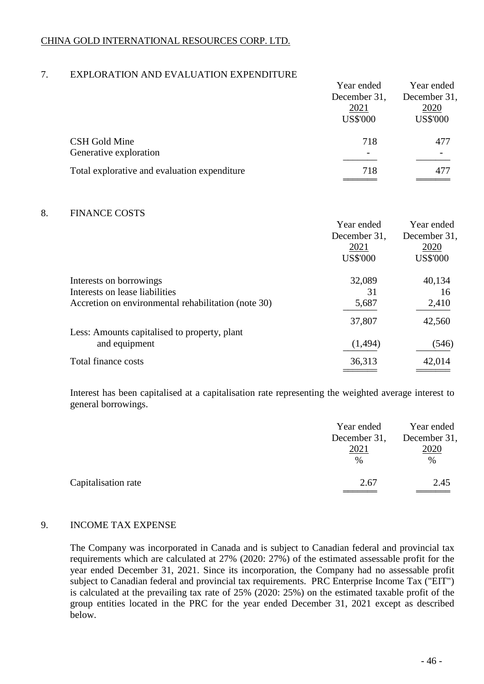### 7. EXPLORATION AND EVALUATION EXPENDITURE

|                                              | Year ended                      | Year ended      |
|----------------------------------------------|---------------------------------|-----------------|
|                                              | December 31,                    | December 31,    |
|                                              | 2021                            | 2020            |
|                                              | <b>US\$'000</b>                 | <b>US\$'000</b> |
| CSH Gold Mine<br>Generative exploration      | 718<br>$\overline{\phantom{a}}$ | 477             |
| Total explorative and evaluation expenditure | 718                             | 477             |

### 8. FINANCE COSTS

|                                                     | Year ended      | Year ended      |
|-----------------------------------------------------|-----------------|-----------------|
|                                                     | December 31,    | December 31,    |
|                                                     | 2021            | 2020            |
|                                                     | <b>US\$'000</b> | <b>US\$'000</b> |
| Interests on borrowings                             | 32,089          | 40,134          |
| Interests on lease liabilities                      | 31              | 16              |
| Accretion on environmental rehabilitation (note 30) | 5,687           | 2,410           |
|                                                     | 37,807          | 42,560          |
| Less: Amounts capitalised to property, plant        |                 |                 |
| and equipment                                       | (1, 494)        | (546)           |
| Total finance costs                                 | 36,313          | 42,014          |
|                                                     |                 |                 |

Interest has been capitalised at a capitalisation rate representing the weighted average interest to general borrowings.

|                     | Year ended<br>December 31, | Year ended<br>December 31, |
|---------------------|----------------------------|----------------------------|
|                     | 2021<br>$\%$               | 2020<br>$\%$               |
| Capitalisation rate | 2.67                       | 2.45                       |

### 9. INCOME TAX EXPENSE

The Company was incorporated in Canada and is subject to Canadian federal and provincial tax requirements which are calculated at 27% (2020: 27%) of the estimated assessable profit for the year ended December 31, 2021. Since its incorporation, the Company had no assessable profit subject to Canadian federal and provincial tax requirements. PRC Enterprise Income Tax ("EIT") is calculated at the prevailing tax rate of 25% (2020: 25%) on the estimated taxable profit of the group entities located in the PRC for the year ended December 31, 2021 except as described below.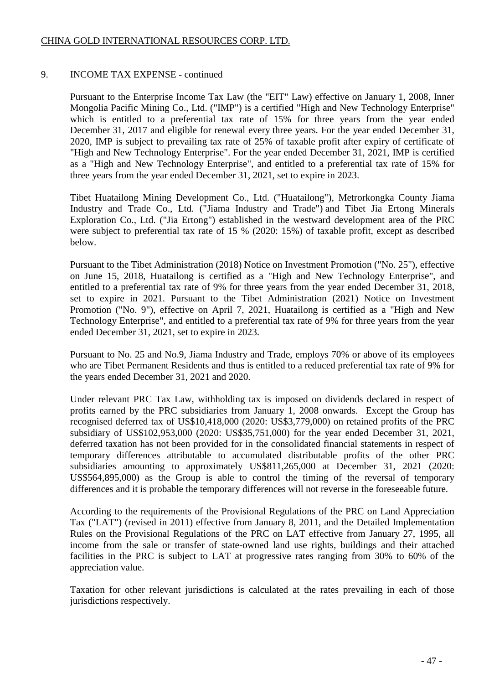## 9. INCOME TAX EXPENSE - continued

Pursuant to the Enterprise Income Tax Law (the "EIT" Law) effective on January 1, 2008, Inner Mongolia Pacific Mining Co., Ltd. ("IMP") is a certified "High and New Technology Enterprise" which is entitled to a preferential tax rate of 15% for three years from the year ended December 31, 2017 and eligible for renewal every three years. For the year ended December 31, 2020, IMP is subject to prevailing tax rate of 25% of taxable profit after expiry of certificate of "High and New Technology Enterprise". For the year ended December 31, 2021, IMP is certified as a "High and New Technology Enterprise", and entitled to a preferential tax rate of 15% for three years from the year ended December 31, 2021, set to expire in 2023.

Tibet Huatailong Mining Development Co., Ltd. ("Huatailong"), Metrorkongka County Jiama Industry and Trade Co., Ltd. ("Jiama Industry and Trade") and Tibet Jia Ertong Minerals Exploration Co., Ltd. ("Jia Ertong") established in the westward development area of the PRC were subject to preferential tax rate of 15 % (2020: 15%) of taxable profit, except as described below.

Pursuant to the Tibet Administration (2018) Notice on Investment Promotion ("No. 25"), effective on June 15, 2018, Huatailong is certified as a "High and New Technology Enterprise", and entitled to a preferential tax rate of 9% for three years from the year ended December 31, 2018, set to expire in 2021. Pursuant to the Tibet Administration (2021) Notice on Investment Promotion ("No. 9"), effective on April 7, 2021, Huatailong is certified as a "High and New Technology Enterprise", and entitled to a preferential tax rate of 9% for three years from the year ended December 31, 2021, set to expire in 2023.

Pursuant to No. 25 and No.9, Jiama Industry and Trade, employs 70% or above of its employees who are Tibet Permanent Residents and thus is entitled to a reduced preferential tax rate of 9% for the years ended December 31, 2021 and 2020.

Under relevant PRC Tax Law, withholding tax is imposed on dividends declared in respect of profits earned by the PRC subsidiaries from January 1, 2008 onwards. Except the Group has recognised deferred tax of US\$10,418,000 (2020: US\$3,779,000) on retained profits of the PRC subsidiary of US\$102,953,000 (2020: US\$35,751,000) for the year ended December 31, 2021, deferred taxation has not been provided for in the consolidated financial statements in respect of temporary differences attributable to accumulated distributable profits of the other PRC subsidiaries amounting to approximately US\$811,265,000 at December 31, 2021 (2020: US\$564,895,000) as the Group is able to control the timing of the reversal of temporary differences and it is probable the temporary differences will not reverse in the foreseeable future.

According to the requirements of the Provisional Regulations of the PRC on Land Appreciation Tax ("LAT") (revised in 2011) effective from January 8, 2011, and the Detailed Implementation Rules on the Provisional Regulations of the PRC on LAT effective from January 27, 1995, all income from the sale or transfer of state-owned land use rights, buildings and their attached facilities in the PRC is subject to LAT at progressive rates ranging from 30% to 60% of the appreciation value.

Taxation for other relevant jurisdictions is calculated at the rates prevailing in each of those jurisdictions respectively.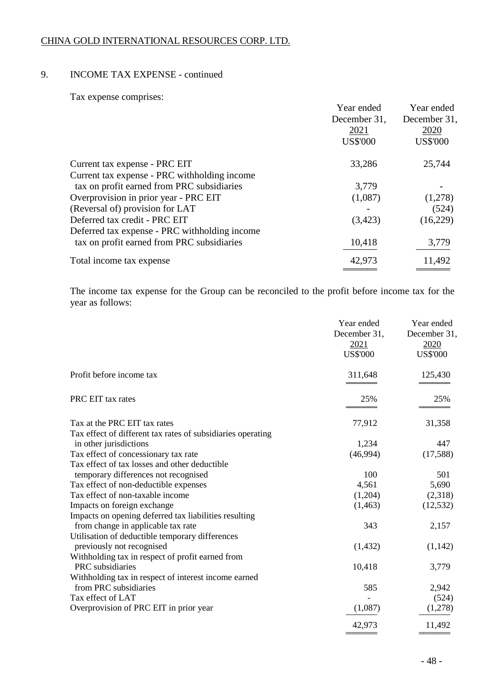## 9. INCOME TAX EXPENSE - continued

Tax expense comprises:

|                                               | Year ended           | Year ended           |
|-----------------------------------------------|----------------------|----------------------|
|                                               | December 31,<br>2021 | December 31,<br>2020 |
|                                               |                      |                      |
|                                               | <b>US\$'000</b>      | <b>US\$'000</b>      |
| Current tax expense - PRC EIT                 | 33,286               | 25,744               |
| Current tax expense - PRC withholding income  |                      |                      |
| tax on profit earned from PRC subsidiaries    | 3,779                |                      |
| Overprovision in prior year - PRC EIT         | (1,087)              | (1,278)              |
| (Reversal of) provision for LAT               |                      | (524)                |
| Deferred tax credit - PRC EIT                 | (3,423)              | (16,229)             |
| Deferred tax expense - PRC withholding income |                      |                      |
| tax on profit earned from PRC subsidiaries    | 10,418               | 3,779                |
| Total income tax expense                      | 42,973               | 11,492               |
|                                               |                      |                      |

The income tax expense for the Group can be reconciled to the profit before income tax for the year as follows:

|                                                             | Year ended<br>December 31,<br>2021<br><b>US\$'000</b> | Year ended<br>December 31,<br>2020<br><b>US\$'000</b> |
|-------------------------------------------------------------|-------------------------------------------------------|-------------------------------------------------------|
| Profit before income tax                                    | 311,648                                               | 125,430                                               |
| PRC EIT tax rates                                           | 25%                                                   | 25%                                                   |
| Tax at the PRC EIT tax rates                                | 77,912                                                | 31,358                                                |
| Tax effect of different tax rates of subsidiaries operating |                                                       |                                                       |
| in other jurisdictions                                      | 1,234                                                 | 447                                                   |
| Tax effect of concessionary tax rate                        | (46,994)                                              | (17,588)                                              |
| Tax effect of tax losses and other deductible               |                                                       |                                                       |
| temporary differences not recognised                        | 100                                                   | 501                                                   |
| Tax effect of non-deductible expenses                       | 4,561                                                 | 5,690                                                 |
| Tax effect of non-taxable income                            | (1,204)                                               | (2,318)                                               |
| Impacts on foreign exchange                                 | (1, 463)                                              | (12, 532)                                             |
| Impacts on opening deferred tax liabilities resulting       |                                                       |                                                       |
| from change in applicable tax rate                          | 343                                                   | 2,157                                                 |
| Utilisation of deductible temporary differences             |                                                       |                                                       |
| previously not recognised                                   | (1, 432)                                              | (1,142)                                               |
| Withholding tax in respect of profit earned from            |                                                       |                                                       |
| PRC subsidiaries                                            | 10,418                                                | 3,779                                                 |
| Withholding tax in respect of interest income earned        |                                                       |                                                       |
| from PRC subsidiaries                                       | 585                                                   | 2,942                                                 |
| Tax effect of LAT                                           |                                                       | (524)                                                 |
| Overprovision of PRC EIT in prior year                      | (1,087)                                               | (1,278)                                               |
|                                                             | 42,973                                                | 11,492                                                |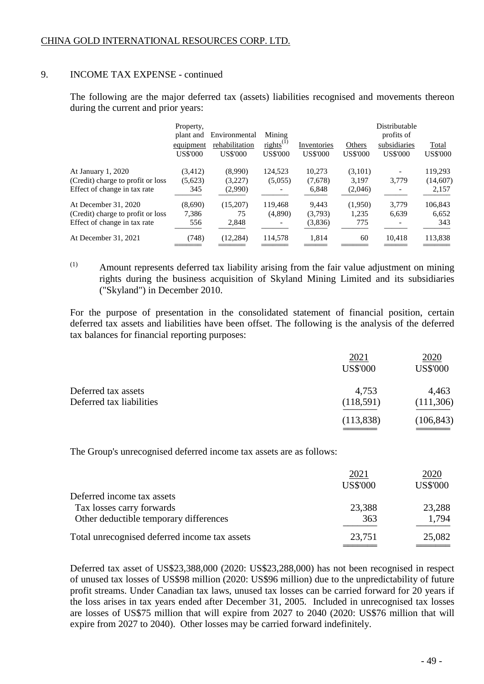### 9. INCOME TAX EXPENSE - continued

The following are the major deferred tax (assets) liabilities recognised and movements thereon during the current and prior years:

|                                                                                         | Property,<br>plant and<br>equipment<br><b>US\$'000</b> | Environmental<br>rehabilitation<br><b>US\$'000</b> | Mining<br>$rights^{(1)}$<br><b>US\$'000</b> | Inventories<br><b>US\$'000</b> | Others<br><b>US\$'000</b>   | Distributable<br>profits of<br>subsidiaries<br><b>US\$'000</b> | Total<br><b>US\$'000</b>     |
|-----------------------------------------------------------------------------------------|--------------------------------------------------------|----------------------------------------------------|---------------------------------------------|--------------------------------|-----------------------------|----------------------------------------------------------------|------------------------------|
| At January 1, 2020<br>(Credit) charge to profit or loss<br>Effect of change in tax rate | (3, 412)<br>(5,623)<br>345                             | (8,990)<br>(3,227)<br>(2,990)                      | 124,523<br>(5,055)                          | 10.273<br>(7,678)<br>6,848     | (3,101)<br>3,197<br>(2,046) | 3,779                                                          | 119,293<br>(14,607)<br>2,157 |
| At December 31, 2020                                                                    | (8,690)                                                | (15,207)                                           | 119,468                                     | 9,443                          | (1,950)                     | 3,779                                                          | 106,843                      |
| (Credit) charge to profit or loss<br>Effect of change in tax rate                       | 7.386<br>556                                           | 75<br>2,848                                        | (4,890)                                     | (3,793)<br>(3,836)             | 1.235<br>775                | 6,639                                                          | 6,652<br>343                 |
| At December 31, 2021                                                                    | (748)                                                  | (12.284)                                           | 114,578                                     | 1,814                          | 60                          | 10.418                                                         | 113,838                      |

<sup>(1)</sup> Amount represents deferred tax liability arising from the fair value adjustment on mining rights during the business acquisition of Skyland Mining Limited and its subsidiaries ("Skyland") in December 2010.

For the purpose of presentation in the consolidated statement of financial position, certain deferred tax assets and liabilities have been offset. The following is the analysis of the deferred tax balances for financial reporting purposes:

|                          | 2021            | 2020            |
|--------------------------|-----------------|-----------------|
|                          | <b>US\$'000</b> | <b>US\$'000</b> |
| Deferred tax assets      | 4,753           | 4,463           |
| Deferred tax liabilities | (118,591)       | (111,306)       |
|                          | (113,838)       | (106, 843)      |
|                          |                 |                 |

The Group's unrecognised deferred income tax assets are as follows:

|                                               | 2021            | 2020            |
|-----------------------------------------------|-----------------|-----------------|
|                                               | <b>US\$'000</b> | <b>US\$'000</b> |
| Deferred income tax assets                    |                 |                 |
| Tax losses carry forwards                     | 23,388          | 23,288          |
| Other deductible temporary differences        | 363             | 1,794           |
| Total unrecognised deferred income tax assets | 23,751          | 25,082          |

Deferred tax asset of US\$23,388,000 (2020: US\$23,288,000) has not been recognised in respect of unused tax losses of US\$98 million (2020: US\$96 million) due to the unpredictability of future profit streams. Under Canadian tax laws, unused tax losses can be carried forward for 20 years if the loss arises in tax years ended after December 31, 2005. Included in unrecognised tax losses are losses of US\$75 million that will expire from 2027 to 2040 (2020: US\$76 million that will expire from 2027 to 2040). Other losses may be carried forward indefinitely.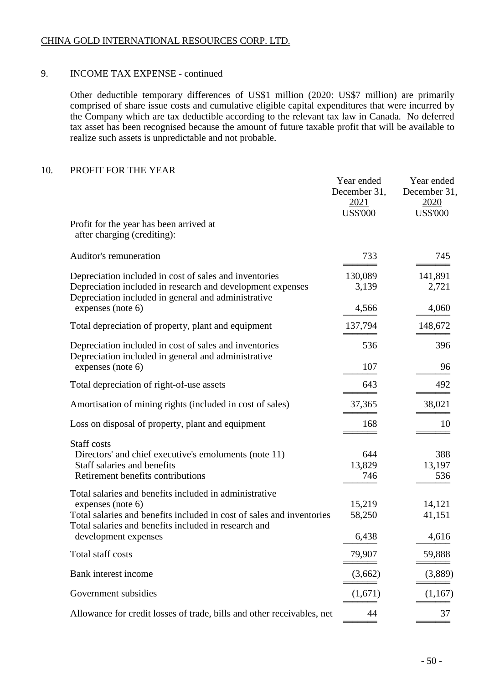#### 9. INCOME TAX EXPENSE - continued

Other deductible temporary differences of US\$1 million (2020: US\$7 million) are primarily comprised of share issue costs and cumulative eligible capital expenditures that were incurred by the Company which are tax deductible according to the relevant tax law in Canada. No deferred tax asset has been recognised because the amount of future taxable profit that will be available to realize such assets is unpredictable and not probable.

#### 10. PROFIT FOR THE YEAR

|                                                                                                                                                                             | Year ended<br>December 31,<br>2021<br><b>US\$'000</b> | Year ended<br>December 31,<br>2020<br><b>US\$'000</b> |
|-----------------------------------------------------------------------------------------------------------------------------------------------------------------------------|-------------------------------------------------------|-------------------------------------------------------|
| Profit for the year has been arrived at<br>after charging (crediting):                                                                                                      |                                                       |                                                       |
| Auditor's remuneration                                                                                                                                                      | 733                                                   | 745                                                   |
| Depreciation included in cost of sales and inventories<br>Depreciation included in research and development expenses<br>Depreciation included in general and administrative | 130,089<br>3,139                                      | 141,891<br>2,721                                      |
| expenses (note 6)                                                                                                                                                           | 4,566                                                 | 4,060                                                 |
| Total depreciation of property, plant and equipment                                                                                                                         | 137,794                                               | 148,672                                               |
| Depreciation included in cost of sales and inventories<br>Depreciation included in general and administrative                                                               | 536                                                   | 396                                                   |
| expenses (note 6)                                                                                                                                                           | 107                                                   | 96                                                    |
| Total depreciation of right-of-use assets                                                                                                                                   | 643                                                   | 492                                                   |
| Amortisation of mining rights (included in cost of sales)                                                                                                                   | 37,365                                                | 38,021                                                |
| Loss on disposal of property, plant and equipment                                                                                                                           | 168                                                   | 10                                                    |
| Staff costs                                                                                                                                                                 |                                                       |                                                       |
| Directors' and chief executive's emoluments (note 11)                                                                                                                       | 644                                                   | 388                                                   |
| Staff salaries and benefits                                                                                                                                                 | 13,829                                                | 13,197                                                |
| Retirement benefits contributions                                                                                                                                           | 746                                                   | 536                                                   |
| Total salaries and benefits included in administrative                                                                                                                      |                                                       |                                                       |
| expenses (note 6)                                                                                                                                                           | 15,219                                                | 14,121                                                |
| Total salaries and benefits included in cost of sales and inventories<br>Total salaries and benefits included in research and                                               | 58,250                                                | 41,151                                                |
| development expenses                                                                                                                                                        | 6,438                                                 | 4,616                                                 |
| Total staff costs                                                                                                                                                           | 79,907                                                | 59,888                                                |
| Bank interest income                                                                                                                                                        | (3,662)                                               | (3,889)                                               |
| Government subsidies                                                                                                                                                        | (1,671)                                               | (1,167)                                               |
| Allowance for credit losses of trade, bills and other receivables, net                                                                                                      | 44                                                    | 37                                                    |
|                                                                                                                                                                             |                                                       |                                                       |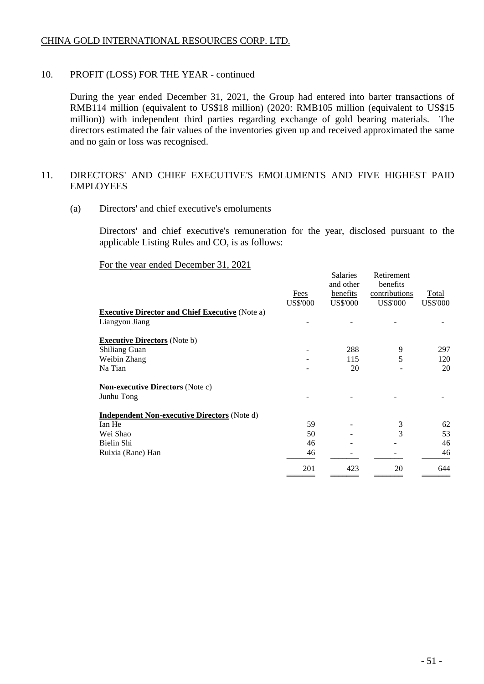### 10. PROFIT (LOSS) FOR THE YEAR - continued

During the year ended December 31, 2021, the Group had entered into barter transactions of RMB114 million (equivalent to US\$18 million) (2020: RMB105 million (equivalent to US\$15 million)) with independent third parties regarding exchange of gold bearing materials. The directors estimated the fair values of the inventories given up and received approximated the same and no gain or loss was recognised.

### 11. DIRECTORS' AND CHIEF EXECUTIVE'S EMOLUMENTS AND FIVE HIGHEST PAID EMPLOYEES

(a) Directors' and chief executive's emoluments

Directors' and chief executive's remuneration for the year, disclosed pursuant to the applicable Listing Rules and CO, is as follows:

For the year ended December 31, 2021

|                                                        |                 | <b>Salaries</b><br>and other | Retirement<br>benefits |                 |
|--------------------------------------------------------|-----------------|------------------------------|------------------------|-----------------|
|                                                        | Fees            | benefits                     | contributions          | Total           |
|                                                        | <b>US\$'000</b> | <b>US\$'000</b>              | <b>US\$'000</b>        | <b>US\$'000</b> |
| <b>Executive Director and Chief Executive</b> (Note a) |                 |                              |                        |                 |
| Liangyou Jiang                                         |                 |                              |                        |                 |
| <b>Executive Directors</b> (Note b)                    |                 |                              |                        |                 |
| <b>Shiliang Guan</b>                                   |                 | 288                          | 9                      | 297             |
| Weibin Zhang                                           |                 | 115                          | 5                      | 120             |
| Na Tian                                                |                 | 20                           |                        | 20              |
| <b>Non-executive Directors</b> (Note c)                |                 |                              |                        |                 |
| Junhu Tong                                             |                 |                              |                        |                 |
| <b>Independent Non-executive Directors (Note d)</b>    |                 |                              |                        |                 |
| Ian He                                                 | 59              |                              | 3                      | 62              |
| Wei Shao                                               | 50              |                              | 3                      | 53              |
| Bielin Shi                                             | 46              |                              |                        | 46              |
| Ruixia (Rane) Han                                      | 46              |                              |                        | 46              |
|                                                        | 201             | 423                          | 20                     | 644             |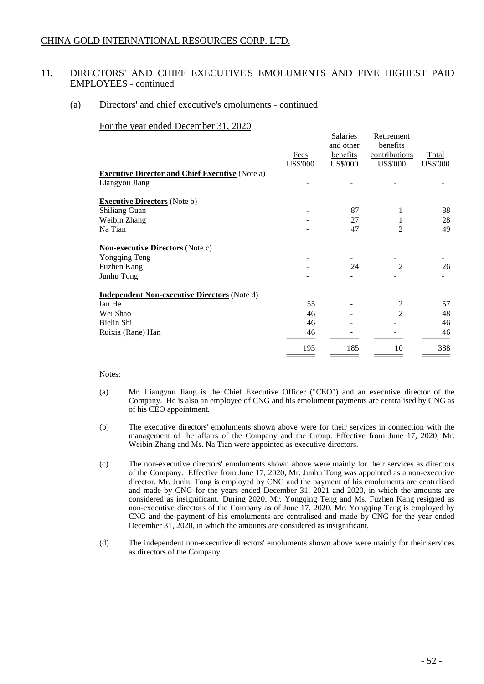### 11. DIRECTORS' AND CHIEF EXECUTIVE'S EMOLUMENTS AND FIVE HIGHEST PAID EMPLOYEES - continued

#### (a) Directors' and chief executive's emoluments - continued

#### For the year ended December 31, 2020

|                                                        |                 | Salaries        | Retirement      |                 |
|--------------------------------------------------------|-----------------|-----------------|-----------------|-----------------|
|                                                        |                 | and other       | benefits        |                 |
|                                                        | Fees            | benefits        | contributions   | Total           |
|                                                        | <b>US\$'000</b> | <b>US\$'000</b> | <b>US\$'000</b> | <b>US\$'000</b> |
| <b>Executive Director and Chief Executive</b> (Note a) |                 |                 |                 |                 |
| Liangyou Jiang                                         |                 |                 |                 |                 |
| <b>Executive Directors</b> (Note b)                    |                 |                 |                 |                 |
| <b>Shiliang Guan</b>                                   |                 | 87              | 1               | 88              |
| Weibin Zhang                                           |                 | 27              |                 | 28              |
| Na Tian                                                |                 | 47              | $\overline{2}$  | 49              |
| <b>Non-executive Directors</b> (Note c)                |                 |                 |                 |                 |
| Yongqing Teng                                          |                 |                 |                 |                 |
| Fuzhen Kang                                            |                 | 24              | 2               | 26              |
| Junhu Tong                                             |                 |                 |                 |                 |
| <b>Independent Non-executive Directors (Note d)</b>    |                 |                 |                 |                 |
| Ian He                                                 | 55              |                 |                 | 57              |
| Wei Shao                                               | 46              |                 | $\mathfrak{D}$  | 48              |
| Bielin Shi                                             | 46              |                 |                 | 46              |
| Ruixia (Rane) Han                                      | 46              |                 |                 | 46              |
|                                                        | 193             | 185             | 10              | 388             |
|                                                        |                 |                 |                 |                 |

#### Notes:

- (a) Mr. Liangyou Jiang is the Chief Executive Officer ("CEO") and an executive director of the Company. He is also an employee of CNG and his emolument payments are centralised by CNG as of his CEO appointment.
- (b) The executive directors' emoluments shown above were for their services in connection with the management of the affairs of the Company and the Group. Effective from June 17, 2020, Mr. Weibin Zhang and Ms. Na Tian were appointed as executive directors.
- (c) The non-executive directors' emoluments shown above were mainly for their services as directors of the Company. Effective from June 17, 2020, Mr. Junhu Tong was appointed as a non-executive director. Mr. Junhu Tong is employed by CNG and the payment of his emoluments are centralised and made by CNG for the years ended December 31, 2021 and 2020, in which the amounts are considered as insignificant. During 2020, Mr. Yongqing Teng and Ms. Fuzhen Kang resigned as non-executive directors of the Company as of June 17, 2020. Mr. Yongqing Teng is employed by CNG and the payment of his emoluments are centralised and made by CNG for the year ended December 31, 2020, in which the amounts are considered as insignificant.
- (d) The independent non-executive directors' emoluments shown above were mainly for their services as directors of the Company.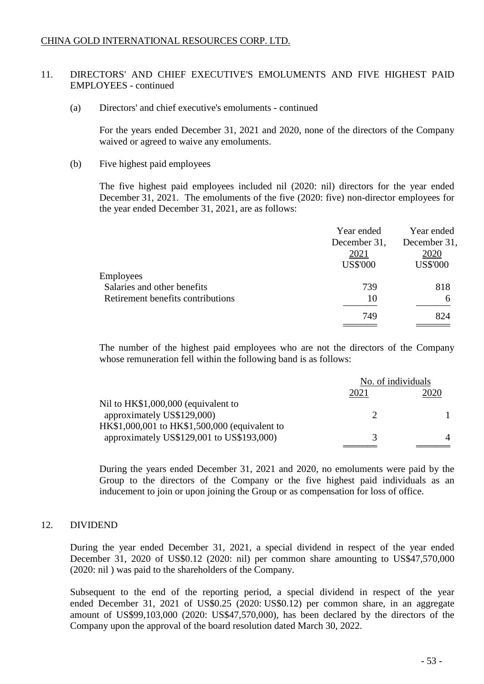# 11. DIRECTORS' AND CHIEF EXECUTIVE'S EMOLUMENTS AND FIVE HIGHEST PAID EMPLOYEES - continued

(a) Directors' and chief executive's emoluments - continued

For the years ended December 31, 2021 and 2020, none of the directors of the Company waived or agreed to waive any emoluments.

(b) Five highest paid employees

The five highest paid employees included nil (2020: nil) directors for the year ended December 31, 2021. The emoluments of the five (2020: five) non-director employees for the year ended December 31, 2021, are as follows:

|                                   | Year ended      | Year ended      |
|-----------------------------------|-----------------|-----------------|
|                                   | December 31,    | December 31,    |
|                                   | 2021            | 2020            |
|                                   | <b>US\$'000</b> | <b>US\$'000</b> |
| <b>Employees</b>                  |                 |                 |
| Salaries and other benefits       | 739             | 818             |
| Retirement benefits contributions | 10              | 6               |
|                                   | 749             | 824             |
|                                   |                 |                 |

The number of the highest paid employees who are not the directors of the Company whose remuneration fell within the following band is as follows:

|                                               | No. of individuals |      |
|-----------------------------------------------|--------------------|------|
|                                               | 2021               | 2020 |
| Nil to HK\$1,000,000 (equivalent to           |                    |      |
| approximately US\$129,000)                    |                    |      |
| HK\$1,000,001 to HK\$1,500,000 (equivalent to |                    |      |
| approximately US\$129,001 to US\$193,000)     | $\mathcal{R}$      |      |
|                                               |                    |      |

During the years ended December 31, 2021 and 2020, no emoluments were paid by the Group to the directors of the Company or the five highest paid individuals as an inducement to join or upon joining the Group or as compensation for loss of office.

# 12. DIVIDEND

During the year ended December 31, 2021, a special dividend in respect of the year ended December 31, 2020 of US\$0.12 (2020: nil) per common share amounting to US\$47,570,000 (2020: nil ) was paid to the shareholders of the Company.

Subsequent to the end of the reporting period, a special dividend in respect of the year ended December 31, 2021 of US\$0.25 (2020: US\$0.12) per common share, in an aggregate amount of US\$99,103,000 (2020: US\$47,570,000), has been declared by the directors of the Company upon the approval of the board resolution dated March 30, 2022.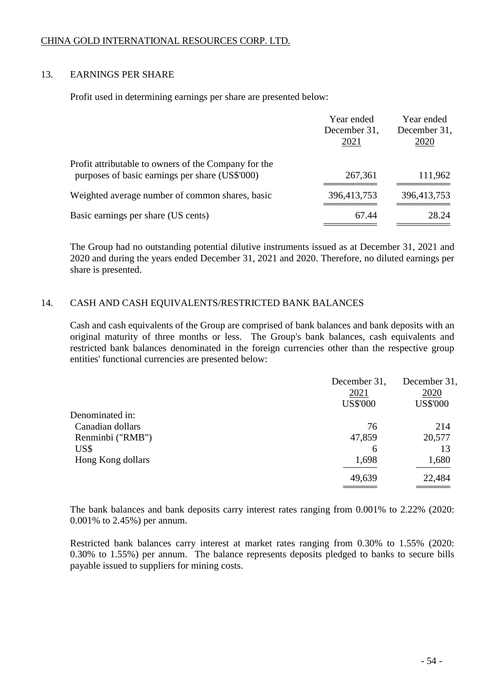# 13. EARNINGS PER SHARE

Profit used in determining earnings per share are presented below:

|                                                                                                         | Year ended<br>December 31,<br>2021 | Year ended<br>December 31,<br>2020 |
|---------------------------------------------------------------------------------------------------------|------------------------------------|------------------------------------|
| Profit attributable to owners of the Company for the<br>purposes of basic earnings per share (US\$'000) | 267,361                            | 111,962                            |
| Weighted average number of common shares, basic                                                         | 396,413,753                        | 396,413,753                        |
| Basic earnings per share (US cents)                                                                     | 67.44                              | 28.24                              |

The Group had no outstanding potential dilutive instruments issued as at December 31, 2021 and 2020 and during the years ended December 31, 2021 and 2020. Therefore, no diluted earnings per share is presented.

## 14. CASH AND CASH EQUIVALENTS/RESTRICTED BANK BALANCES

Cash and cash equivalents of the Group are comprised of bank balances and bank deposits with an original maturity of three months or less. The Group's bank balances, cash equivalents and restricted bank balances denominated in the foreign currencies other than the respective group entities' functional currencies are presented below:

|                   | December 31,<br>2021<br><b>US\$'000</b> | December 31,<br>2020<br><b>US\$'000</b> |
|-------------------|-----------------------------------------|-----------------------------------------|
| Denominated in:   |                                         |                                         |
| Canadian dollars  | 76                                      | 214                                     |
| Renminbi ("RMB")  | 47,859                                  | 20,577                                  |
| US\$              | 6                                       | 13                                      |
| Hong Kong dollars | 1,698                                   | 1,680                                   |
|                   | 49,639                                  | 22,484                                  |
|                   |                                         |                                         |

The bank balances and bank deposits carry interest rates ranging from 0.001% to 2.22% (2020: 0.001% to 2.45%) per annum.

Restricted bank balances carry interest at market rates ranging from 0.30% to 1.55% (2020: 0.30% to 1.55%) per annum. The balance represents deposits pledged to banks to secure bills payable issued to suppliers for mining costs.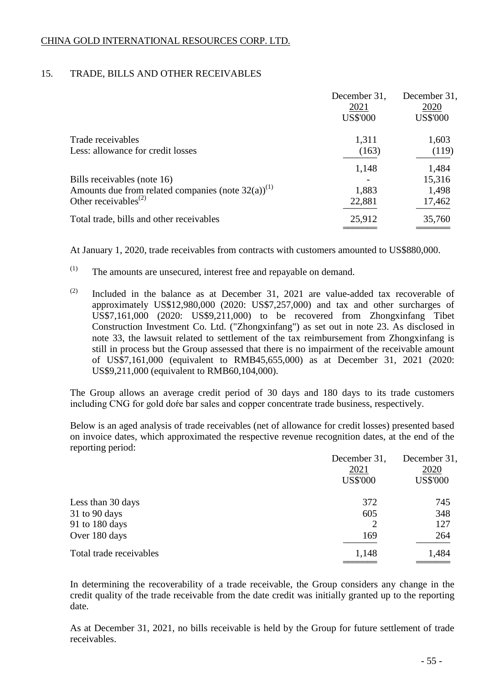# 15. TRADE, BILLS AND OTHER RECEIVABLES

|                                                                   | December 31,<br>2021<br><b>US\$'000</b> | December 31,<br>2020<br><b>US\$'000</b> |
|-------------------------------------------------------------------|-----------------------------------------|-----------------------------------------|
| Trade receivables                                                 | 1,311                                   | 1,603                                   |
| Less: allowance for credit losses                                 | (163)                                   | (119)                                   |
|                                                                   | 1,148                                   | 1,484                                   |
| Bills receivables (note 16)                                       |                                         | 15,316                                  |
| Amounts due from related companies (note $32(a)$ ) <sup>(1)</sup> | 1,883                                   | 1,498                                   |
| Other receivables <sup><math>(2)</math></sup>                     | 22,881                                  | 17,462                                  |
| Total trade, bills and other receivables                          | 25,912                                  | 35,760                                  |
|                                                                   |                                         |                                         |

At January 1, 2020, trade receivables from contracts with customers amounted to US\$880,000.

- $(1)$  The amounts are unsecured, interest free and repayable on demand.
- $(2)$  Included in the balance as at December 31, 2021 are value-added tax recoverable of approximately US\$12,980,000 (2020: US\$7,257,000) and tax and other surcharges of US\$7,161,000 (2020: US\$9,211,000) to be recovered from Zhongxinfang Tibet Construction Investment Co. Ltd. ("Zhongxinfang") as set out in note 23. As disclosed in note 33, the lawsuit related to settlement of the tax reimbursement from Zhongxinfang is still in process but the Group assessed that there is no impairment of the receivable amount of US\$7,161,000 (equivalent to RMB45,655,000) as at December 31, 2021 (2020: US\$9,211,000 (equivalent to RMB60,104,000).

The Group allows an average credit period of 30 days and 180 days to its trade customers including CNG for gold doŕe bar sales and copper concentrate trade business, respectively.

Below is an aged analysis of trade receivables (net of allowance for credit losses) presented based on invoice dates, which approximated the respective revenue recognition dates, at the end of the reporting period:

|                         | December 31,    | December 31,    |
|-------------------------|-----------------|-----------------|
|                         | 2021            | 2020            |
|                         | <b>US\$'000</b> | <b>US\$'000</b> |
| Less than 30 days       | 372             | 745             |
| $31$ to 90 days         | 605             | 348             |
| 91 to 180 days          |                 | 127             |
| Over 180 days           | 169             | 264             |
| Total trade receivables | 1,148           | 1,484           |
|                         |                 |                 |

In determining the recoverability of a trade receivable, the Group considers any change in the credit quality of the trade receivable from the date credit was initially granted up to the reporting date.

As at December 31, 2021, no bills receivable is held by the Group for future settlement of trade receivables.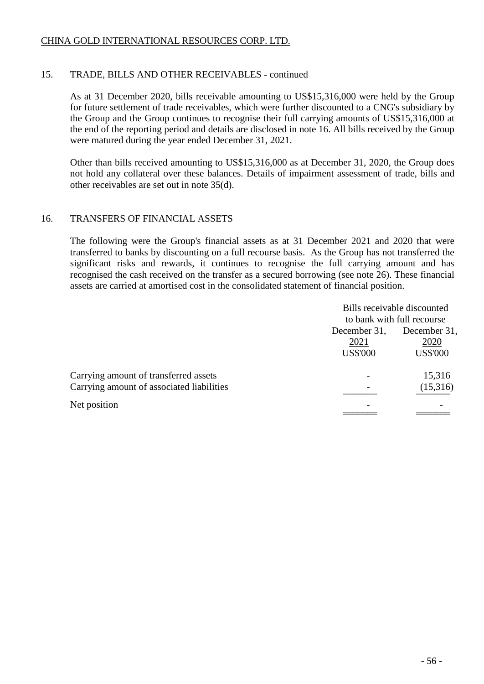# 15. TRADE, BILLS AND OTHER RECEIVABLES - continued

As at 31 December 2020, bills receivable amounting to US\$15,316,000 were held by the Group for future settlement of trade receivables, which were further discounted to a CNG's subsidiary by the Group and the Group continues to recognise their full carrying amounts of US\$15,316,000 at the end of the reporting period and details are disclosed in note 16. All bills received by the Group were matured during the year ended December 31, 2021.

Other than bills received amounting to US\$15,316,000 as at December 31, 2020, the Group does not hold any collateral over these balances. Details of impairment assessment of trade, bills and other receivables are set out in note 35(d).

## 16. TRANSFERS OF FINANCIAL ASSETS

The following were the Group's financial assets as at 31 December 2021 and 2020 that were transferred to banks by discounting on a full recourse basis. As the Group has not transferred the significant risks and rewards, it continues to recognise the full carrying amount and has recognised the cash received on the transfer as a secured borrowing (see note 26). These financial assets are carried at amortised cost in the consolidated statement of financial position.

|                                                                                    |                                         | Bills receivable discounted<br>to bank with full recourse |
|------------------------------------------------------------------------------------|-----------------------------------------|-----------------------------------------------------------|
|                                                                                    | December 31,<br>2021<br><b>US\$'000</b> | December 31,<br>2020<br><b>US\$'000</b>                   |
| Carrying amount of transferred assets<br>Carrying amount of associated liabilities |                                         | 15,316<br>(15,316)                                        |
| Net position                                                                       |                                         |                                                           |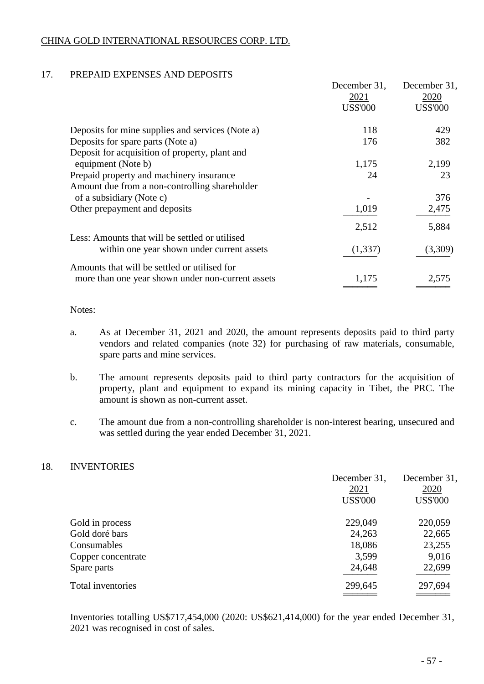# 17. PREPAID EXPENSES AND DEPOSITS

|                                                   | December 31,            | December 31,            |
|---------------------------------------------------|-------------------------|-------------------------|
|                                                   | 2021<br><b>US\$'000</b> | 2020<br><b>US\$'000</b> |
| Deposits for mine supplies and services (Note a)  | 118                     | 429                     |
| Deposits for spare parts (Note a)                 | 176                     | 382                     |
| Deposit for acquisition of property, plant and    |                         |                         |
| equipment (Note b)                                | 1,175                   | 2,199                   |
| Prepaid property and machinery insurance          | 24                      | 23                      |
| Amount due from a non-controlling shareholder     |                         |                         |
| of a subsidiary (Note c)                          |                         | 376                     |
| Other prepayment and deposits                     | 1,019                   | 2,475                   |
|                                                   | 2,512                   | 5,884                   |
| Less: Amounts that will be settled or utilised    |                         |                         |
| within one year shown under current assets        | (1, 337)                | (3,309)                 |
| Amounts that will be settled or utilised for      |                         |                         |
| more than one year shown under non-current assets | 1,175                   | 2,575                   |
|                                                   |                         |                         |

#### Notes:

- a. As at December 31, 2021 and 2020, the amount represents deposits paid to third party vendors and related companies (note 32) for purchasing of raw materials, consumable, spare parts and mine services.
- b. The amount represents deposits paid to third party contractors for the acquisition of property, plant and equipment to expand its mining capacity in Tibet, the PRC. The amount is shown as non-current asset.
- c. The amount due from a non-controlling shareholder is non-interest bearing, unsecured and was settled during the year ended December 31, 2021.

### 18. INVENTORIES

|                    | December 31,    | December 31,    |
|--------------------|-----------------|-----------------|
|                    | 2021            | 2020            |
|                    | <b>US\$'000</b> | <b>US\$'000</b> |
| Gold in process    | 229,049         | 220,059         |
| Gold doré bars     | 24,263          | 22,665          |
| Consumables        | 18,086          | 23,255          |
| Copper concentrate | 3,599           | 9,016           |
| Spare parts        | 24,648          | 22,699          |
| Total inventories  | 299,645         | 297,694         |
|                    |                 |                 |

Inventories totalling US\$717,454,000 (2020: US\$621,414,000) for the year ended December 31, 2021 was recognised in cost of sales.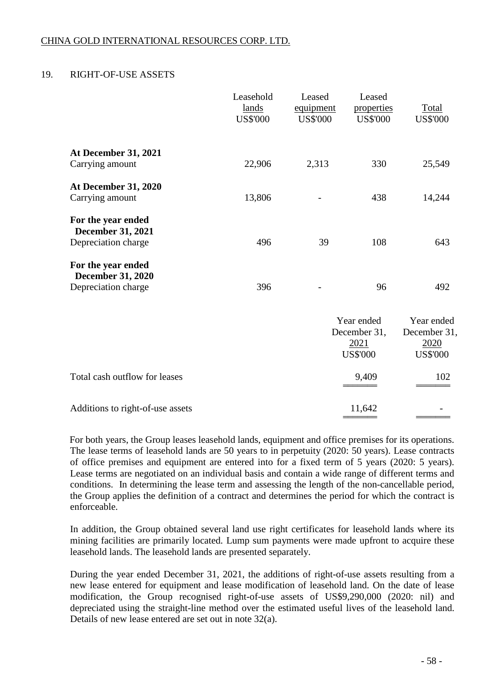# 19. RIGHT-OF-USE ASSETS

|                                                                       | Leasehold<br>lands<br><b>US\$'000</b> | Leased<br>equipment<br><b>US\$'000</b> | Leased<br>properties<br><b>US\$'000</b>               | Total<br><b>US\$'000</b>                              |
|-----------------------------------------------------------------------|---------------------------------------|----------------------------------------|-------------------------------------------------------|-------------------------------------------------------|
| At December 31, 2021<br>Carrying amount                               | 22,906                                | 2,313                                  | 330                                                   | 25,549                                                |
| <b>At December 31, 2020</b><br>Carrying amount                        | 13,806                                |                                        | 438                                                   | 14,244                                                |
| For the year ended<br><b>December 31, 2021</b><br>Depreciation charge | 496                                   | 39                                     | 108                                                   | 643                                                   |
| For the year ended<br><b>December 31, 2020</b><br>Depreciation charge | 396                                   |                                        | 96                                                    | 492                                                   |
|                                                                       |                                       |                                        | Year ended<br>December 31,<br>2021<br><b>US\$'000</b> | Year ended<br>December 31,<br>2020<br><b>US\$'000</b> |
| Total cash outflow for leases                                         |                                       |                                        | 9,409                                                 | 102                                                   |
| Additions to right-of-use assets                                      |                                       |                                        | 11,642<br>===                                         |                                                       |

For both years, the Group leases leasehold lands, equipment and office premises for its operations. The lease terms of leasehold lands are 50 years to in perpetuity (2020: 50 years). Lease contracts of office premises and equipment are entered into for a fixed term of 5 years (2020: 5 years). Lease terms are negotiated on an individual basis and contain a wide range of different terms and conditions. In determining the lease term and assessing the length of the non-cancellable period, the Group applies the definition of a contract and determines the period for which the contract is enforceable.

In addition, the Group obtained several land use right certificates for leasehold lands where its mining facilities are primarily located. Lump sum payments were made upfront to acquire these leasehold lands. The leasehold lands are presented separately.

During the year ended December 31, 2021, the additions of right-of-use assets resulting from a new lease entered for equipment and lease modification of leasehold land. On the date of lease modification, the Group recognised right-of-use assets of US\$9,290,000 (2020: nil) and depreciated using the straight-line method over the estimated useful lives of the leasehold land. Details of new lease entered are set out in note 32(a).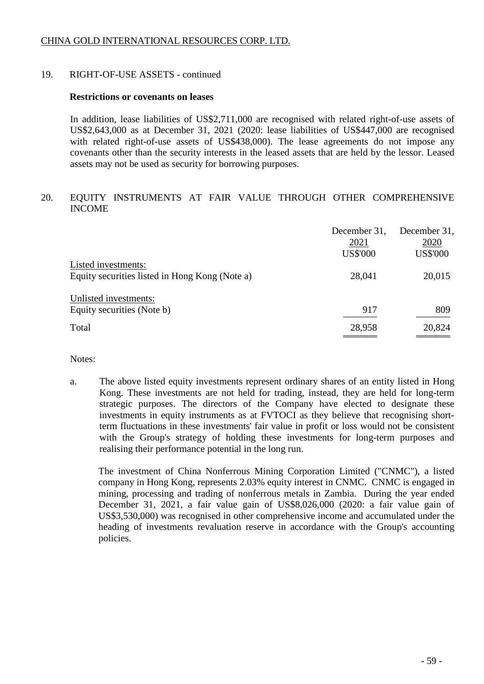## 19. RIGHT-OF-USE ASSETS - continued

#### **Restrictions or covenants on leases**

In addition, lease liabilities of US\$2,711,000 are recognised with related right-of-use assets of US\$2,643,000 as at December 31, 2021 (2020: lease liabilities of US\$447,000 are recognised with related right-of-use assets of US\$438,000). The lease agreements do not impose any covenants other than the security interests in the leased assets that are held by the lessor. Leased assets may not be used as security for borrowing purposes.

## 20. EQUITY INSTRUMENTS AT FAIR VALUE THROUGH OTHER COMPREHENSIVE INCOME

|                                                                       | December 31,<br>2021<br><b>US\$'000</b> | December 31,<br>2020<br><b>US\$'000</b> |
|-----------------------------------------------------------------------|-----------------------------------------|-----------------------------------------|
| Listed investments:<br>Equity securities listed in Hong Kong (Note a) | 28,041                                  | 20,015                                  |
| Unlisted investments:<br>Equity securities (Note b)                   | 917                                     | 809                                     |
| Total                                                                 | 28,958                                  | 20,824                                  |

Notes:

a. The above listed equity investments represent ordinary shares of an entity listed in Hong Kong. These investments are not held for trading, instead, they are held for long-term strategic purposes. The directors of the Company have elected to designate these investments in equity instruments as at FVTOCI as they believe that recognising shortterm fluctuations in these investments' fair value in profit or loss would not be consistent with the Group's strategy of holding these investments for long-term purposes and realising their performance potential in the long run.

The investment of China Nonferrous Mining Corporation Limited ("CNMC"), a listed company in Hong Kong, represents 2.03% equity interest in CNMC. CNMC is engaged in mining, processing and trading of nonferrous metals in Zambia. During the year ended December 31, 2021, a fair value gain of US\$8,026,000 (2020: a fair value gain of US\$3,530,000) was recognised in other comprehensive income and accumulated under the heading of investments revaluation reserve in accordance with the Group's accounting policies.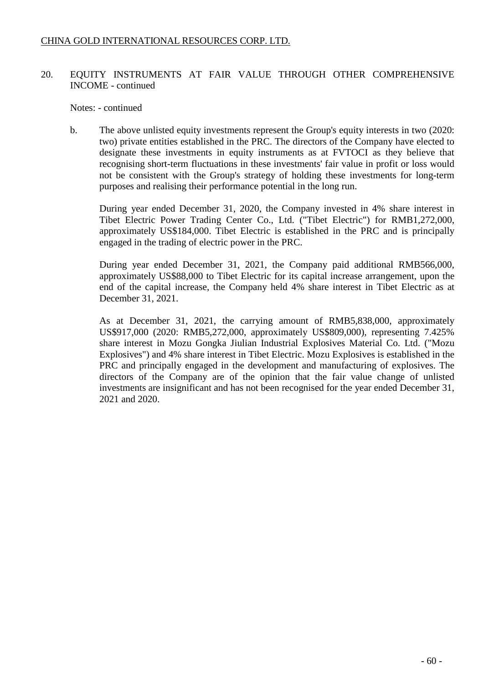## 20. EQUITY INSTRUMENTS AT FAIR VALUE THROUGH OTHER COMPREHENSIVE INCOME - continued

Notes: - continued

b. The above unlisted equity investments represent the Group's equity interests in two (2020: two) private entities established in the PRC. The directors of the Company have elected to designate these investments in equity instruments as at FVTOCI as they believe that recognising short-term fluctuations in these investments' fair value in profit or loss would not be consistent with the Group's strategy of holding these investments for long-term purposes and realising their performance potential in the long run.

During year ended December 31, 2020, the Company invested in 4% share interest in Tibet Electric Power Trading Center Co., Ltd. ("Tibet Electric") for RMB1,272,000, approximately US\$184,000. Tibet Electric is established in the PRC and is principally engaged in the trading of electric power in the PRC.

During year ended December 31, 2021, the Company paid additional RMB566,000, approximately US\$88,000 to Tibet Electric for its capital increase arrangement, upon the end of the capital increase, the Company held 4% share interest in Tibet Electric as at December 31, 2021.

As at December 31, 2021, the carrying amount of RMB5,838,000, approximately US\$917,000 (2020: RMB5,272,000, approximately US\$809,000), representing 7.425% share interest in Mozu Gongka Jiulian Industrial Explosives Material Co. Ltd. ("Mozu Explosives") and 4% share interest in Tibet Electric. Mozu Explosives is established in the PRC and principally engaged in the development and manufacturing of explosives. The directors of the Company are of the opinion that the fair value change of unlisted investments are insignificant and has not been recognised for the year ended December 31, 2021 and 2020.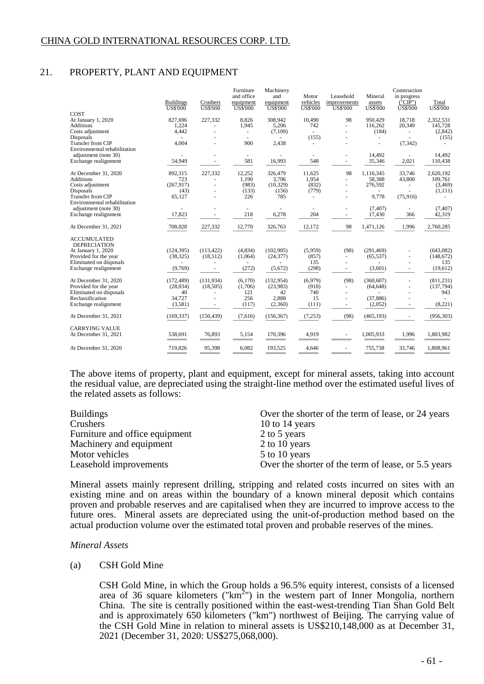# 21. PROPERTY, PLANT AND EQUIPMENT

|                                                          | <b>Buildings</b><br><b>US\$'000</b> | Crushers<br><b>US\$'000</b> | Furniture<br>and office<br>equipment<br><b>US\$'000</b> | Machinery<br>and<br>equipment<br><b>US\$'000</b> | Motor<br>vehicles<br><b>US\$'000</b> | Leasehold<br>improvements<br><b>US\$'000</b> | Mineral<br>assets<br><b>US\$'000</b> | Construction<br>in progress<br>(TCIP'')<br><b>US\$'000</b> | Total<br><b>US\$'000</b> |
|----------------------------------------------------------|-------------------------------------|-----------------------------|---------------------------------------------------------|--------------------------------------------------|--------------------------------------|----------------------------------------------|--------------------------------------|------------------------------------------------------------|--------------------------|
| COST                                                     |                                     |                             |                                                         |                                                  |                                      |                                              |                                      |                                                            |                          |
| At January 1, 2020                                       | 827.696                             | 227,332                     | 8.826                                                   | 308.942                                          | 10.490                               | 98                                           | 950,429                              | 18.718                                                     | 2,352,531                |
| <b>Additions</b>                                         | 1,224                               |                             | 1,945                                                   | 5,206                                            | 742                                  | ÷.                                           | 116,262                              | 20,349                                                     | 145,728                  |
| Costs adjustment                                         | 4,442                               |                             | $\blacksquare$                                          | (7,100)                                          |                                      | ÷.                                           | (184)                                | $\overline{\phantom{a}}$                                   | (2, 842)                 |
| Disposals                                                |                                     |                             |                                                         | ÷.                                               | (155)                                |                                              |                                      |                                                            | (155)                    |
| <b>Transfer from CIP</b><br>Environmental rehabilitation | 4,004                               |                             | 900                                                     | 2,438                                            |                                      |                                              | $\sim$                               | (7, 342)                                                   |                          |
| adjustment (note 30)                                     |                                     |                             | $\sim$                                                  |                                                  |                                      | ä,                                           | 14.492                               |                                                            | 14,492                   |
| Exchange realignment                                     | 54,949                              |                             | 581                                                     | 16,993                                           | 548                                  | ÷.                                           | 35,346                               | 2,021                                                      | 110,438                  |
|                                                          |                                     |                             |                                                         |                                                  |                                      |                                              |                                      |                                                            |                          |
| At December 31, 2020                                     | 892,315                             | 227,332                     | 12,252                                                  | 326,479                                          | 11,625                               | 98                                           | 1,116,345                            | 33.746                                                     | 2,620,192                |
| <b>Additions</b>                                         | 723                                 |                             | 1,190                                                   | 3,706                                            | 1,954                                | ÷.                                           | 58,388                               | 43,800                                                     | 109,761                  |
| Costs adjustment                                         | (267, 917)                          |                             | (983)                                                   | (10, 329)                                        | (832)                                | ٠                                            | 276,592                              |                                                            | (3, 469)                 |
| Disposals                                                | (43)                                |                             | (133)                                                   | (156)                                            | (779)                                |                                              |                                      |                                                            | (1, 111)                 |
| Transfer from CIP                                        | 65,127                              |                             | 226                                                     | 785                                              |                                      |                                              | 9,778                                | (75,916)                                                   |                          |
| Environmental rehabilitation                             |                                     |                             |                                                         |                                                  |                                      |                                              |                                      |                                                            |                          |
| adjustment (note 30)                                     |                                     |                             |                                                         |                                                  |                                      |                                              | (7, 407)                             | $\sim$                                                     | (7, 407)                 |
| Exchange realignment                                     | 17,823                              |                             | 218                                                     | 6,278                                            | 204                                  | $\overline{\phantom{a}}$                     | 17,430                               | 366                                                        | 42,319                   |
| At December 31, 2021                                     | 708,028                             | 227,332                     | 12,770                                                  | 326,763                                          | 12,172                               | 98                                           | 1,471,126                            | 1,996                                                      | 2,760,285                |
| <b>ACCUMULATED</b>                                       |                                     |                             |                                                         |                                                  |                                      |                                              |                                      |                                                            |                          |
| <b>DEPRECIATION</b>                                      |                                     |                             |                                                         |                                                  |                                      |                                              |                                      |                                                            |                          |
| At January 1, 2020                                       | (124, 395)                          | (113, 422)                  | (4,834)                                                 | (102, 905)                                       | (5,959)                              | (98)                                         | (291.469)                            |                                                            | (643,082)                |
| Provided for the year                                    | (38, 325)                           | (18, 512)                   | (1,064)                                                 | (24, 377)                                        | (857)                                | $\frac{1}{2}$                                | (65, 537)                            | ÷,                                                         | (148, 672)               |
| Eliminated on disposals                                  |                                     |                             |                                                         |                                                  | 135                                  | ٠                                            |                                      |                                                            | 135                      |
| Exchange realignment                                     | (9,769)                             |                             | (272)                                                   | (5,672)                                          | (298)                                | ÷.                                           | (3,601)                              | $\sim$                                                     | (19,612)                 |
| At December 31, 2020                                     | (172, 489)                          | (131, 934)                  | (6,170)                                                 | (132, 954)                                       | (6,979)                              | (98)                                         | (360, 607)                           |                                                            | (811, 231)               |
| Provided for the year                                    | (28,034)                            | (18, 505)                   | (1,706)                                                 | (23,983)                                         | (918)                                | ÷.                                           | (64, 648)                            | ÷.                                                         | (137, 794)               |
| Eliminated on disposals                                  | 40                                  |                             | 121                                                     | 42                                               | 740                                  | ٠                                            |                                      |                                                            | 943                      |
| Reclassification                                         | 34,727                              |                             | 256                                                     | 2,888                                            | 15                                   | ÷                                            | (37, 886)                            |                                                            |                          |
| Exchange realignment                                     | (3,581)                             |                             | (117)                                                   | (2,360)                                          | (111)                                | $\overline{\phantom{a}}$                     | (2,052)                              | ٠                                                          | (8,221)                  |
| At December 31, 2021                                     | (169, 337)                          | (150, 439)                  | (7,616)                                                 | (156, 367)                                       | (7,253)                              | (98)                                         | (465, 193)                           |                                                            | (956, 303)               |
| <b>CARRYING VALUE</b>                                    |                                     |                             |                                                         |                                                  |                                      |                                              |                                      |                                                            |                          |
| At December 31, 2021                                     | 538,691                             | 76,893                      | 5,154                                                   | 170,396                                          | 4,919                                |                                              | 1,005,933                            | 1,996                                                      | 1,803,982                |
|                                                          |                                     |                             |                                                         |                                                  |                                      |                                              |                                      |                                                            |                          |
| At December 31, 2020                                     | 719,826                             | 95,398<br>$=$               | 6,082                                                   | 193,525                                          | 4,646                                |                                              | 755,738                              | 33,746                                                     | 1,808,961                |
|                                                          | ==                                  |                             |                                                         |                                                  | =                                    |                                              |                                      |                                                            |                          |

The above items of property, plant and equipment, except for mineral assets, taking into account the residual value, are depreciated using the straight-line method over the estimated useful lives of the related assets as follows:

| <b>Buildings</b>               | Over the shorter of the term of lease, or 24 years  |
|--------------------------------|-----------------------------------------------------|
| Crushers                       | 10 to 14 years                                      |
| Furniture and office equipment | 2 to 5 years                                        |
| Machinery and equipment        | 2 to 10 years                                       |
| Motor vehicles                 | 5 to 10 years                                       |
| Leasehold improvements         | Over the shorter of the term of lease, or 5.5 years |

Mineral assets mainly represent drilling, stripping and related costs incurred on sites with an existing mine and on areas within the boundary of a known mineral deposit which contains proven and probable reserves and are capitalised when they are incurred to improve access to the future ores. Mineral assets are depreciated using the unit-of-production method based on the actual production volume over the estimated total proven and probable reserves of the mines.

#### *Mineral Assets*

#### (a) CSH Gold Mine

CSH Gold Mine, in which the Group holds a 96.5% equity interest, consists of a licensed area of 36 square kilometers (" $km<sup>2</sup>$ ") in the western part of Inner Mongolia, northern China. The site is centrally positioned within the east-west-trending Tian Shan Gold Belt and is approximately 650 kilometers ("km") northwest of Beijing. The carrying value of the CSH Gold Mine in relation to mineral assets is US\$210,148,000 as at December 31, 2021 (December 31, 2020: US\$275,068,000).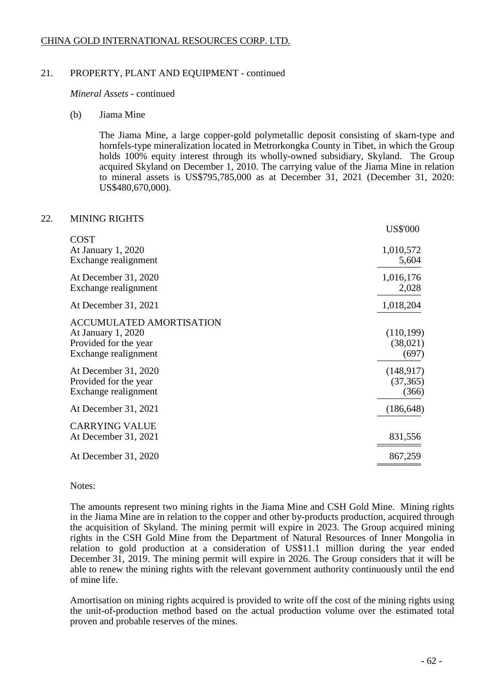## 21. PROPERTY, PLANT AND EQUIPMENT - continued

#### *Mineral Assets* - continued

#### (b) Jiama Mine

The Jiama Mine, a large copper-gold polymetallic deposit consisting of skarn-type and hornfels-type mineralization located in Metrorkongka County in Tibet, in which the Group holds 100% equity interest through its wholly-owned subsidiary, Skyland. The Group acquired Skyland on December 1, 2010. The carrying value of the Jiama Mine in relation to mineral assets is US\$795,785,000 as at December 31, 2021 (December 31, 2020: US\$480,670,000).

#### 22. MINING RIGHTS

|                                                                                                        | <b>US\$'000</b>                  |
|--------------------------------------------------------------------------------------------------------|----------------------------------|
| <b>COST</b><br>At January 1, 2020<br>Exchange realignment                                              | 1,010,572<br>5,604               |
| At December 31, 2020<br>Exchange realignment                                                           | 1,016,176<br>2,028               |
| At December 31, 2021                                                                                   | 1,018,204                        |
| <b>ACCUMULATED AMORTISATION</b><br>At January 1, 2020<br>Provided for the year<br>Exchange realignment | (110, 199)<br>(38,021)<br>(697)  |
| At December 31, 2020<br>Provided for the year<br>Exchange realignment                                  | (148, 917)<br>(37, 365)<br>(366) |
| At December 31, 2021                                                                                   | (186, 648)                       |
| <b>CARRYING VALUE</b><br>At December 31, 2021                                                          | 831,556                          |
| At December 31, 2020                                                                                   | 867,259                          |
|                                                                                                        |                                  |

#### Notes:

The amounts represent two mining rights in the Jiama Mine and CSH Gold Mine. Mining rights in the Jiama Mine are in relation to the copper and other by-products production, acquired through the acquisition of Skyland. The mining permit will expire in 2023. The Group acquired mining rights in the CSH Gold Mine from the Department of Natural Resources of Inner Mongolia in relation to gold production at a consideration of US\$11.1 million during the year ended December 31, 2019. The mining permit will expire in 2026. The Group considers that it will be able to renew the mining rights with the relevant government authority continuously until the end of mine life.

Amortisation on mining rights acquired is provided to write off the cost of the mining rights using the unit-of-production method based on the actual production volume over the estimated total proven and probable reserves of the mines.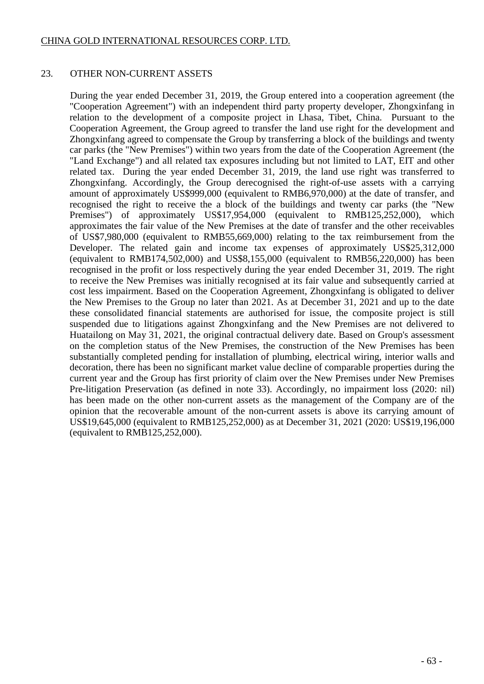## 23. OTHER NON-CURRENT ASSETS

During the year ended December 31, 2019, the Group entered into a cooperation agreement (the "Cooperation Agreement") with an independent third party property developer, Zhongxinfang in relation to the development of a composite project in Lhasa, Tibet, China. Pursuant to the Cooperation Agreement, the Group agreed to transfer the land use right for the development and Zhongxinfang agreed to compensate the Group by transferring a block of the buildings and twenty car parks (the "New Premises") within two years from the date of the Cooperation Agreement (the "Land Exchange") and all related tax exposures including but not limited to LAT, EIT and other related tax. During the year ended December 31, 2019, the land use right was transferred to Zhongxinfang. Accordingly, the Group derecognised the right-of-use assets with a carrying amount of approximately US\$999,000 (equivalent to RMB6,970,000) at the date of transfer, and recognised the right to receive the a block of the buildings and twenty car parks (the "New Premises") of approximately US\$17,954,000 (equivalent to RMB125,252,000), which approximates the fair value of the New Premises at the date of transfer and the other receivables of US\$7,980,000 (equivalent to RMB55,669,000) relating to the tax reimbursement from the Developer. The related gain and income tax expenses of approximately US\$25,312,000 (equivalent to RMB174,502,000) and US\$8,155,000 (equivalent to RMB56,220,000) has been recognised in the profit or loss respectively during the year ended December 31, 2019. The right to receive the New Premises was initially recognised at its fair value and subsequently carried at cost less impairment. Based on the Cooperation Agreement, Zhongxinfang is obligated to deliver the New Premises to the Group no later than 2021. As at December 31, 2021 and up to the date these consolidated financial statements are authorised for issue, the composite project is still suspended due to litigations against Zhongxinfang and the New Premises are not delivered to Huatailong on May 31, 2021, the original contractual delivery date. Based on Group's assessment on the completion status of the New Premises, the construction of the New Premises has been substantially completed pending for installation of plumbing, electrical wiring, interior walls and decoration, there has been no significant market value decline of comparable properties during the current year and the Group has first priority of claim over the New Premises under New Premises Pre-litigation Preservation (as defined in note 33). Accordingly, no impairment loss (2020: nil) has been made on the other non-current assets as the management of the Company are of the opinion that the recoverable amount of the non-current assets is above its carrying amount of US\$19,645,000 (equivalent to RMB125,252,000) as at December 31, 2021 (2020: US\$19,196,000 (equivalent to RMB125,252,000).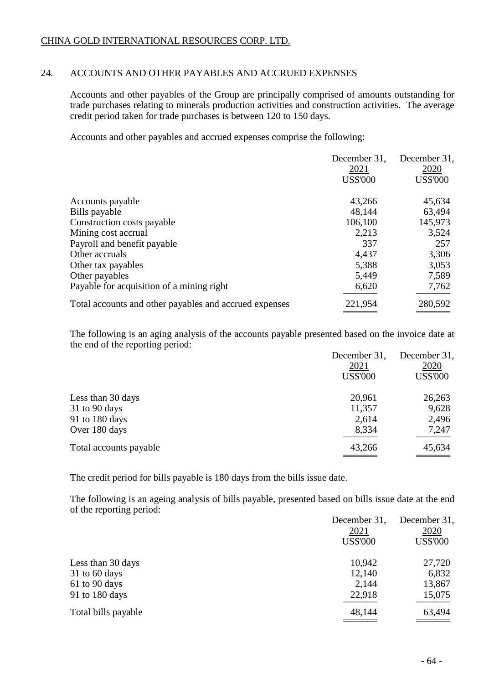# 24. ACCOUNTS AND OTHER PAYABLES AND ACCRUED EXPENSES

Accounts and other payables of the Group are principally comprised of amounts outstanding for trade purchases relating to minerals production activities and construction activities. The average credit period taken for trade purchases is between 120 to 150 days.

Accounts and other payables and accrued expenses comprise the following:

|                                                        | December 31.<br>2021<br><b>US\$'000</b> | December 31,<br>2020<br><b>US\$'000</b> |
|--------------------------------------------------------|-----------------------------------------|-----------------------------------------|
|                                                        |                                         |                                         |
| Accounts payable                                       | 43,266                                  | 45,634                                  |
| Bills payable                                          | 48,144                                  | 63,494                                  |
| Construction costs payable                             | 106,100                                 | 145,973                                 |
| Mining cost accrual                                    | 2,213                                   | 3,524                                   |
| Payroll and benefit payable                            | 337                                     | 257                                     |
| Other accruals                                         | 4,437                                   | 3,306                                   |
| Other tax payables                                     | 5,388                                   | 3,053                                   |
| Other payables                                         | 5,449                                   | 7,589                                   |
| Payable for acquisition of a mining right              | 6,620                                   | 7,762                                   |
| Total accounts and other payables and accrued expenses | 221,954                                 | 280,592                                 |
|                                                        |                                         |                                         |

The following is an aging analysis of the accounts payable presented based on the invoice date at the end of the reporting period:

|                        | December 31,    | December 31.    |
|------------------------|-----------------|-----------------|
|                        | 2021            | 2020            |
|                        | <b>US\$'000</b> | <b>US\$'000</b> |
| Less than 30 days      | 20,961          | 26,263          |
| $31$ to 90 days        | 11,357          | 9,628           |
| 91 to 180 days         | 2,614           | 2,496           |
| Over 180 days          | 8,334           | 7,247           |
| Total accounts payable | 43,266          | 45,634          |
|                        |                 |                 |

The credit period for bills payable is 180 days from the bills issue date.

The following is an ageing analysis of bills payable, presented based on bills issue date at the end of the reporting period:

|                     | December 31,    | December 31,    |
|---------------------|-----------------|-----------------|
|                     | 2021            | 2020            |
|                     | <b>US\$'000</b> | <b>US\$'000</b> |
| Less than 30 days   | 10,942          | 27,720          |
| $31$ to 60 days     | 12,140          | 6,832           |
| 61 to 90 days       | 2,144           | 13,867          |
| 91 to 180 days      | 22,918          | 15,075          |
| Total bills payable | 48,144          | 63,494          |
|                     |                 |                 |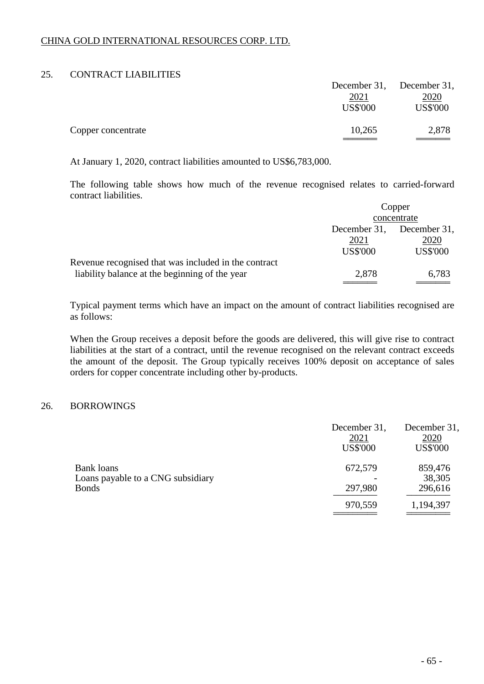# 25. CONTRACT LIABILITIES

|                    | December 31, December 31, |                 |
|--------------------|---------------------------|-----------------|
|                    | 2021                      | 2020            |
|                    | <b>US\$'000</b>           | <b>US\$'000</b> |
| Copper concentrate | 10,265                    | 2,878           |
|                    |                           |                 |

At January 1, 2020, contract liabilities amounted to US\$6,783,000.

The following table shows how much of the revenue recognised relates to carried-forward contract liabilities.

|                                                      | Copper                    |                 |
|------------------------------------------------------|---------------------------|-----------------|
|                                                      | concentrate               |                 |
|                                                      | December 31, December 31, |                 |
|                                                      | 2021                      | 2020            |
|                                                      | <b>US\$'000</b>           | <b>US\$'000</b> |
| Revenue recognised that was included in the contract |                           |                 |
| liability balance at the beginning of the year       | 2,878                     | 6,783           |
|                                                      |                           |                 |

Typical payment terms which have an impact on the amount of contract liabilities recognised are as follows:

When the Group receives a deposit before the goods are delivered, this will give rise to contract liabilities at the start of a contract, until the revenue recognised on the relevant contract exceeds the amount of the deposit. The Group typically receives 100% deposit on acceptance of sales orders for copper concentrate including other by-products.

### 26. BORROWINGS

|                                                                        | December 31,<br>2021<br><b>US\$'000</b> | December 31,<br>2020<br><b>US\$'000</b> |
|------------------------------------------------------------------------|-----------------------------------------|-----------------------------------------|
| <b>Bank</b> loans<br>Loans payable to a CNG subsidiary<br><b>Bonds</b> | 672,579<br>297,980                      | 859,476<br>38,305<br>296,616            |
|                                                                        | 970,559                                 | 1,194,397                               |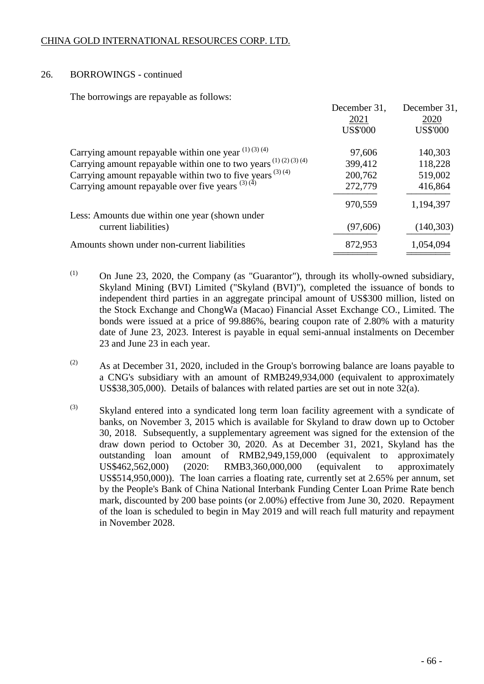## 26. BORROWINGS - continued

The borrowings are repayable as follows:

|                                                                  | December 31,    | December 31,    |
|------------------------------------------------------------------|-----------------|-----------------|
|                                                                  | 2021            | 2020            |
|                                                                  | <b>US\$'000</b> | <b>US\$'000</b> |
| Carrying amount repayable within one year $(1)(3)(4)$            | 97,606          | 140,303         |
| Carrying amount repayable within one to two years $(1)(2)(3)(4)$ | 399,412         | 118,228         |
| Carrying amount repayable within two to five years $(3)$ (4)     | 200,762         | 519,002         |
| Carrying amount repayable over five years $(3)(4)$               | 272,779         | 416,864         |
|                                                                  | 970,559         | 1,194,397       |
| Less: Amounts due within one year (shown under                   |                 |                 |
| current liabilities)                                             | (97,606)        | (140, 303)      |
| Amounts shown under non-current liabilities                      | 872,953         | 1,054,094       |
|                                                                  |                 |                 |

- $(1)$  On June 23, 2020, the Company (as "Guarantor"), through its wholly-owned subsidiary, Skyland Mining (BVI) Limited ("Skyland (BVI)"), completed the issuance of bonds to independent third parties in an aggregate principal amount of US\$300 million, listed on the Stock Exchange and ChongWa (Macao) Financial Asset Exchange CO., Limited. The bonds were issued at a price of 99.886%, bearing coupon rate of 2.80% with a maturity date of June 23, 2023. Interest is payable in equal semi-annual instalments on December 23 and June 23 in each year.
- $(2)$  As at December 31, 2020, included in the Group's borrowing balance are loans payable to a CNG's subsidiary with an amount of RMB249,934,000 (equivalent to approximately US\$38,305,000). Details of balances with related parties are set out in note 32(a).
- (3) Skyland entered into a syndicated long term loan facility agreement with a syndicate of banks, on November 3, 2015 which is available for Skyland to draw down up to October 30, 2018. Subsequently, a supplementary agreement was signed for the extension of the draw down period to October 30, 2020. As at December 31, 2021, Skyland has the outstanding loan amount of RMB2,949,159,000 (equivalent to approximately US\$462,562,000) (2020: RMB3,360,000,000 (equivalent to approximately US\$514,950,000)). The loan carries a floating rate, currently set at 2.65% per annum, set by the People's Bank of China National Interbank Funding Center Loan Prime Rate bench mark, discounted by 200 base points (or 2.00%) effective from June 30, 2020. Repayment of the loan is scheduled to begin in May 2019 and will reach full maturity and repayment in November 2028.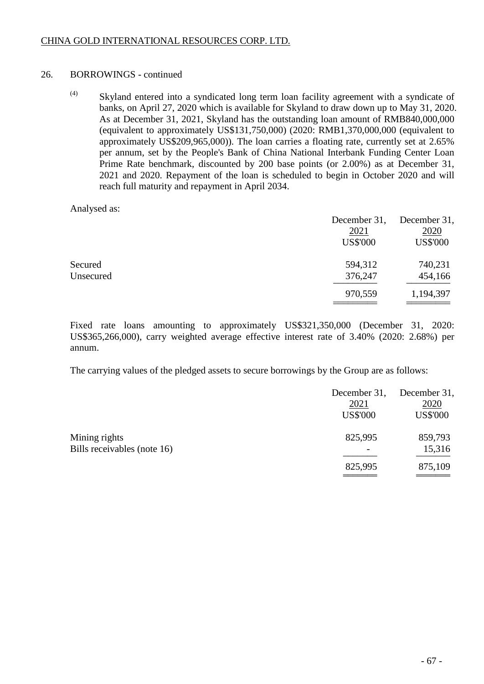### 26. BORROWINGS - continued

(4) Skyland entered into a syndicated long term loan facility agreement with a syndicate of banks, on April 27, 2020 which is available for Skyland to draw down up to May 31, 2020. As at December 31, 2021, Skyland has the outstanding loan amount of RMB840,000,000 (equivalent to approximately US\$131,750,000) (2020: RMB1,370,000,000 (equivalent to approximately US\$209,965,000)). The loan carries a floating rate, currently set at 2.65% per annum, set by the People's Bank of China National Interbank Funding Center Loan Prime Rate benchmark, discounted by 200 base points (or 2.00%) as at December 31, 2021 and 2020. Repayment of the loan is scheduled to begin in October 2020 and will reach full maturity and repayment in April 2034.

Analysed as:

|           | December 31,    | December 31,    |
|-----------|-----------------|-----------------|
|           | 2021            | 2020            |
|           | <b>US\$'000</b> | <b>US\$'000</b> |
| Secured   | 594,312         | 740,231         |
| Unsecured | 376,247         | 454,166         |
|           | 970,559         | 1,194,397       |
|           |                 |                 |

Fixed rate loans amounting to approximately US\$321,350,000 (December 31, 2020: US\$365,266,000), carry weighted average effective interest rate of 3.40% (2020: 2.68%) per annum.

The carrying values of the pledged assets to secure borrowings by the Group are as follows:

|                             | December 31,    | December 31,    |
|-----------------------------|-----------------|-----------------|
|                             | 2021            | 2020            |
|                             | <b>US\$'000</b> | <b>US\$'000</b> |
| Mining rights               | 825,995         | 859,793         |
| Bills receivables (note 16) |                 | 15,316          |
|                             | 825,995         | 875,109         |
|                             |                 |                 |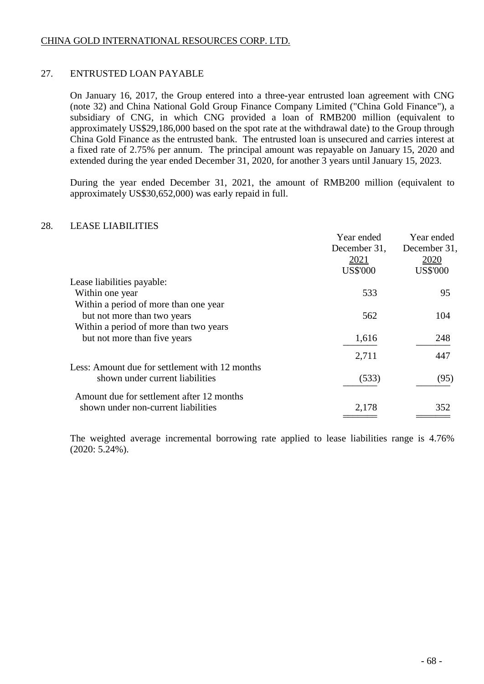# 27. ENTRUSTED LOAN PAYABLE

On January 16, 2017, the Group entered into a three-year entrusted loan agreement with CNG (note 32) and China National Gold Group Finance Company Limited ("China Gold Finance"), a subsidiary of CNG, in which CNG provided a loan of RMB200 million (equivalent to approximately US\$29,186,000 based on the spot rate at the withdrawal date) to the Group through China Gold Finance as the entrusted bank. The entrusted loan is unsecured and carries interest at a fixed rate of 2.75% per annum. The principal amount was repayable on January 15, 2020 and extended during the year ended December 31, 2020, for another 3 years until January 15, 2023.

During the year ended December 31, 2021, the amount of RMB200 million (equivalent to approximately US\$30,652,000) was early repaid in full.

### 28. LEASE LIABILITIES

|                                                | Year ended      | Year ended      |
|------------------------------------------------|-----------------|-----------------|
|                                                | December 31,    | December 31,    |
|                                                | 2021            | 2020            |
|                                                | <b>US\$'000</b> | <b>US\$'000</b> |
| Lease liabilities payable:                     |                 |                 |
| Within one year                                | 533             | 95              |
| Within a period of more than one year          |                 |                 |
| but not more than two years                    | 562             | 104             |
| Within a period of more than two years         |                 |                 |
| but not more than five years                   | 1,616           | 248             |
|                                                | 2,711           | 447             |
| Less: Amount due for settlement with 12 months |                 |                 |
| shown under current liabilities                | (533)           | (95)            |
| Amount due for settlement after 12 months      |                 |                 |
| shown under non-current liabilities            | 2,178           | 352             |
|                                                |                 |                 |

The weighted average incremental borrowing rate applied to lease liabilities range is 4.76% (2020: 5.24%).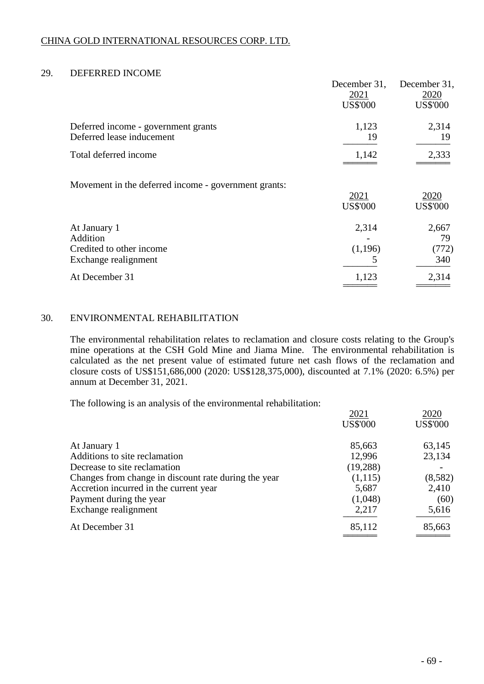### 29. DEFERRED INCOME

| 1,123<br>Deferred income - government grants<br>Deferred lease inducement<br>19<br>Total deferred income<br>1,142<br>Movement in the deferred income - government grants:<br>2021<br><b>US\$'000</b><br>2,314<br>At January 1<br>Addition<br>Credited to other income<br>(1,196)<br>Exchange realignment<br>5<br>At December 31<br>1,123 | December 31,<br>2021<br><b>US\$'000</b> | December 31,<br>2020<br><b>US\$'000</b> |
|------------------------------------------------------------------------------------------------------------------------------------------------------------------------------------------------------------------------------------------------------------------------------------------------------------------------------------------|-----------------------------------------|-----------------------------------------|
|                                                                                                                                                                                                                                                                                                                                          |                                         | 2,314<br>19                             |
|                                                                                                                                                                                                                                                                                                                                          |                                         | 2,333                                   |
|                                                                                                                                                                                                                                                                                                                                          |                                         | 2020<br><b>US\$'000</b>                 |
|                                                                                                                                                                                                                                                                                                                                          |                                         | 2,667<br>79<br>(772)<br>340             |
|                                                                                                                                                                                                                                                                                                                                          |                                         | 2,314                                   |

## 30. ENVIRONMENTAL REHABILITATION

The environmental rehabilitation relates to reclamation and closure costs relating to the Group's mine operations at the CSH Gold Mine and Jiama Mine. The environmental rehabilitation is calculated as the net present value of estimated future net cash flows of the reclamation and closure costs of US\$151,686,000 (2020: US\$128,375,000), discounted at 7.1% (2020: 6.5%) per annum at December 31, 2021.

The following is an analysis of the environmental rehabilitation:

|                                                      | 2021            | 2020            |
|------------------------------------------------------|-----------------|-----------------|
|                                                      | <b>US\$'000</b> | <b>US\$'000</b> |
| At January 1                                         | 85,663          | 63,145          |
| Additions to site reclamation                        | 12,996          | 23,134          |
| Decrease to site reclamation                         | (19, 288)       |                 |
| Changes from change in discount rate during the year | (1,115)         | (8,582)         |
| Accretion incurred in the current year               | 5,687           | 2,410           |
| Payment during the year                              | (1,048)         | (60)            |
| Exchange realignment                                 | 2,217           | 5,616           |
| At December 31                                       | 85,112          | 85,663          |
|                                                      |                 |                 |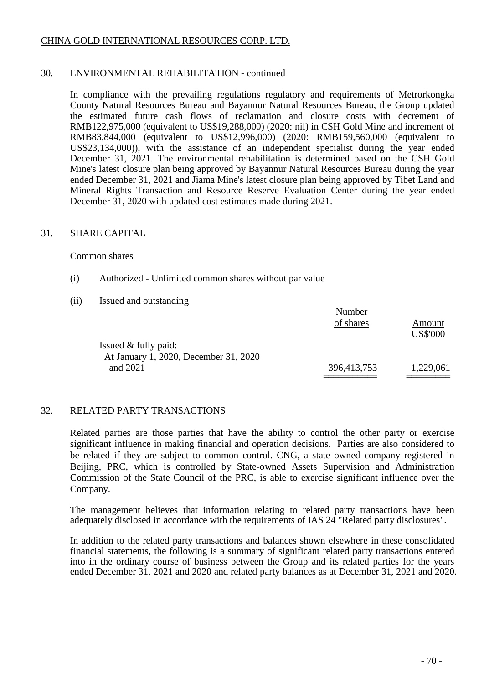### 30. ENVIRONMENTAL REHABILITATION - continued

In compliance with the prevailing regulations regulatory and requirements of Metrorkongka County Natural Resources Bureau and Bayannur Natural Resources Bureau, the Group updated the estimated future cash flows of reclamation and closure costs with decrement of RMB122,975,000 (equivalent to US\$19,288,000) (2020: nil) in CSH Gold Mine and increment of RMB83,844,000 (equivalent to US\$12,996,000) (2020: RMB159,560,000 (equivalent to US\$23,134,000)), with the assistance of an independent specialist during the year ended December 31, 2021. The environmental rehabilitation is determined based on the CSH Gold Mine's latest closure plan being approved by Bayannur Natural Resources Bureau during the year ended December 31, 2021 and Jiama Mine's latest closure plan being approved by Tibet Land and Mineral Rights Transaction and Resource Reserve Evaluation Center during the year ended December 31, 2020 with updated cost estimates made during 2021.

#### 31. SHARE CAPITAL

#### Common shares

### (i) Authorized - Unlimited common shares without par value

(ii) Issued and outstanding

|                                                               | Number      |                           |
|---------------------------------------------------------------|-------------|---------------------------|
|                                                               | of shares   | Amount<br><b>US\$'000</b> |
| Issued & fully paid:<br>At January 1, 2020, December 31, 2020 |             |                           |
| and 2021                                                      | 396,413,753 | 1,229,061                 |
|                                                               |             |                           |

### 32. RELATED PARTY TRANSACTIONS

Related parties are those parties that have the ability to control the other party or exercise significant influence in making financial and operation decisions. Parties are also considered to be related if they are subject to common control. CNG, a state owned company registered in Beijing, PRC, which is controlled by State-owned Assets Supervision and Administration Commission of the State Council of the PRC, is able to exercise significant influence over the Company.

The management believes that information relating to related party transactions have been adequately disclosed in accordance with the requirements of IAS 24 "Related party disclosures".

In addition to the related party transactions and balances shown elsewhere in these consolidated financial statements, the following is a summary of significant related party transactions entered into in the ordinary course of business between the Group and its related parties for the years ended December 31, 2021 and 2020 and related party balances as at December 31, 2021 and 2020.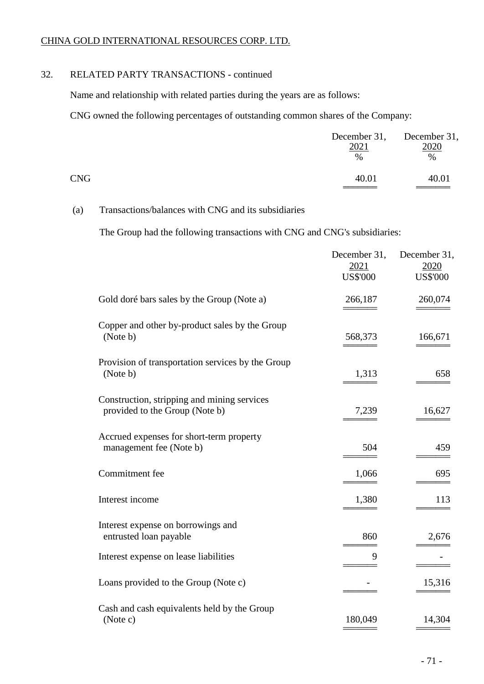# 32. RELATED PARTY TRANSACTIONS - continued

Name and relationship with related parties during the years are as follows:

CNG owned the following percentages of outstanding common shares of the Company:

|            | December 31, December 31,<br>2021<br>% | 2020<br>$\%$ |
|------------|----------------------------------------|--------------|
| <b>CNG</b> | 40.01                                  | 40.01        |

# (a) Transactions/balances with CNG and its subsidiaries

The Group had the following transactions with CNG and CNG's subsidiaries:

|                                                                               | December 31,<br>2021<br><b>US\$'000</b> | December 31,<br>2020<br><b>US\$'000</b> |
|-------------------------------------------------------------------------------|-----------------------------------------|-----------------------------------------|
| Gold doré bars sales by the Group (Note a)                                    | 266,187                                 | 260,074                                 |
| Copper and other by-product sales by the Group<br>(Note b)                    | 568,373                                 | 166,671                                 |
| Provision of transportation services by the Group<br>(Note b)                 | 1,313                                   | 658                                     |
| Construction, stripping and mining services<br>provided to the Group (Note b) | 7,239                                   | 16,627                                  |
| Accrued expenses for short-term property<br>management fee (Note b)           | 504                                     | 459                                     |
| Commitment fee                                                                | 1,066                                   | 695                                     |
| Interest income                                                               | 1,380                                   | 113                                     |
| Interest expense on borrowings and<br>entrusted loan payable                  | 860                                     | 2,676                                   |
| Interest expense on lease liabilities                                         | 9                                       |                                         |
| Loans provided to the Group (Note c)                                          |                                         | 15,316                                  |
| Cash and cash equivalents held by the Group<br>(Note c)                       | 180,049                                 | 14,304                                  |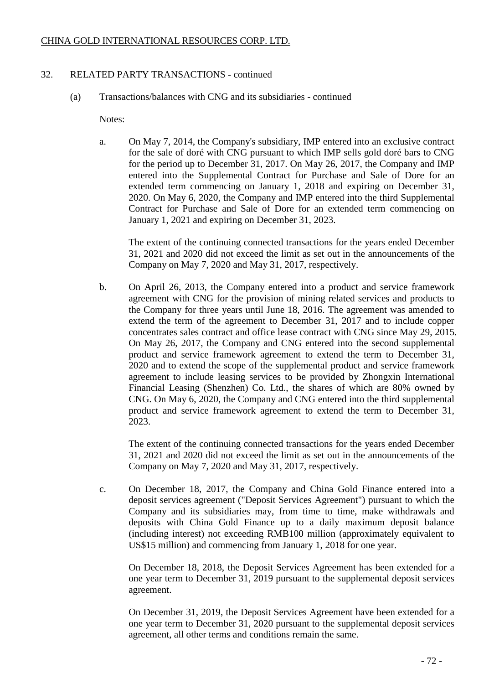# 32. RELATED PARTY TRANSACTIONS - continued

(a) Transactions/balances with CNG and its subsidiaries - continued

Notes:

a. On May 7, 2014, the Company's subsidiary, IMP entered into an exclusive contract for the sale of doré with CNG pursuant to which IMP sells gold doré bars to CNG for the period up to December 31, 2017. On May 26, 2017, the Company and IMP entered into the Supplemental Contract for Purchase and Sale of Dore for an extended term commencing on January 1, 2018 and expiring on December 31, 2020. On May 6, 2020, the Company and IMP entered into the third Supplemental Contract for Purchase and Sale of Dore for an extended term commencing on January 1, 2021 and expiring on December 31, 2023.

The extent of the continuing connected transactions for the years ended December 31, 2021 and 2020 did not exceed the limit as set out in the announcements of the Company on May 7, 2020 and May 31, 2017, respectively.

b. On April 26, 2013, the Company entered into a product and service framework agreement with CNG for the provision of mining related services and products to the Company for three years until June 18, 2016. The agreement was amended to extend the term of the agreement to December 31, 2017 and to include copper concentrates sales contract and office lease contract with CNG since May 29, 2015. On May 26, 2017, the Company and CNG entered into the second supplemental product and service framework agreement to extend the term to December 31, 2020 and to extend the scope of the supplemental product and service framework agreement to include leasing services to be provided by Zhongxin International Financial Leasing (Shenzhen) Co. Ltd., the shares of which are 80% owned by CNG. On May 6, 2020, the Company and CNG entered into the third supplemental product and service framework agreement to extend the term to December 31, 2023.

The extent of the continuing connected transactions for the years ended December 31, 2021 and 2020 did not exceed the limit as set out in the announcements of the Company on May 7, 2020 and May 31, 2017, respectively.

c. On December 18, 2017, the Company and China Gold Finance entered into a deposit services agreement ("Deposit Services Agreement") pursuant to which the Company and its subsidiaries may, from time to time, make withdrawals and deposits with China Gold Finance up to a daily maximum deposit balance (including interest) not exceeding RMB100 million (approximately equivalent to US\$15 million) and commencing from January 1, 2018 for one year.

On December 18, 2018, the Deposit Services Agreement has been extended for a one year term to December 31, 2019 pursuant to the supplemental deposit services agreement.

On December 31, 2019, the Deposit Services Agreement have been extended for a one year term to December 31, 2020 pursuant to the supplemental deposit services agreement, all other terms and conditions remain the same.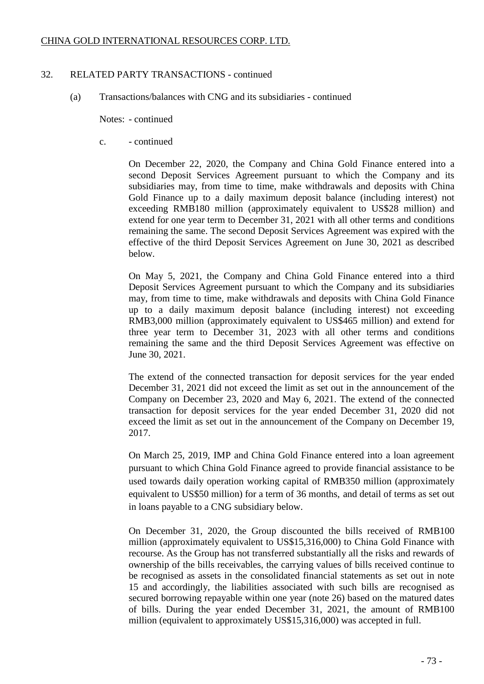## 32. RELATED PARTY TRANSACTIONS - continued

(a) Transactions/balances with CNG and its subsidiaries - continued

Notes: - continued

c. - continued

On December 22, 2020, the Company and China Gold Finance entered into a second Deposit Services Agreement pursuant to which the Company and its subsidiaries may, from time to time, make withdrawals and deposits with China Gold Finance up to a daily maximum deposit balance (including interest) not exceeding RMB180 million (approximately equivalent to US\$28 million) and extend for one year term to December 31, 2021 with all other terms and conditions remaining the same. The second Deposit Services Agreement was expired with the effective of the third Deposit Services Agreement on June 30, 2021 as described below.

On May 5, 2021, the Company and China Gold Finance entered into a third Deposit Services Agreement pursuant to which the Company and its subsidiaries may, from time to time, make withdrawals and deposits with China Gold Finance up to a daily maximum deposit balance (including interest) not exceeding RMB3,000 million (approximately equivalent to US\$465 million) and extend for three year term to December 31, 2023 with all other terms and conditions remaining the same and the third Deposit Services Agreement was effective on June 30, 2021.

The extend of the connected transaction for deposit services for the year ended December 31, 2021 did not exceed the limit as set out in the announcement of the Company on December 23, 2020 and May 6, 2021. The extend of the connected transaction for deposit services for the year ended December 31, 2020 did not exceed the limit as set out in the announcement of the Company on December 19, 2017.

On March 25, 2019, IMP and China Gold Finance entered into a loan agreement pursuant to which China Gold Finance agreed to provide financial assistance to be used towards daily operation working capital of RMB350 million (approximately equivalent to US\$50 million) for a term of 36 months, and detail of terms as set out in loans payable to a CNG subsidiary below.

On December 31, 2020, the Group discounted the bills received of RMB100 million (approximately equivalent to US\$15,316,000) to China Gold Finance with recourse. As the Group has not transferred substantially all the risks and rewards of ownership of the bills receivables, the carrying values of bills received continue to be recognised as assets in the consolidated financial statements as set out in note 15 and accordingly, the liabilities associated with such bills are recognised as secured borrowing repayable within one year (note 26) based on the matured dates of bills. During the year ended December 31, 2021, the amount of RMB100 million (equivalent to approximately US\$15,316,000) was accepted in full.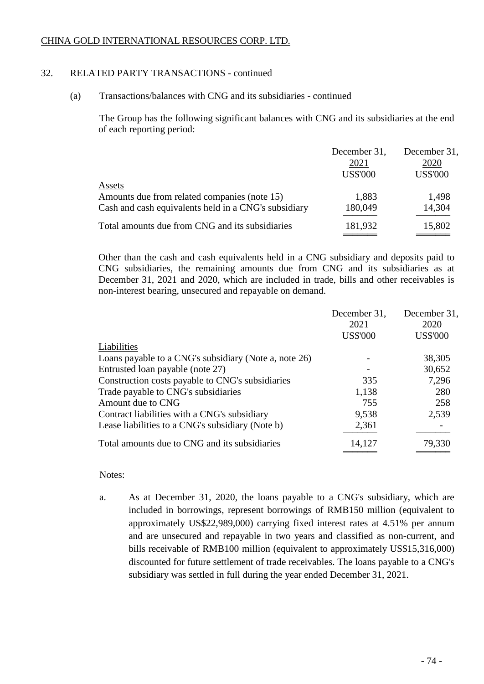# 32. RELATED PARTY TRANSACTIONS - continued

### (a) Transactions/balances with CNG and its subsidiaries - continued

The Group has the following significant balances with CNG and its subsidiaries at the end of each reporting period:

|                                                      | December 31,<br>2021<br><b>US\$'000</b> | December 31,<br>2020<br><b>US\$'000</b> |
|------------------------------------------------------|-----------------------------------------|-----------------------------------------|
| Assets                                               |                                         |                                         |
| Amounts due from related companies (note 15)         | 1,883                                   | 1,498                                   |
| Cash and cash equivalents held in a CNG's subsidiary | 180,049                                 | 14,304                                  |
| Total amounts due from CNG and its subsidiaries      | 181,932                                 | 15,802                                  |
|                                                      |                                         |                                         |

Other than the cash and cash equivalents held in a CNG subsidiary and deposits paid to CNG subsidiaries, the remaining amounts due from CNG and its subsidiaries as at December 31, 2021 and 2020, which are included in trade, bills and other receivables is non-interest bearing, unsecured and repayable on demand.

|                                                       | December 31,    | December 31,    |
|-------------------------------------------------------|-----------------|-----------------|
|                                                       | 2021            | 2020            |
|                                                       | <b>US\$'000</b> | <b>US\$'000</b> |
| Liabilities                                           |                 |                 |
| Loans payable to a CNG's subsidiary (Note a, note 26) |                 | 38,305          |
| Entrusted loan payable (note 27)                      |                 | 30,652          |
| Construction costs payable to CNG's subsidiaries      | 335             | 7,296           |
| Trade payable to CNG's subsidiaries                   | 1,138           | 280             |
| Amount due to CNG                                     | 755             | 258             |
| Contract liabilities with a CNG's subsidiary          | 9,538           | 2,539           |
| Lease liabilities to a CNG's subsidiary (Note b)      | 2,361           |                 |
| Total amounts due to CNG and its subsidiaries         | 14,127          | 79,330          |
|                                                       |                 |                 |

### Notes:

a. As at December 31, 2020, the loans payable to a CNG's subsidiary, which are included in borrowings, represent borrowings of RMB150 million (equivalent to approximately US\$22,989,000) carrying fixed interest rates at 4.51% per annum and are unsecured and repayable in two years and classified as non-current, and bills receivable of RMB100 million (equivalent to approximately US\$15,316,000) discounted for future settlement of trade receivables. The loans payable to a CNG's subsidiary was settled in full during the year ended December 31, 2021.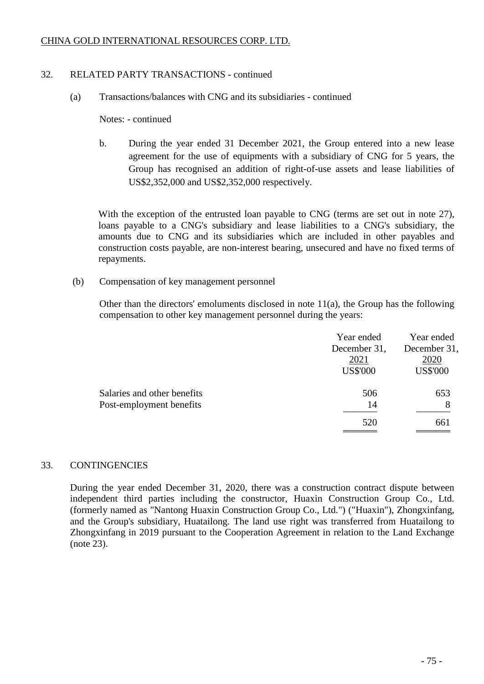## 32. RELATED PARTY TRANSACTIONS - continued

(a) Transactions/balances with CNG and its subsidiaries - continued

Notes: - continued

b. During the year ended 31 December 2021, the Group entered into a new lease agreement for the use of equipments with a subsidiary of CNG for 5 years, the Group has recognised an addition of right-of-use assets and lease liabilities of US\$2,352,000 and US\$2,352,000 respectively.

With the exception of the entrusted loan payable to CNG (terms are set out in note 27), loans payable to a CNG's subsidiary and lease liabilities to a CNG's subsidiary, the amounts due to CNG and its subsidiaries which are included in other payables and construction costs payable, are non-interest bearing, unsecured and have no fixed terms of repayments.

(b) Compensation of key management personnel

Other than the directors' emoluments disclosed in note  $11(a)$ , the Group has the following compensation to other key management personnel during the years:

|                                                         | Year ended<br>December 31,<br>2021<br><b>US\$'000</b> | Year ended<br>December 31,<br>2020<br><b>US\$'000</b> |
|---------------------------------------------------------|-------------------------------------------------------|-------------------------------------------------------|
| Salaries and other benefits<br>Post-employment benefits | 506<br>14                                             | 653<br>8                                              |
|                                                         | 520                                                   | 661                                                   |

### 33. CONTINGENCIES

During the year ended December 31, 2020, there was a construction contract dispute between independent third parties including the constructor, Huaxin Construction Group Co., Ltd. (formerly named as "Nantong Huaxin Construction Group Co., Ltd.") ("Huaxin"), Zhongxinfang, and the Group's subsidiary, Huatailong. The land use right was transferred from Huatailong to Zhongxinfang in 2019 pursuant to the Cooperation Agreement in relation to the Land Exchange (note 23).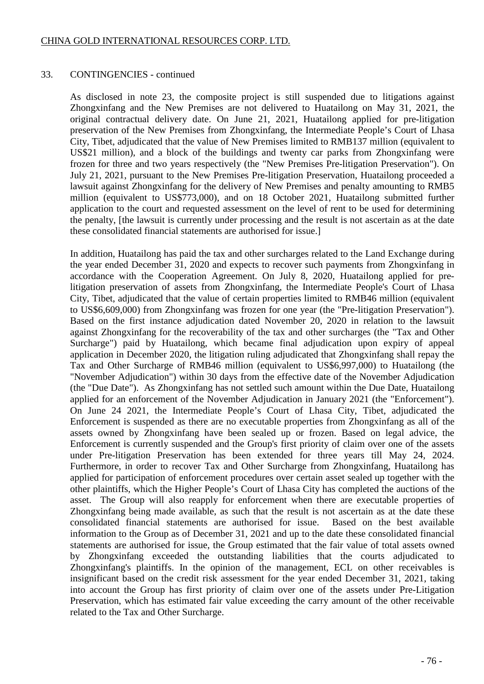# 33. CONTINGENCIES - continued

As disclosed in note 23, the composite project is still suspended due to litigations against Zhongxinfang and the New Premises are not delivered to Huatailong on May 31, 2021, the original contractual delivery date. On June 21, 2021, Huatailong applied for pre-litigation preservation of the New Premises from Zhongxinfang, the Intermediate People's Court of Lhasa City, Tibet, adjudicated that the value of New Premises limited to RMB137 million (equivalent to US\$21 million), and a block of the buildings and twenty car parks from Zhongxinfang were frozen for three and two years respectively (the "New Premises Pre-litigation Preservation"). On July 21, 2021, pursuant to the New Premises Pre-litigation Preservation, Huatailong proceeded a lawsuit against Zhongxinfang for the delivery of New Premises and penalty amounting to RMB5 million (equivalent to US\$773,000), and on 18 October 2021, Huatailong submitted further application to the court and requested assessment on the level of rent to be used for determining the penalty, [the lawsuit is currently under processing and the result is not ascertain as at the date these consolidated financial statements are authorised for issue.]

In addition, Huatailong has paid the tax and other surcharges related to the Land Exchange during the year ended December 31, 2020 and expects to recover such payments from Zhongxinfang in accordance with the Cooperation Agreement. On July 8, 2020, Huatailong applied for prelitigation preservation of assets from Zhongxinfang, the Intermediate People's Court of Lhasa City, Tibet, adjudicated that the value of certain properties limited to RMB46 million (equivalent to US\$6,609,000) from Zhongxinfang was frozen for one year (the "Pre-litigation Preservation"). Based on the first instance adjudication dated November 20, 2020 in relation to the lawsuit against Zhongxinfang for the recoverability of the tax and other surcharges (the "Tax and Other Surcharge") paid by Huatailong, which became final adjudication upon expiry of appeal application in December 2020, the litigation ruling adjudicated that Zhongxinfang shall repay the Tax and Other Surcharge of RMB46 million (equivalent to US\$6,997,000) to Huatailong (the "November Adjudication") within 30 days from the effective date of the November Adjudication (the "Due Date"). As Zhongxinfang has not settled such amount within the Due Date, Huatailong applied for an enforcement of the November Adjudication in January 2021 (the "Enforcement"). On June 24 2021, the Intermediate People's Court of Lhasa City, Tibet, adjudicated the Enforcement is suspended as there are no executable properties from Zhongxinfang as all of the assets owned by Zhongxinfang have been sealed up or frozen. Based on legal advice, the Enforcement is currently suspended and the Group's first priority of claim over one of the assets under Pre-litigation Preservation has been extended for three years till May 24, 2024. Furthermore, in order to recover Tax and Other Surcharge from Zhongxinfang, Huatailong has applied for participation of enforcement procedures over certain asset sealed up together with the other plaintiffs, which the Higher People's Court of Lhasa City has completed the auctions of the asset. The Group will also reapply for enforcement when there are executable properties of Zhongxinfang being made available, as such that the result is not ascertain as at the date these consolidated financial statements are authorised for issue. Based on the best available information to the Group as of December 31, 2021 and up to the date these consolidated financial statements are authorised for issue, the Group estimated that the fair value of total assets owned by Zhongxinfang exceeded the outstanding liabilities that the courts adjudicated to Zhongxinfang's plaintiffs. In the opinion of the management, ECL on other receivables is insignificant based on the credit risk assessment for the year ended December 31, 2021, taking into account the Group has first priority of claim over one of the assets under Pre-Litigation Preservation, which has estimated fair value exceeding the carry amount of the other receivable related to the Tax and Other Surcharge.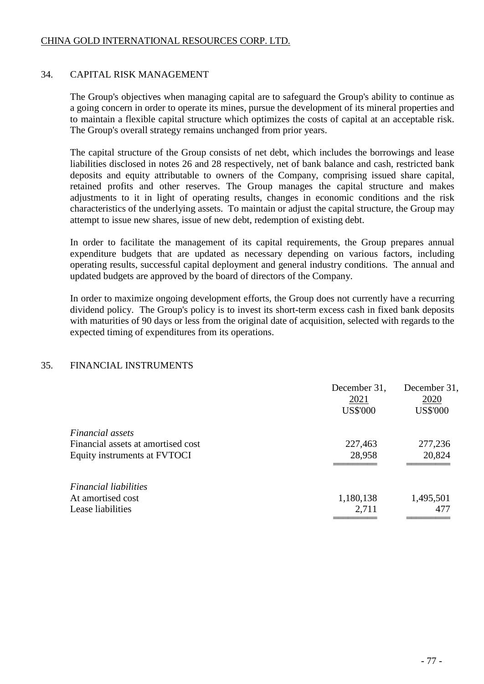## 34. CAPITAL RISK MANAGEMENT

The Group's objectives when managing capital are to safeguard the Group's ability to continue as a going concern in order to operate its mines, pursue the development of its mineral properties and to maintain a flexible capital structure which optimizes the costs of capital at an acceptable risk. The Group's overall strategy remains unchanged from prior years.

The capital structure of the Group consists of net debt, which includes the borrowings and lease liabilities disclosed in notes 26 and 28 respectively, net of bank balance and cash, restricted bank deposits and equity attributable to owners of the Company, comprising issued share capital, retained profits and other reserves. The Group manages the capital structure and makes adjustments to it in light of operating results, changes in economic conditions and the risk characteristics of the underlying assets. To maintain or adjust the capital structure, the Group may attempt to issue new shares, issue of new debt, redemption of existing debt.

In order to facilitate the management of its capital requirements, the Group prepares annual expenditure budgets that are updated as necessary depending on various factors, including operating results, successful capital deployment and general industry conditions. The annual and updated budgets are approved by the board of directors of the Company.

In order to maximize ongoing development efforts, the Group does not currently have a recurring dividend policy. The Group's policy is to invest its short-term excess cash in fixed bank deposits with maturities of 90 days or less from the original date of acquisition, selected with regards to the expected timing of expenditures from its operations.

### 35. FINANCIAL INSTRUMENTS

|                                                                                               | December 31,<br>2021<br><b>US\$'000</b> | December 31,<br>2020<br><b>US\$'000</b> |
|-----------------------------------------------------------------------------------------------|-----------------------------------------|-----------------------------------------|
| <i>Financial assets</i><br>Financial assets at amortised cost<br>Equity instruments at FVTOCI | 227,463<br>28,958                       | 277,236<br>20,824                       |
| <b>Financial liabilities</b><br>At amortised cost<br>Lease liabilities                        | 1,180,138<br>2,711                      | 1,495,501<br>477                        |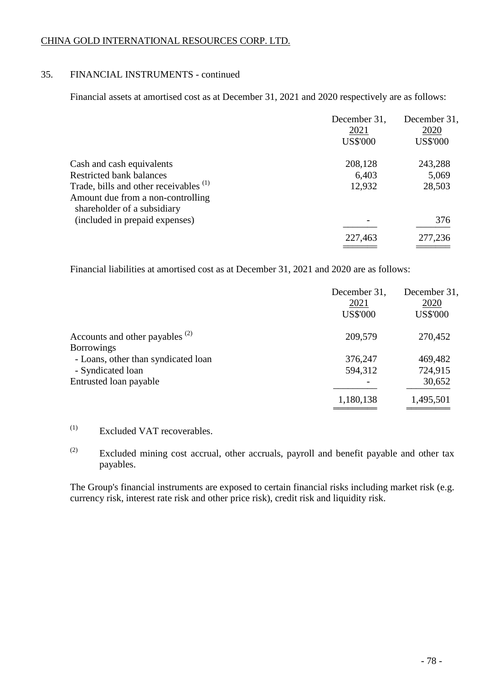# 35. FINANCIAL INSTRUMENTS - continued

Financial assets at amortised cost as at December 31, 2021 and 2020 respectively are as follows:

|                                                   | December 31,    | December 31.    |
|---------------------------------------------------|-----------------|-----------------|
|                                                   | 2021            | 2020            |
|                                                   | <b>US\$'000</b> | <b>US\$'000</b> |
| Cash and cash equivalents                         | 208,128         | 243,288         |
| Restricted bank balances                          | 6,403           | 5,069           |
| Trade, bills and other receivables <sup>(1)</sup> | 12,932          | 28,503          |
| Amount due from a non-controlling                 |                 |                 |
| shareholder of a subsidiary                       |                 |                 |
| (included in prepaid expenses)                    |                 | 376             |
|                                                   | 227,463         | 277,236         |
|                                                   |                 |                 |

Financial liabilities at amortised cost as at December 31, 2021 and 2020 are as follows:

|                                            | December 31,<br>2021<br><b>US\$'000</b> | December 31,<br>2020<br><b>US\$'000</b> |
|--------------------------------------------|-----------------------------------------|-----------------------------------------|
| Accounts and other payables <sup>(2)</sup> | 209,579                                 | 270,452                                 |
| <b>Borrowings</b>                          |                                         |                                         |
| - Loans, other than syndicated loan        | 376,247                                 | 469,482                                 |
| - Syndicated loan                          | 594,312                                 | 724,915                                 |
| Entrusted loan payable                     |                                         | 30,652                                  |
|                                            | 1,180,138                               | 1,495,501                               |

(1) Excluded VAT recoverables.

(2) Excluded mining cost accrual, other accruals, payroll and benefit payable and other tax payables.

The Group's financial instruments are exposed to certain financial risks including market risk (e.g. currency risk, interest rate risk and other price risk), credit risk and liquidity risk.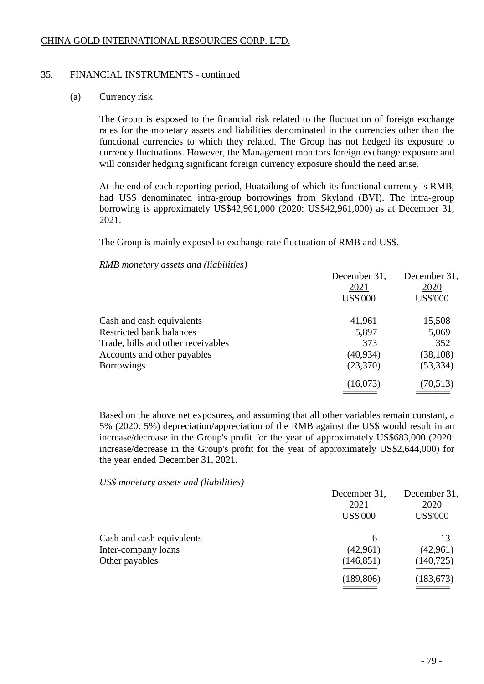#### 35. FINANCIAL INSTRUMENTS - continued

#### (a) Currency risk

The Group is exposed to the financial risk related to the fluctuation of foreign exchange rates for the monetary assets and liabilities denominated in the currencies other than the functional currencies to which they related. The Group has not hedged its exposure to currency fluctuations. However, the Management monitors foreign exchange exposure and will consider hedging significant foreign currency exposure should the need arise.

At the end of each reporting period, Huatailong of which its functional currency is RMB, had US\$ denominated intra-group borrowings from Skyland (BVI). The intra-group borrowing is approximately US\$42,961,000 (2020: US\$42,961,000) as at December 31, 2021.

The Group is mainly exposed to exchange rate fluctuation of RMB and US\$.

#### *RMB monetary assets and (liabilities)*

|                                    | December 31,    | December 31,    |
|------------------------------------|-----------------|-----------------|
|                                    | 2021            | 2020            |
|                                    | <b>US\$'000</b> | <b>US\$'000</b> |
| Cash and cash equivalents          | 41,961          | 15,508          |
| Restricted bank balances           | 5,897           | 5,069           |
| Trade, bills and other receivables | 373             | 352             |
| Accounts and other payables        | (40, 934)       | (38, 108)       |
| <b>Borrowings</b>                  | (23, 370)       | (53, 334)       |
|                                    | (16,073)        | (70, 513)       |
|                                    |                 |                 |

Based on the above net exposures, and assuming that all other variables remain constant, a 5% (2020: 5%) depreciation/appreciation of the RMB against the US\$ would result in an increase/decrease in the Group's profit for the year of approximately US\$683,000 (2020: increase/decrease in the Group's profit for the year of approximately US\$2,644,000) for the year ended December 31, 2021.

*US\$ monetary assets and (liabilities)*

|                           | December 31,    | December 31,    |
|---------------------------|-----------------|-----------------|
|                           | 2021            | 2020            |
|                           | <b>US\$'000</b> | <b>US\$'000</b> |
| Cash and cash equivalents | 6               | 13              |
| Inter-company loans       | (42,961)        | (42,961)        |
| Other payables            | (146, 851)      | (140, 725)      |
|                           | (189, 806)      | (183, 673)      |
|                           |                 |                 |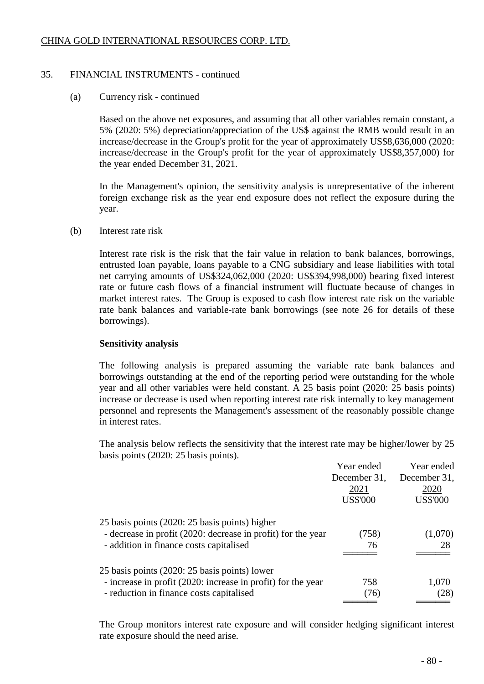## 35. FINANCIAL INSTRUMENTS - continued

### (a) Currency risk - continued

Based on the above net exposures, and assuming that all other variables remain constant, a 5% (2020: 5%) depreciation/appreciation of the US\$ against the RMB would result in an increase/decrease in the Group's profit for the year of approximately US\$8,636,000 (2020: increase/decrease in the Group's profit for the year of approximately US\$8,357,000) for the year ended December 31, 2021.

In the Management's opinion, the sensitivity analysis is unrepresentative of the inherent foreign exchange risk as the year end exposure does not reflect the exposure during the year.

(b) Interest rate risk

Interest rate risk is the risk that the fair value in relation to bank balances, borrowings, entrusted loan payable, loans payable to a CNG subsidiary and lease liabilities with total net carrying amounts of US\$324,062,000 (2020: US\$394,998,000) bearing fixed interest rate or future cash flows of a financial instrument will fluctuate because of changes in market interest rates. The Group is exposed to cash flow interest rate risk on the variable rate bank balances and variable-rate bank borrowings (see note 26 for details of these borrowings).

#### **Sensitivity analysis**

The following analysis is prepared assuming the variable rate bank balances and borrowings outstanding at the end of the reporting period were outstanding for the whole year and all other variables were held constant. A 25 basis point (2020: 25 basis points) increase or decrease is used when reporting interest rate risk internally to key management personnel and represents the Management's assessment of the reasonably possible change in interest rates.

The analysis below reflects the sensitivity that the interest rate may be higher/lower by 25 basis points (2020: 25 basis points).

|                                                              | Year ended      | Year ended      |  |
|--------------------------------------------------------------|-----------------|-----------------|--|
|                                                              | December 31,    | December 31.    |  |
|                                                              | 2021            | 2020            |  |
|                                                              | <b>US\$'000</b> | <b>US\$'000</b> |  |
| 25 basis points (2020: 25 basis points) higher               |                 |                 |  |
| - decrease in profit (2020: decrease in profit) for the year | (758)           | (1,070)         |  |
| - addition in finance costs capitalised                      | 76              | 28              |  |
|                                                              |                 |                 |  |
| 25 basis points (2020: 25 basis points) lower                |                 |                 |  |
| - increase in profit (2020: increase in profit) for the year | 758             | 1,070           |  |
| - reduction in finance costs capitalised                     | (76)            | (28)            |  |
|                                                              |                 |                 |  |

The Group monitors interest rate exposure and will consider hedging significant interest rate exposure should the need arise.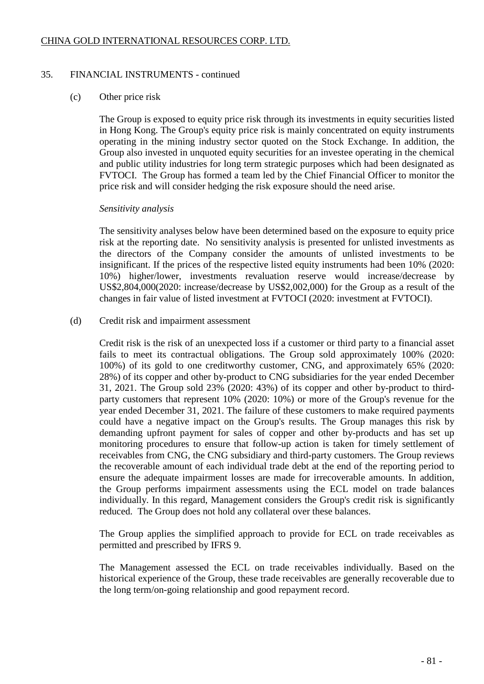### 35. FINANCIAL INSTRUMENTS - continued

#### (c) Other price risk

The Group is exposed to equity price risk through its investments in equity securities listed in Hong Kong. The Group's equity price risk is mainly concentrated on equity instruments operating in the mining industry sector quoted on the Stock Exchange. In addition, the Group also invested in unquoted equity securities for an investee operating in the chemical and public utility industries for long term strategic purposes which had been designated as FVTOCI. The Group has formed a team led by the Chief Financial Officer to monitor the price risk and will consider hedging the risk exposure should the need arise.

#### *Sensitivity analysis*

The sensitivity analyses below have been determined based on the exposure to equity price risk at the reporting date. No sensitivity analysis is presented for unlisted investments as the directors of the Company consider the amounts of unlisted investments to be insignificant. If the prices of the respective listed equity instruments had been 10% (2020: 10%) higher/lower, investments revaluation reserve would increase/decrease by US\$2,804,000(2020: increase/decrease by US\$2,002,000) for the Group as a result of the changes in fair value of listed investment at FVTOCI (2020: investment at FVTOCI).

#### (d) Credit risk and impairment assessment

Credit risk is the risk of an unexpected loss if a customer or third party to a financial asset fails to meet its contractual obligations. The Group sold approximately 100% (2020: 100%) of its gold to one creditworthy customer, CNG, and approximately 65% (2020: 28%) of its copper and other by-product to CNG subsidiaries for the year ended December 31, 2021. The Group sold 23% (2020: 43%) of its copper and other by-product to thirdparty customers that represent 10% (2020: 10%) or more of the Group's revenue for the year ended December 31, 2021. The failure of these customers to make required payments could have a negative impact on the Group's results. The Group manages this risk by demanding upfront payment for sales of copper and other by-products and has set up monitoring procedures to ensure that follow-up action is taken for timely settlement of receivables from CNG, the CNG subsidiary and third-party customers. The Group reviews the recoverable amount of each individual trade debt at the end of the reporting period to ensure the adequate impairment losses are made for irrecoverable amounts. In addition, the Group performs impairment assessments using the ECL model on trade balances individually. In this regard, Management considers the Group's credit risk is significantly reduced. The Group does not hold any collateral over these balances.

The Group applies the simplified approach to provide for ECL on trade receivables as permitted and prescribed by IFRS 9.

The Management assessed the ECL on trade receivables individually. Based on the historical experience of the Group, these trade receivables are generally recoverable due to the long term/on-going relationship and good repayment record.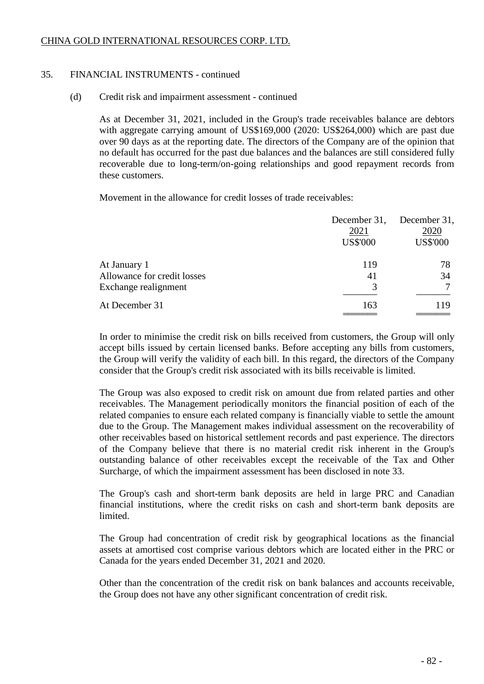### 35. FINANCIAL INSTRUMENTS - continued

#### (d) Credit risk and impairment assessment - continued

As at December 31, 2021, included in the Group's trade receivables balance are debtors with aggregate carrying amount of US\$169,000 (2020: US\$264,000) which are past due over 90 days as at the reporting date. The directors of the Company are of the opinion that no default has occurred for the past due balances and the balances are still considered fully recoverable due to long-term/on-going relationships and good repayment records from these customers.

Movement in the allowance for credit losses of trade receivables:

| December 31,<br>2021<br><b>US\$'000</b> | December 31,<br>2020<br><b>US\$'000</b> |
|-----------------------------------------|-----------------------------------------|
| 119                                     | 78                                      |
| 41                                      | 34                                      |
| 3                                       |                                         |
| 163                                     | 119                                     |
|                                         |                                         |

In order to minimise the credit risk on bills received from customers, the Group will only accept bills issued by certain licensed banks. Before accepting any bills from customers, the Group will verify the validity of each bill. In this regard, the directors of the Company consider that the Group's credit risk associated with its bills receivable is limited.

The Group was also exposed to credit risk on amount due from related parties and other receivables. The Management periodically monitors the financial position of each of the related companies to ensure each related company is financially viable to settle the amount due to the Group. The Management makes individual assessment on the recoverability of other receivables based on historical settlement records and past experience. The directors of the Company believe that there is no material credit risk inherent in the Group's outstanding balance of other receivables except the receivable of the Tax and Other Surcharge, of which the impairment assessment has been disclosed in note 33.

The Group's cash and short-term bank deposits are held in large PRC and Canadian financial institutions, where the credit risks on cash and short-term bank deposits are limited.

The Group had concentration of credit risk by geographical locations as the financial assets at amortised cost comprise various debtors which are located either in the PRC or Canada for the years ended December 31, 2021 and 2020.

Other than the concentration of the credit risk on bank balances and accounts receivable, the Group does not have any other significant concentration of credit risk.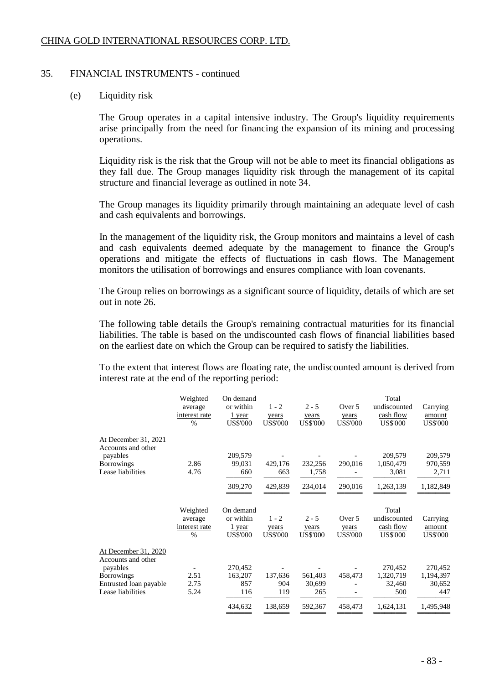#### 35. FINANCIAL INSTRUMENTS - continued

#### (e) Liquidity risk

The Group operates in a capital intensive industry. The Group's liquidity requirements arise principally from the need for financing the expansion of its mining and processing operations.

Liquidity risk is the risk that the Group will not be able to meet its financial obligations as they fall due. The Group manages liquidity risk through the management of its capital structure and financial leverage as outlined in note 34.

The Group manages its liquidity primarily through maintaining an adequate level of cash and cash equivalents and borrowings.

In the management of the liquidity risk, the Group monitors and maintains a level of cash and cash equivalents deemed adequate by the management to finance the Group's operations and mitigate the effects of fluctuations in cash flows. The Management monitors the utilisation of borrowings and ensures compliance with loan covenants.

The Group relies on borrowings as a significant source of liquidity, details of which are set out in note 26.

The following table details the Group's remaining contractual maturities for its financial liabilities. The table is based on the undiscounted cash flows of financial liabilities based on the earliest date on which the Group can be required to satisfy the liabilities.

To the extent that interest flows are floating rate, the undiscounted amount is derived from interest rate at the end of the reporting period:

|                                                                                                                            | Weighted<br>average<br>interest rate<br>$\%$ | On demand<br>or within<br>1 year<br><b>US\$'000</b> | $1 - 2$<br>years<br><b>US\$'000</b> | $2 - 5$<br>years<br><b>US\$'000</b> | Over 5<br>years<br><b>US\$'000</b> | Total<br>undiscounted<br>cash flow<br><b>US\$'000</b> | Carrying<br>amount<br><b>US\$'000</b>              |
|----------------------------------------------------------------------------------------------------------------------------|----------------------------------------------|-----------------------------------------------------|-------------------------------------|-------------------------------------|------------------------------------|-------------------------------------------------------|----------------------------------------------------|
| At December 31, 2021<br>Accounts and other<br>payables<br><b>Borrowings</b><br>Lease liabilities                           | 2.86<br>4.76                                 | 209,579<br>99,031<br>660<br>309,270                 | 429,176<br>663<br>429,839           | 232,256<br>1,758<br>234,014         | 290,016<br>290,016                 | 209,579<br>1,050,479<br>3,081<br>1,263,139            | 209,579<br>970,559<br>2,711<br>1,182,849           |
|                                                                                                                            | Weighted<br>average<br>interest rate<br>$\%$ | On demand<br>or within<br>1 year<br><b>US\$'000</b> | $1 - 2$<br>years<br><b>US\$'000</b> | $2 - 5$<br>years<br><b>US\$'000</b> | Over 5<br>years<br><b>US\$'000</b> | Total<br>undiscounted<br>cash flow<br><b>US\$'000</b> | Carrying<br>amount<br><b>US\$'000</b>              |
| At December 31, 2020<br>Accounts and other<br>payables<br><b>Borrowings</b><br>Entrusted loan payable<br>Lease liabilities | 2.51<br>2.75<br>5.24                         | 270,452<br>163,207<br>857<br>116<br>434,632         | 137,636<br>904<br>119<br>138,659    | 561,403<br>30,699<br>265<br>592,367 | 458,473<br>458,473                 | 270,452<br>1,320,719<br>32,460<br>500<br>1,624,131    | 270,452<br>1,194,397<br>30,652<br>447<br>1,495,948 |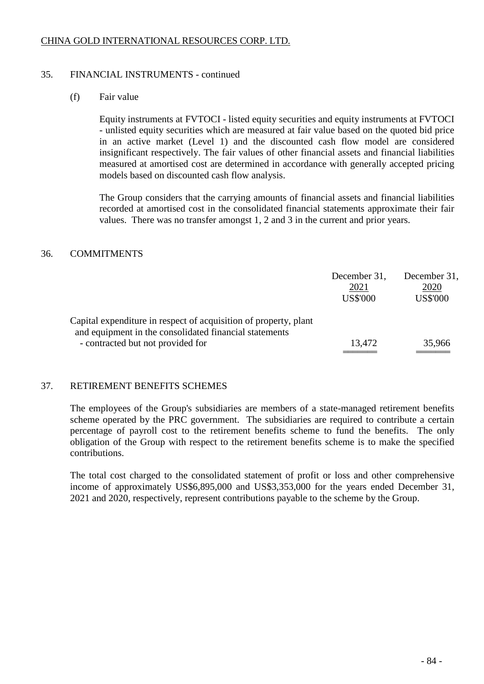### 35. FINANCIAL INSTRUMENTS - continued

#### (f) Fair value

Equity instruments at FVTOCI - listed equity securities and equity instruments at FVTOCI - unlisted equity securities which are measured at fair value based on the quoted bid price in an active market (Level 1) and the discounted cash flow model are considered insignificant respectively. The fair values of other financial assets and financial liabilities measured at amortised cost are determined in accordance with generally accepted pricing models based on discounted cash flow analysis.

The Group considers that the carrying amounts of financial assets and financial liabilities recorded at amortised cost in the consolidated financial statements approximate their fair values. There was no transfer amongst 1, 2 and 3 in the current and prior years.

### 36. COMMITMENTS

|                                                                                                                                                                 | December 31,<br>2021<br><b>US\$'000</b> | December 31,<br>2020<br><b>US\$'000</b> |  |
|-----------------------------------------------------------------------------------------------------------------------------------------------------------------|-----------------------------------------|-----------------------------------------|--|
| Capital expenditure in respect of acquisition of property, plant<br>and equipment in the consolidated financial statements<br>- contracted but not provided for | 13,472                                  | 35,966                                  |  |
|                                                                                                                                                                 |                                         |                                         |  |

### 37. RETIREMENT BENEFITS SCHEMES

The employees of the Group's subsidiaries are members of a state-managed retirement benefits scheme operated by the PRC government. The subsidiaries are required to contribute a certain percentage of payroll cost to the retirement benefits scheme to fund the benefits. The only obligation of the Group with respect to the retirement benefits scheme is to make the specified contributions.

The total cost charged to the consolidated statement of profit or loss and other comprehensive income of approximately US\$6,895,000 and US\$3,353,000 for the years ended December 31, 2021 and 2020, respectively, represent contributions payable to the scheme by the Group.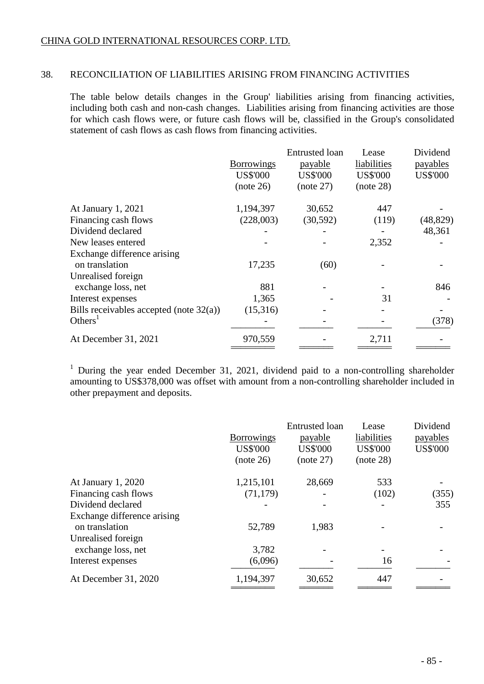#### 38. RECONCILIATION OF LIABILITIES ARISING FROM FINANCING ACTIVITIES

The table below details changes in the Group' liabilities arising from financing activities, including both cash and non-cash changes. Liabilities arising from financing activities are those for which cash flows were, or future cash flows will be, classified in the Group's consolidated statement of cash flows as cash flows from financing activities.

|                                            | <b>Borrowings</b><br><b>US\$'000</b><br>(note 26) | <b>Entrusted</b> loan<br>payable<br><b>US\$'000</b><br>(note 27) | Lease<br>liabilities<br><b>US\$'000</b><br>(note 28) | Dividend<br>payables<br><b>US\$'000</b> |
|--------------------------------------------|---------------------------------------------------|------------------------------------------------------------------|------------------------------------------------------|-----------------------------------------|
| At January 1, 2021                         | 1,194,397                                         | 30,652                                                           | 447                                                  |                                         |
| Financing cash flows                       | (228,003)                                         | (30, 592)                                                        | (119)                                                | (48, 829)                               |
| Dividend declared                          |                                                   |                                                                  |                                                      | 48,361                                  |
| New leases entered                         |                                                   |                                                                  | 2,352                                                |                                         |
| Exchange difference arising                |                                                   |                                                                  |                                                      |                                         |
| on translation                             | 17,235                                            | (60)                                                             |                                                      |                                         |
| Unrealised foreign                         |                                                   |                                                                  |                                                      |                                         |
| exchange loss, net                         | 881                                               |                                                                  |                                                      | 846                                     |
| Interest expenses                          | 1,365                                             |                                                                  | 31                                                   |                                         |
| Bills receivables accepted (note $32(a)$ ) | (15,316)                                          |                                                                  |                                                      |                                         |
| Others <sup>1</sup>                        |                                                   |                                                                  |                                                      | (378)                                   |
| At December 31, 2021                       | 970,559                                           |                                                                  | 2,711                                                |                                         |
|                                            |                                                   |                                                                  |                                                      |                                         |

<sup>1</sup> During the year ended December 31, 2021, dividend paid to a non-controlling shareholder amounting to US\$378,000 was offset with amount from a non-controlling shareholder included in other prepayment and deposits.

|                                               | <b>Borrowings</b><br><b>US\$'000</b><br>(note 26) | <b>Entrusted</b> loan<br>payable<br><b>US\$'000</b><br>(note 27) | Lease<br>liabilities<br><b>US\$'000</b><br>(note 28) | Dividend<br>payables<br><b>US\$'000</b> |
|-----------------------------------------------|---------------------------------------------------|------------------------------------------------------------------|------------------------------------------------------|-----------------------------------------|
| At January 1, 2020                            | 1,215,101                                         | 28,669                                                           | 533                                                  |                                         |
| Financing cash flows                          | (71, 179)                                         |                                                                  | (102)                                                | (355)                                   |
| Dividend declared                             |                                                   |                                                                  |                                                      | 355                                     |
| Exchange difference arising<br>on translation | 52,789                                            | 1,983                                                            |                                                      |                                         |
| Unrealised foreign<br>exchange loss, net      | 3,782                                             |                                                                  |                                                      |                                         |
| Interest expenses                             | (6,096)                                           |                                                                  | 16                                                   |                                         |
| At December 31, 2020                          | 1,194,397                                         | 30,652                                                           | 447                                                  |                                         |
|                                               |                                                   |                                                                  |                                                      |                                         |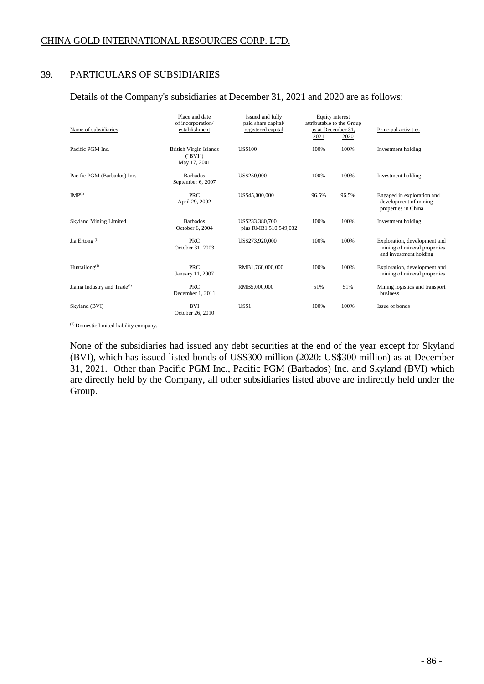# 39. PARTICULARS OF SUBSIDIARIES

| Name of subsidiaries                    | Place and date<br>of incorporation/<br>establishment     | Issued and fully<br>paid share capital/<br>registered capital | 2021  | Equity interest<br>attributable to the Group<br>as at December 31,<br>2020 | Principal activities                                                                   |
|-----------------------------------------|----------------------------------------------------------|---------------------------------------------------------------|-------|----------------------------------------------------------------------------|----------------------------------------------------------------------------------------|
| Pacific PGM Inc.                        | <b>British Virgin Islands</b><br>("BVI")<br>May 17, 2001 | <b>US\$100</b>                                                | 100%  | 100%                                                                       | Investment holding                                                                     |
| Pacific PGM (Barbados) Inc.             | <b>Barbados</b><br>September 6, 2007                     | US\$250,000                                                   | 100%  | 100%                                                                       | Investment holding                                                                     |
| IMP <sup>(1)</sup>                      | <b>PRC</b><br>April 29, 2002                             | US\$45,000,000                                                | 96.5% | 96.5%                                                                      | Engaged in exploration and<br>development of mining<br>properties in China             |
| <b>Skyland Mining Limited</b>           | <b>Barbados</b><br>October 6, 2004                       | US\$233,380,700<br>plus RMB1,510,549,032                      | 100%  | 100%                                                                       | Investment holding                                                                     |
| Jia Ertong <sup>(1)</sup>               | <b>PRC</b><br>October 31, 2003                           | US\$273,920,000                                               | 100%  | 100%                                                                       | Exploration, development and<br>mining of mineral properties<br>and investment holding |
| Huatailong $(1)$                        | <b>PRC</b><br>January 11, 2007                           | RMB1,760,000,000                                              | 100%  | 100%                                                                       | Exploration, development and<br>mining of mineral properties                           |
| Jiama Industry and Trade <sup>(1)</sup> | <b>PRC</b><br>December 1, 2011                           | RMB5.000.000                                                  | 51%   | 51%                                                                        | Mining logistics and transport<br>business                                             |
| Skyland (BVI)                           | <b>BVI</b><br>October 26, 2010                           | <b>US\$1</b>                                                  | 100%  | 100%                                                                       | Issue of bonds                                                                         |

#### Details of the Company's subsidiaries at December 31, 2021 and 2020 are as follows:

(1) Domestic limited liability company.

None of the subsidiaries had issued any debt securities at the end of the year except for Skyland (BVI), which has issued listed bonds of US\$300 million (2020: US\$300 million) as at December 31, 2021. Other than Pacific PGM Inc., Pacific PGM (Barbados) Inc. and Skyland (BVI) which are directly held by the Company, all other subsidiaries listed above are indirectly held under the Group.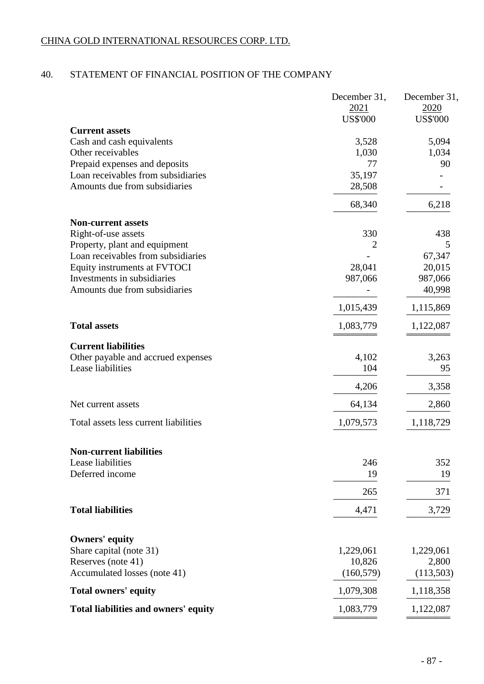# CHINA GOLD INTERNATIONAL RESOURCES CORP. LTD.

### 40. STATEMENT OF FINANCIAL POSITION OF THE COMPANY

|                                                              | December 31,<br>2021 | December 31,<br>2020 |
|--------------------------------------------------------------|----------------------|----------------------|
|                                                              | <b>US\$'000</b>      | <b>US\$'000</b>      |
| <b>Current assets</b>                                        |                      |                      |
| Cash and cash equivalents<br>Other receivables               | 3,528<br>1,030       | 5,094                |
| Prepaid expenses and deposits                                | 77                   | 1,034<br>90          |
| Loan receivables from subsidiaries                           | 35,197               |                      |
| Amounts due from subsidiaries                                | 28,508               |                      |
|                                                              | 68,340               | 6,218                |
|                                                              |                      |                      |
| <b>Non-current assets</b>                                    |                      |                      |
| Right-of-use assets                                          | 330                  | 438                  |
| Property, plant and equipment                                | 2                    | 5                    |
| Loan receivables from subsidiaries                           |                      | 67,347               |
| Equity instruments at FVTOCI                                 | 28,041               | 20,015               |
| Investments in subsidiaries<br>Amounts due from subsidiaries | 987,066              | 987,066<br>40,998    |
|                                                              |                      |                      |
|                                                              | 1,015,439            | 1,115,869            |
| <b>Total assets</b>                                          | 1,083,779            | 1,122,087            |
| <b>Current liabilities</b>                                   |                      |                      |
| Other payable and accrued expenses                           | 4,102                | 3,263                |
| Lease liabilities                                            | 104                  | 95                   |
|                                                              | 4,206                | 3,358                |
|                                                              |                      |                      |
| Net current assets                                           | 64,134               | 2,860                |
| Total assets less current liabilities                        | 1,079,573            | 1,118,729            |
|                                                              |                      |                      |
| <b>Non-current liabilities</b><br>Lease liabilities          | 246                  | 352                  |
| Deferred income                                              | 19                   | 19                   |
|                                                              |                      |                      |
|                                                              | 265                  | 371                  |
| <b>Total liabilities</b>                                     | 4,471                | 3,729                |
| <b>Owners' equity</b>                                        |                      |                      |
| Share capital (note 31)                                      | 1,229,061            | 1,229,061            |
| Reserves (note 41)                                           | 10,826               | 2,800                |
| Accumulated losses (note 41)                                 | (160, 579)           | (113,503)            |
| <b>Total owners' equity</b>                                  | 1,079,308            | 1,118,358            |
| Total liabilities and owners' equity                         | 1,083,779            | 1,122,087            |
|                                                              |                      |                      |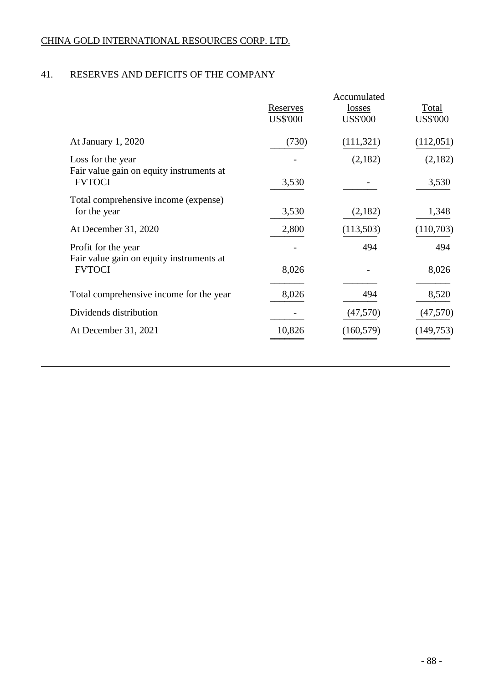# CHINA GOLD INTERNATIONAL RESOURCES CORP. LTD.

#### 41. RESERVES AND DEFICITS OF THE COMPANY

|                                                               | Reserves<br><b>US\$'000</b> | Accumulated<br>losses<br><b>US\$'000</b> | Total<br><b>US\$'000</b> |
|---------------------------------------------------------------|-----------------------------|------------------------------------------|--------------------------|
| At January 1, 2020                                            | (730)                       | (111, 321)                               | (112,051)                |
| Loss for the year<br>Fair value gain on equity instruments at |                             | (2,182)                                  | (2,182)                  |
| <b>FVTOCI</b>                                                 | 3,530                       |                                          | 3,530                    |
| Total comprehensive income (expense)<br>for the year          | 3,530                       | (2,182)                                  | 1,348                    |
| At December 31, 2020                                          | 2,800                       | (113,503)                                | (110,703)                |
| Profit for the year                                           |                             | 494                                      | 494                      |
| Fair value gain on equity instruments at<br><b>FVTOCI</b>     | 8,026                       |                                          | 8,026                    |
| Total comprehensive income for the year                       | 8,026                       | 494                                      | 8,520                    |
| Dividends distribution                                        |                             | (47,570)                                 | (47,570)                 |
| At December 31, 2021                                          | 10,826                      | (160, 579)                               | (149, 753)               |
|                                                               |                             |                                          |                          |